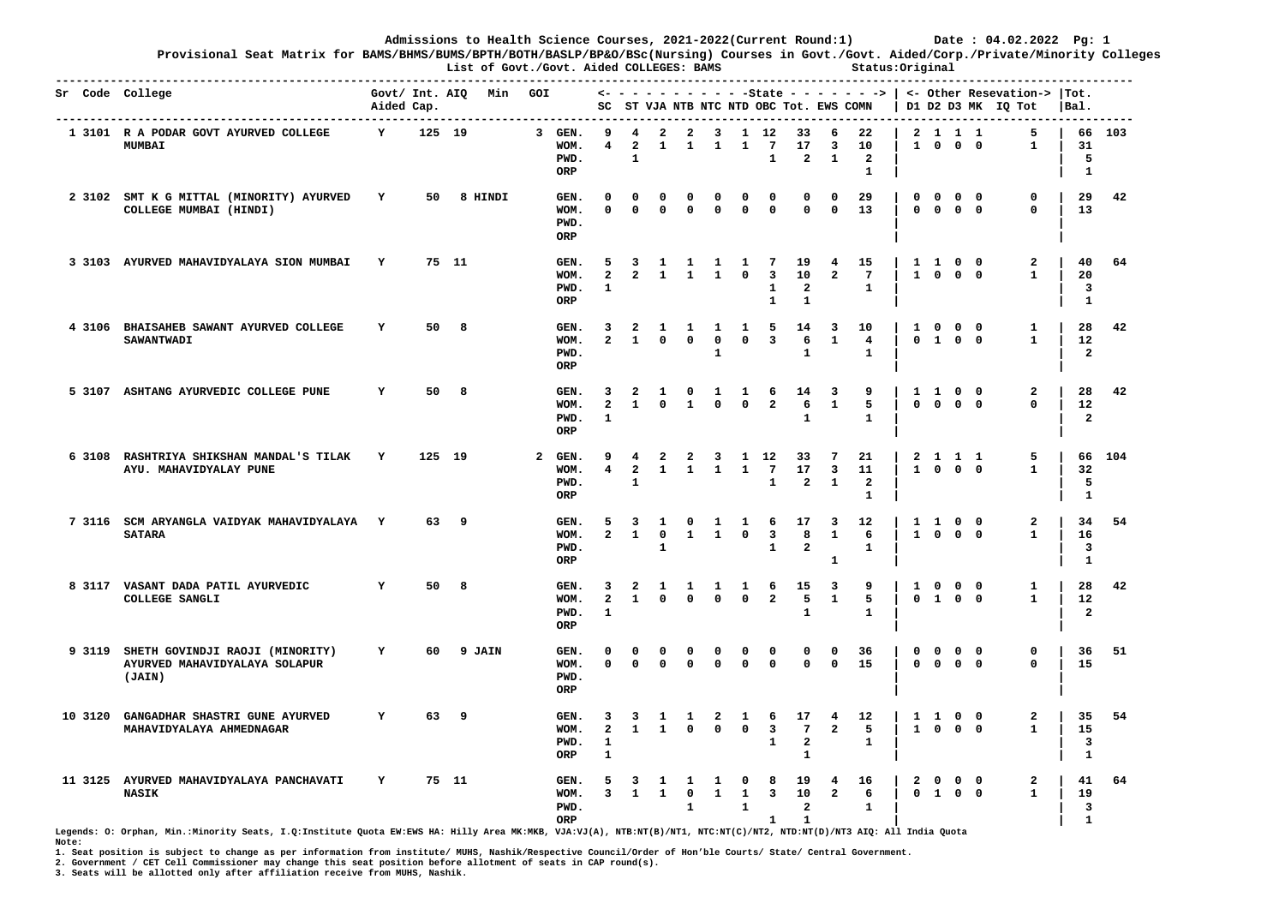**Provisional Seat Matrix for BAMS/BHMS/BUMS/BPTH/BOTH/BASLP/BP&O/BSc(Nursing) Courses in Govt./Govt. Aided/Corp./Private/Minority Colleges List of Govt./Govt. Aided COLLEGES: BAMS Status:Original** 

|         | Sr Code College                                                                   | Aided Cap. | Govt/ Int. AIQ Min |   |         | GOI          |                                |                                        |                                              |                                  |                                |                          |                                             |                                                              | SC ST VJA NTB NTC NTD OBC Tot. EWS COMN              |                                              |                                            |                             |                                                        |                          | $\leftarrow$ - - - - - - - - - -State - - - - - - ->   <- Other Resevation->  Tot.<br>D1 D2 D3 MK IQ Tot | $ Bal$ .                                            |        |
|---------|-----------------------------------------------------------------------------------|------------|--------------------|---|---------|--------------|--------------------------------|----------------------------------------|----------------------------------------------|----------------------------------|--------------------------------|--------------------------|---------------------------------------------|--------------------------------------------------------------|------------------------------------------------------|----------------------------------------------|--------------------------------------------|-----------------------------|--------------------------------------------------------|--------------------------|----------------------------------------------------------------------------------------------------------|-----------------------------------------------------|--------|
|         | 1 3101 R A PODAR GOVT AYURVED COLLEGE<br><b>MUMBAI</b>                            | Y          | 125 19             |   |         |              | 3 GEN.<br>WOM.<br>PWD.<br>ORP  | 9<br>4                                 | 4<br>$\overline{\mathbf{2}}$<br>$\mathbf{1}$ | $\mathbf{2}$<br>$\mathbf{1}$     | $\overline{a}$<br>$\mathbf{1}$ | 3<br>$\mathbf{1}$        | $\mathbf{1}$                                | 1 12<br>$7\phantom{.0}$<br>$\mathbf{1}$                      | 33<br>17<br>$\overline{2}$                           | 6<br>3<br>$\mathbf{1}$                       | 22<br>10<br>$\overline{a}$<br>1            | $\mathbf{1}$                | 2 1 1 1<br>$\mathbf 0$                                 | $0\quad 0$               | 5<br>$\mathbf{1}$                                                                                        | 31<br>5<br>1                                        | 66 103 |
|         | 2 3102 SMT K G MITTAL (MINORITY) AYURVED<br>COLLEGE MUMBAI (HINDI)                | Y          | 50                 |   | 8 HINDI |              | GEN.<br>WOM.<br>PWD.<br>ORP    | 0<br>0                                 | 0<br>$\mathbf{0}$                            | 0<br>$\mathbf 0$                 | 0<br>0                         | <sup>0</sup><br>0        | 0<br>$\mathbf{0}$                           | 0<br>$\mathbf{0}$                                            | 0<br>$\mathbf{0}$                                    | $^{\circ}$<br>$^{\circ}$                     | 29<br>13                                   | $\mathbf 0$<br>$\mathbf{0}$ | $\mathbf 0$<br>$\mathbf{O}$                            | $0\quad 0$<br>$0\quad 0$ | 0<br>$\mathbf{0}$                                                                                        | 29<br>13                                            | 42     |
|         | 3 3103 AYURVED MAHAVIDYALAYA SION MUMBAI                                          | Y          | 75 11              |   |         |              | GEN.<br>WOM.<br>PWD.<br>ORP    | 5<br>$\overline{a}$<br>$\mathbf{1}$    | 3<br>$\overline{2}$                          | 1<br>$\mathbf{1}$                | 1<br>$\mathbf{1}$              | 1<br>$\mathbf{1}$        | 1<br>$^{\circ}$                             | 7<br>$\overline{\mathbf{3}}$<br>$\mathbf{1}$<br>$\mathbf{1}$ | 19<br>10<br>$\mathbf{2}$<br>$\mathbf{1}$             | 4<br>$\overline{a}$                          | 15<br>$7\phantom{.0}$<br>$\mathbf{1}$      |                             | $1\quad1$<br>1 0 0 0                                   | $0\quad 0$               | $\mathbf{2}$<br>$\mathbf{1}$                                                                             | 40<br>20<br>3<br>$\mathbf{1}$                       | 64     |
|         | 4 3106 BHAISAHEB SAWANT AYURVED COLLEGE<br><b>SAWANTWADI</b>                      | Y          | 50                 | 8 |         |              | GEN.<br>WOM.<br>PWD.<br>ORP    | 3<br>$\mathbf{2}$                      | $\overline{\mathbf{2}}$<br>1                 | 1<br>$\mathbf{0}$                | $\mathbf{1}$<br>$\Omega$       | 1<br>$\mathbf{0}$<br>1   | 1<br>$^{\circ}$                             | -5<br>$\overline{\mathbf{3}}$                                | 14<br>6<br>$\mathbf{1}$                              | -3<br>$\mathbf{1}$                           | 10<br>$\overline{4}$<br>$\mathbf{1}$       | $\mathbf{1}$                | $\overline{\mathbf{0}}$<br>$0 \quad 1 \quad 0 \quad 0$ | $0\quad 0$               | 1<br>$\mathbf{1}$                                                                                        | 28<br>$12 \overline{ }$<br>$\overline{a}$           | 42     |
|         | 5 3107 ASHTANG AYURVEDIC COLLEGE PUNE                                             | Y          | 50                 | 8 |         |              | GEN.<br>WOM.<br>PWD.<br>ORP    | 3<br>$\overline{a}$<br>$\mathbf{1}$    | $\overline{\mathbf{2}}$<br>1                 | 1<br>$\Omega$                    | $\Omega$<br>$\mathbf{1}$       | 1<br>$^{\circ}$          | 1<br>$^{\circ}$                             | 6<br>$\overline{a}$                                          | 14<br>6<br>$\mathbf{1}$                              | $\overline{\mathbf{3}}$<br>$\mathbf{1}$      | 9<br>5<br>$\mathbf{1}$                     | $\mathbf{0}$                | 1 1 0 0<br>$0\quad 0\quad 0$                           |                          | $\mathbf{2}$<br>$\Omega$                                                                                 | 28<br>12<br>$\overline{a}$                          | 42     |
|         | 6 3108 RASHTRIYA SHIKSHAN MANDAL'S TILAK<br>AYU. MAHAVIDYALAY PUNE                | Y          | 125 19             |   |         | $\mathbf{2}$ | GEN.<br>WOM.<br>PWD.<br>ORP    | 9<br>$\overline{\mathbf{4}}$           | 4<br>$\overline{a}$<br>1                     | 2<br>$\mathbf{1}$                | 2<br>$\mathbf{1}$              | 3<br>$\mathbf{1}$        | 1<br>$\mathbf{1}$                           | 12<br>$7\phantom{.0}$<br>$\mathbf{1}$                        | 33<br>17<br>$\overline{a}$                           | 7<br>$\overline{\mathbf{3}}$<br>$\mathbf{1}$ | 21<br>11<br>$\overline{a}$<br>$\mathbf{1}$ |                             | 2 1 1 1<br>1 0 0 0                                     |                          | 5<br>$\mathbf{1}$                                                                                        | 32<br>5<br>$\mathbf{1}$                             | 66 104 |
|         | 7 3116 SCM ARYANGLA VAIDYAK MAHAVIDYALAYA Y<br><b>SATARA</b>                      |            | 63 9               |   |         |              | GEN.<br>WOM.<br>PWD.<br>ORP    | 5<br>$\overline{a}$                    | 3<br>$\mathbf{1}$                            | 1<br>$\mathbf 0$<br>$\mathbf{1}$ | $\mathbf{o}$<br>$\mathbf{1}$   | 1<br>$\mathbf{1}$        | 1<br>$\mathbf{o}$                           | 6<br>$\overline{\mathbf{3}}$<br>$\mathbf{1}$                 | 17<br>8<br>$\overline{\mathbf{2}}$                   | 3<br>$\mathbf{1}$<br>1                       | 12<br>6<br>1                               |                             | 1 1<br>1 0 0 0                                         | $0\quad 0$               | $\overline{a}$<br>$\mathbf{1}$                                                                           | 34<br>16<br>3<br>$\mathbf{1}$                       | 54     |
|         | 8 3117 VASANT DADA PATIL AYURVEDIC<br>COLLEGE SANGLI                              | Y          | 50                 | 8 |         |              | GEN.<br>WOM.<br>PWD.<br>ORP    | 3<br>$\mathbf{2}$<br>$\mathbf{1}$      | 2<br>1                                       | 1<br>$\mathbf 0$                 | 1<br>$\mathbf 0$               | 1<br>$\mathbf 0$         | 1<br>$\mathbf 0$                            | 6<br>$\overline{a}$                                          | 15<br>5<br>$\mathbf{1}$                              | 3<br>$\mathbf{1}$                            | 9<br>5<br>$\mathbf{1}$                     | $\mathbf{1}$                | $\mathbf{0}$<br>$0$ 1 0 0                              | $0\quad 0$               | 1<br>$\mathbf{1}$                                                                                        | 28<br>12<br>$\overline{a}$                          | 42     |
|         | 9 3119 SHETH GOVINDJI RAOJI (MINORITY)<br>AYURVED MAHAVIDYALAYA SOLAPUR<br>(JAIN) | Y          | 60                 |   | 9 JAIN  |              | GEN.<br>WOM.<br>PWD.<br>ORP    | 0<br>$\mathbf 0$                       | o<br>$\Omega$                                | $^{\circ}$<br>$\mathbf 0$        | O<br>0                         | <sup>0</sup><br>$\Omega$ | 0<br>$\mathbf 0$                            | O<br>$\mathbf{0}$                                            | 0<br>$\mathbf{0}$                                    | 0<br>$\Omega$                                | 36<br>15                                   | $^{\circ}$<br>$\Omega$      | $\mathbf{o}$<br>$0\quad 0\quad 0$                      | $0\quad 0$               | 0<br>$\mathbf 0$                                                                                         | 36<br>15                                            | 51     |
| 10 3120 | GANGADHAR SHASTRI GUNE AYURVED<br>MAHAVIDYALAYA AHMEDNAGAR                        | Y          | 63                 | 9 |         |              | GEN.<br>WOM.<br>PWD.<br>ORP    | 3<br>$\mathbf{2}$<br>1<br>$\mathbf{1}$ | 3<br>$\mathbf{1}$                            | 1<br>$\mathbf{1}$                | 1<br>$\Omega$                  | 2<br>$\Omega$            | 1<br>$\mathbf{o}$                           | 6<br>$\overline{\mathbf{3}}$<br>1                            | 17<br>$\overline{7}$<br>$\mathbf{2}$<br>$\mathbf{1}$ | $\overline{4}$<br>$\overline{a}$             | 12 <sup>2</sup><br>5<br>$\mathbf{1}$       |                             | 1 1 0 0<br>1 0 0 0                                     |                          | $\mathbf{2}$<br>$\mathbf{1}$                                                                             | 35<br>15<br>3<br>$\mathbf{1}$                       | 54     |
|         | 11 3125 AYURVED MAHAVIDYALAYA PANCHAVATI<br><b>NASIK</b>                          | Y          | 75 11              |   |         |              | GEN.<br>WOM.<br>PWD.<br>$\sim$ | 5<br>3                                 | 3<br>1                                       | -1<br>$\mathbf{1}$               | 1<br>0<br>$\mathbf{1}$         | 1<br>$\mathbf{1}$        | $\mathbf 0$<br>$\mathbf{1}$<br>$\mathbf{1}$ | 8<br>3                                                       | 19<br>10<br>$\overline{a}$                           | $\overline{4}$<br>$\overline{a}$             | 16<br>6<br>$\mathbf{1}$                    | $\overline{2}$              | $\mathbf 0$<br>$0$ 1 0 0                               | $0\quad 0$               | $\mathbf{2}$<br>$\mathbf{1}$                                                                             | 41<br>19<br>$\overline{\mathbf{3}}$<br>$\mathbf{a}$ | 64     |

**Legends: O: Orphan, Min.:Minority Seats, I.Q:Institute Quota EW:EWS HA: Hilly Area MK:MKB, VJA:VJ(A), NTB:NT(B)/NT1, NTC:NT(C)/NT2, NTD:NT(D)/NT3 AIQ: All India Quota ORP 1 1 | | 1 Note:** 

**1. Seat position is subject to change as per information from institute/ MUHS, Nashik/Respective Council/Order of Hon'ble Courts/ State/ Central Government.** 

**2. Government / CET Cell Commissioner may change this seat position before allotment of seats in CAP round(s).**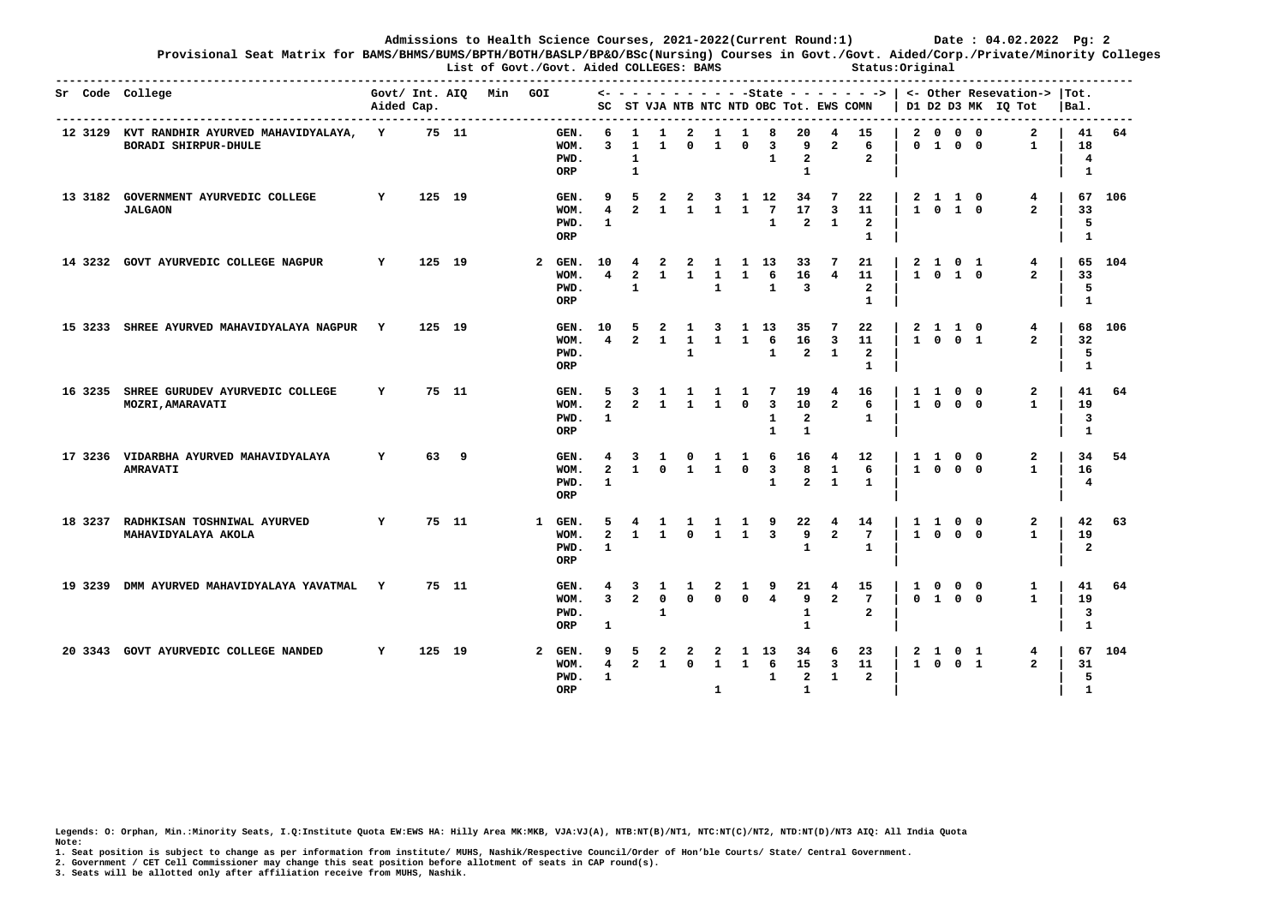**Provisional Seat Matrix for BAMS/BHMS/BUMS/BPTH/BOTH/BASLP/BP&O/BSc(Nursing) Courses in Govt./Govt. Aided/Corp./Private/Minority Colleges List of Govt./Govt. Aided COLLEGES: BAMS Status:Original** 

|         | ---------------<br>Sr Code College                                   | Aided Cap.   |        |       | Govt/ Int. AIQ Min GOI |                |                                |                                     |                                        |                                |                                   |                                              |                              |                                              |                                            |                                                         | SC ST VJA NTB NTC NTD OBC Tot. EWS COMN    |                   |                                        |                          | $\leftarrow$ - - - - - - - - - -State - - - - - - - >   <- Other Resevation->  Tot.<br>  D1 D2 D3 MK IQ Tot | $ $ Bal.                      |        |
|---------|----------------------------------------------------------------------|--------------|--------|-------|------------------------|----------------|--------------------------------|-------------------------------------|----------------------------------------|--------------------------------|-----------------------------------|----------------------------------------------|------------------------------|----------------------------------------------|--------------------------------------------|---------------------------------------------------------|--------------------------------------------|-------------------|----------------------------------------|--------------------------|-------------------------------------------------------------------------------------------------------------|-------------------------------|--------|
|         | 12 3129 KVT RANDHIR AYURVED MAHAVIDYALAYA, Y<br>BORADI SHIRPUR-DHULE |              |        | 75 11 |                        |                | GEN.<br>WOM.<br>PWD.<br>ORP    | 6<br>$\mathbf{3}$                   | 1<br>$\mathbf{1}$<br>1<br>$\mathbf{1}$ | 1<br>$\mathbf{1}$              | 2<br>$\Omega$                     | 1<br>$\mathbf{1}$                            | 1<br>$\Omega$                | 8<br>3<br>$\mathbf{1}$                       | 20<br>9<br>$\overline{a}$<br>$\mathbf{1}$  | $\overline{a}$                                          | 15<br>6<br>$\overline{a}$                  |                   | 2000<br>$0$ 1 0 0                      |                          | $\mathbf{2}$<br>$\mathbf{1}$                                                                                | 41<br>18<br>4<br>$\mathbf{1}$ | 64     |
| 13 3182 | GOVERNMENT AYURVEDIC COLLEGE<br><b>JALGAON</b>                       | $\mathbf{Y}$ | 125 19 |       |                        |                | GEN.<br>WOM.<br>PWD.<br>ORP    | 9<br>$\overline{4}$<br>1            | 5<br>$\overline{2}$                    | $\overline{a}$<br>$\mathbf{1}$ | $\overline{2}$<br>$\mathbf{1}$    | $\overline{\mathbf{3}}$<br>$\mathbf{1}$      | $\mathbf{1}$                 | 1 12<br>$7\phantom{.0}$<br>$\mathbf{1}$      | 34<br>17<br>$\overline{a}$                 | -7<br>$\overline{\mathbf{3}}$<br>$\mathbf{1}$           | 22<br>11<br>$\overline{a}$<br>$\mathbf{1}$ |                   | 2 1 1 0<br>1 0 1 0                     |                          | 4<br>$\overline{2}$                                                                                         | 33<br>5<br>-1                 | 67 106 |
| 14 3232 | GOVT AYURVEDIC COLLEGE NAGPUR                                        | Y            | 125 19 |       |                        | $\overline{a}$ | GEN.<br>WOM.<br>PWD.<br>ORP    | 10<br>$\overline{4}$                | 4<br>$\overline{2}$<br>1               | 2<br>$\mathbf{1}$              | 2<br>$\mathbf{1}$                 | $\mathbf{1}$<br>$\mathbf{1}$<br>$\mathbf{1}$ | $\mathbf{1}$                 | 1 13<br>6<br>$\mathbf{1}$                    | 33<br>16<br>3                              | -7<br>$\overline{a}$                                    | 21<br>11<br>$\mathbf{2}$<br>1              |                   | 2 1<br>$1 \t0 \t1 \t0$                 | $0\quad1$                | 4<br>$\overline{2}$                                                                                         | 33<br>5<br>1                  | 65 104 |
| 15 3233 | SHREE AYURVED MAHAVIDYALAYA NAGPUR Y                                 |              | 125 19 |       |                        |                | GEN. 10<br>WOM.<br>PWD.<br>ORP | $\overline{4}$                      | 5<br>$\overline{2}$                    | 2<br>$\mathbf{1}$              | $\mathbf{1}$<br>$\mathbf{1}$<br>1 | $\mathbf{3}$<br>$\mathbf{1}$                 | $\mathbf{1}$<br>$\mathbf{1}$ | 13<br>6<br>$\mathbf{1}$                      | 35<br>16<br>$\mathbf{2}$                   | -7<br>$\overline{\mathbf{3}}$<br>$\mathbf{1}$           | 22<br>11<br>$\overline{a}$<br>$\mathbf{1}$ |                   | 2 1 1 0<br>$1 \quad 0 \quad 0 \quad 1$ |                          | 4<br>$\overline{2}$                                                                                         | 32<br>5<br>$\mathbf{1}$       | 68 106 |
|         | 16 3235 SHREE GURUDEV AYURVEDIC COLLEGE<br>MOZRI, AMARAVATI          | Y            |        | 75 11 |                        |                | GEN.<br>WOM.<br>PWD.<br>ORP    | 5<br>$\overline{2}$<br>$\mathbf{1}$ | 3<br>$\overline{2}$                    | $\mathbf{1}$<br>$\mathbf{1}$   | $\mathbf{1}$<br>$\overline{1}$    | -1<br>$\overline{1}$                         | -1<br>$\Omega$               | 7<br>$\overline{3}$<br>1<br>1                | 19<br>10<br>$\mathbf{2}$<br>$\mathbf{1}$   | 4<br>$\overline{a}$                                     | 16<br>6<br>1                               |                   | 1 1 0 0<br>1 0 0 0                     |                          | 2<br>$\mathbf{1}$                                                                                           | 41<br>19<br>3<br>$\mathbf{1}$ | 64     |
|         | 17 3236 VIDARBHA AYURVED MAHAVIDYALAYA<br><b>AMRAVATI</b>            | Y            |        | 63 9  |                        |                | GEN.<br>WOM.<br>PWD.<br>ORP    | 4<br>$\overline{a}$<br>$\mathbf{1}$ | 3<br>$\mathbf{1}$                      | $\mathbf{1}$<br>$\Omega$       | $^{\circ}$<br>$\mathbf{1}$        | $\mathbf{1}$<br>$\mathbf{1}$                 | 1<br>$\Omega$                | 6<br>$\overline{\mathbf{3}}$<br>$\mathbf{1}$ | 16<br>8<br>$\overline{a}$                  | $\overline{\mathbf{4}}$<br><sup>1</sup><br>$\mathbf{1}$ | 12<br>6<br>$\mathbf{1}$                    | $\mathbf{1}$      | $\mathbf{1}$<br>1 0 0 0                | $0\quad 0$               | 2<br>$\mathbf{1}$                                                                                           | 34<br>16<br>4                 | -54    |
|         | 18 3237 RADHKISAN TOSHNIWAL AYURVED<br>MAHAVIDYALAYA AKOLA           | Y            |        | 75 11 |                        | 1              | GEN.<br>WOM.<br>PWD.<br>ORP    | 5<br>$\overline{a}$<br>$\mathbf{1}$ | 4<br>$\mathbf{1}$                      | -1<br>$\mathbf{1}$             | $\mathbf{1}$<br>$\Omega$          | -1<br>$\mathbf{1}$                           | $\mathbf{1}$<br>$\mathbf{1}$ | 9<br>$\overline{\mathbf{3}}$                 | 22<br>9<br>$\mathbf{1}$                    | - 4<br>$\overline{a}$                                   | 14<br>7<br>$\mathbf{1}$                    | $\mathbf{1}$      | $\mathbf{1}$<br>$\Omega$               | $0\quad 0$<br>$0\quad 0$ | 2<br>$\mathbf{1}$                                                                                           | 42<br>19<br>$\overline{a}$    | 63     |
| 19 3239 | DMM AYURVED MAHAVIDYALAYA YAVATMAL Y                                 |              |        | 75 11 |                        |                | GEN.<br>WOM.<br>PWD.<br>ORP    | 4<br>$\overline{3}$<br>1            | 3<br>$\overline{2}$                    | 1<br>$\Omega$<br>$\mathbf{1}$  | -1<br>$\Omega$                    | 2<br>$\Omega$                                | 1<br>$\Omega$                | 9<br>$\overline{4}$                          | 21<br>9<br>1<br>$\mathbf{1}$               | 4<br>$\overline{2}$                                     | 15<br>$7\phantom{.0}$<br>$\overline{a}$    | 1<br>$\Omega$     | $\Omega$<br>1 0 0                      | $0\quad 0$               | 1<br>$\mathbf{1}$                                                                                           | 41<br>19<br>3<br>$\mathbf{1}$ | 64     |
|         | 20 3343 GOVT AYURVEDIC COLLEGE NANDED                                | Y            | 125 19 |       |                        | 2              | GEN.<br>WOM.<br>PWD.<br>ORP    | 9<br>4<br>1                         | -5<br>$\overline{2}$                   | 2<br>$\mathbf{1}$              | 2<br>$\Omega$                     | 2<br>$\mathbf{1}$<br>1                       | 1<br>$\mathbf{1}$            | 13<br>6<br>$\mathbf{1}$                      | 34<br>15<br>$\overline{a}$<br>$\mathbf{1}$ | 6<br>$\overline{\mathbf{3}}$<br>1                       | 23<br>11<br>$\mathbf{2}$                   | 2<br>$\mathbf{1}$ | $\mathbf{1}$<br>$\Omega$               | $0\quad1$<br>$0 \quad 1$ | 4<br>$\overline{2}$                                                                                         | 67<br>31<br>5<br>$\mathbf{1}$ | 104    |

**Legends: O: Orphan, Min.:Minority Seats, I.Q:Institute Quota EW:EWS HA: Hilly Area MK:MKB, VJA:VJ(A), NTB:NT(B)/NT1, NTC:NT(C)/NT2, NTD:NT(D)/NT3 AIQ: All India Quota Note:** 

**1. Seat position is subject to change as per information from institute/ MUHS, Nashik/Respective Council/Order of Hon'ble Courts/ State/ Central Government.** 

**2. Government / CET Cell Commissioner may change this seat position before allotment of seats in CAP round(s).**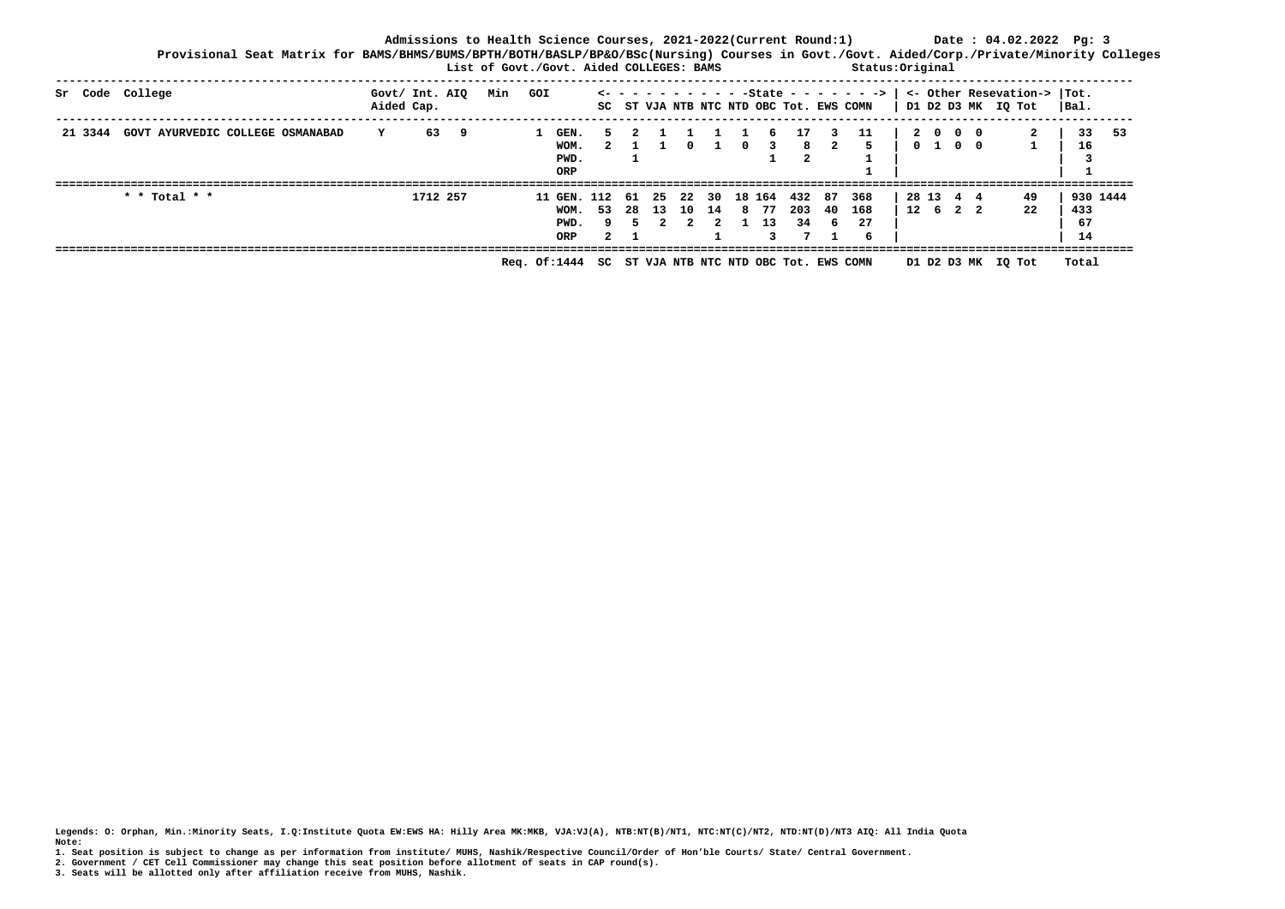| Provisional Seat Matrix for BAMS/BHMS/BUMS/BPTH/BOTH/BASLP/BP&O/BSc(Nursing) Courses in Govt./Govt. Aided/Corp./Private/Minority Colleges |                              |          |      | List of Govt./Govt. Aided COLLEGES: BAMS |                                    |     |           |            |            |              |              |             |                     |           | Status: Original                                                                                |     |                       |                   |                                                   |                 |          |
|-------------------------------------------------------------------------------------------------------------------------------------------|------------------------------|----------|------|------------------------------------------|------------------------------------|-----|-----------|------------|------------|--------------|--------------|-------------|---------------------|-----------|-------------------------------------------------------------------------------------------------|-----|-----------------------|-------------------|---------------------------------------------------|-----------------|----------|
| Sr Code College                                                                                                                           | Govt/ Int. AIQ<br>Aided Cap. |          |      | Min GOI                                  |                                    |     |           |            |            |              |              |             |                     |           | $\le -$ - - - - - - - - - - - State - - - - - - ->  <br>SC ST VJA NTB NTC NTD OBC Tot. EWS COMN |     |                       |                   | <- Other Resevation->  Tot.<br>D1 D2 D3 MK IQ Tot | Bal.            |          |
| GOVT AYURVEDIC COLLEGE OSMANABAD<br>21 3344                                                                                               | Y                            |          | 63 9 |                                          | GEN.<br>WOM.<br>PWD.<br>ORP        |     |           |            |            |              | n.           |             | 17<br>8             |           | 11                                                                                              | 0 1 | 2000                  | $\Omega$ $\Omega$ | $\mathbf{2}$                                      | 16              | 33 53    |
| * * Total * *                                                                                                                             |                              | 1712 257 |      |                                          | 11 GEN, 112<br>WOM.<br>PWD.<br>ORP | 53. | 61<br>-28 | 25<br>- 13 | 10 14<br>2 | $\mathbf{2}$ | 22 30 18 164 | 877<br>1 13 | 432 87<br>203<br>34 | -40<br>6. | 368<br>168<br>27<br>6                                                                           |     | 28 13 4 4<br>12 6 2 2 |                   | 49<br>22                                          | 433<br>67<br>14 | 930 1444 |

 **Req. Of:1444 SC ST VJA NTB NTC NTD OBC Tot. EWS COMN D1 D2 D3 MK IQ Tot Total** 

**Legends: O: Orphan, Min.:Minority Seats, I.Q:Institute Quota EW:EWS HA: Hilly Area MK:MKB, VJA:VJ(A), NTB:NT(B)/NT1, NTC:NT(C)/NT2, NTD:NT(D)/NT3 AIQ: All India Quota Note:** 

**1. Seat position is subject to change as per information from institute/ MUHS, Nashik/Respective Council/Order of Hon'ble Courts/ State/ Central Government.** 

**2. Government / CET Cell Commissioner may change this seat position before allotment of seats in CAP round(s).**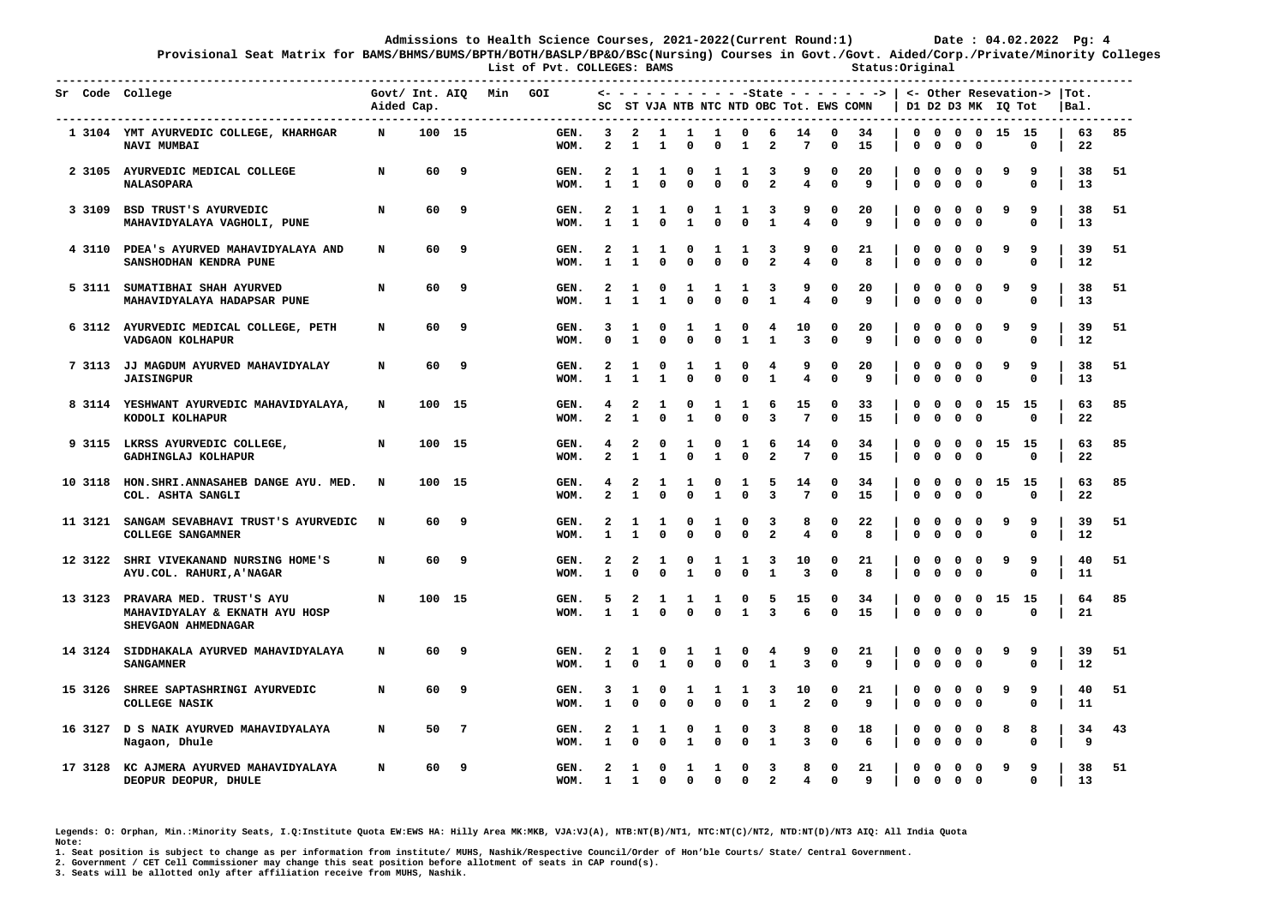**-------------------------------------------------------------------------------------------------------------------------------------------------------------** 

**Provisional Seat Matrix for BAMS/BHMS/BUMS/BPTH/BOTH/BASLP/BP&O/BSc(Nursing) Courses in Govt./Govt. Aided/Corp./Private/Minority Colleges List of Pvt. COLLEGES: BAMS** Status:Original

**Sr Code College Govt/ Int. AIQ Min GOI <- - - - - - - - - - -State - - - - - - -> | <- Other Resevation-> |Tot. Aided Cap. SC ST VJA NTB NTC NTD OBC Tot. EWS COMN | D1 D2 D3 MK IQ Tot |Bal. ------------------------------------------------------------------------------------------------------------------------------------------------------------- 1 3104 YMT AYURVEDIC COLLEGE, KHARHGAR N 100 15 GEN. 3 2 1 1 1 0 6 14 0 34 | 0 0 0 0 15 15 | 63 85 NAVI MUMBAI WOM. 2 1 1 0 0 1 2 7 0 15 | 0 0 0 0 0 | 22 2 3105 AYURVEDIC MEDICAL COLLEGE N 60 9 GEN. 2 1 1 0 1 1 3 9 0 20 | 0 0 0 0 9 9 | 38 51 NALASOPARA WOM. 1 1 0 0 0 0 2 4 0 9 | 0 0 0 0 0 | 13 3 3109 BSD TRUST'S AYURVEDIC N 60 9 GEN. 2 1 1 0 1 1 3 9 0 20 | 0 0 0 0 9 9 | 38 51 MAHAVIDYALAYA VAGHOLI, PUNE WOM. 1 1 0 1 0 0 1 4 0 9 | 0 0 0 0 0 | 13 4 3110 PDEA's AYURVED MAHAVIDYALAYA AND N 60 9 GEN. 2 1 1 0 1 1 3 9 0 21 | 0 0 0 0 9 9 | 39 51 SANSHODHAN KENDRA PUNE WOM. 1 1 0 0 0 0 2 4 0 8 | 0 0 0 0 0 | 12 5 3111 SUMATIBHAI SHAH AYURVED N 60 9 GEN. 2 1 0 1 1 1 3 9 0 20 | 0 0 0 0 9 9 | 38 51 MAHAVIDYALAYA HADAPSAR PUNE WOM. 1 1 1 0 0 0 1 4 0 9 | 0 0 0 0 0 | 13 6 3112 AYURVEDIC MEDICAL COLLEGE, PETH N 60 9 GEN. 3 1 0 1 1 0 4 10 0 20 | 0 0 0 0 9 9 | 39 51 VADGAON KOLHAPUR WOM. 0 1 0 0 0 1 1 3 0 9 | 0 0 0 0 0 | 12 7 3113 JJ MAGDUM AYURVED MAHAVIDYALAY N 60 9 GEN. 2 1 0 1 1 0 4 9 0 20 | 0 0 0 0 9 9 | 38 51 JAISINGPUR WOM. 1 1 1 0 0 0 1 4 0 9 | 0 0 0 0 0 | 13 8 3114 YESHWANT AYURVEDIC MAHAVIDYALAYA, N 100 15 GEN. 4 2 1 0 1 1 6 15 0 33 | 0 0 0 0 15 15 | 63 85 KODOLI KOLHAPUR WOM. 2 1 0 1 0 0 3 7 0 15 | 0 0 0 0 0 | 22 9 3115 LKRSS AYURVEDIC COLLEGE, N 100 15 GEN. 4 2 0 1 0 1 6 14 0 34 | 0 0 0 0 15 15 | 63 85 GADHINGLAJ KOLHAPUR WOM. 2 1 1 0 1 0 2 7 0 15 | 0 0 0 0 0 | 22 10 3118 HON.SHRI.ANNASAHEB DANGE AYU. MED. N 100 15 GEN. 4 2 1 1 0 1 5 14 0 34 | 0 0 0 0 15 15 | 63 85 COL. ASHTA SANGLI WOM. 2 1 0 0 1 0 3 7 0 15 | 0 0 0 0 0 | 22 11 3121 SANGAM SEVABHAVI TRUST'S AYURVEDIC N 60 9 GEN. 2 1 1 0 1 0 3 8 0 22 | 0 0 0 0 9 9 | 39 51 COLLEGE SANGAMNER WOM. 1 1 0 0 0 0 2 4 0 8 | 0 0 0 0 0 | 12 12 3122 SHRI VIVEKANAND NURSING HOME'S N 60 9 GEN. 2 2 1 0 1 1 3 10 0 21 | 0 0 0 0 9 9 | 40 51 AYU.COL. RAHURI,A'NAGAR WOM. 1 0 0 1 0 0 1 3 0 8 | 0 0 0 0 0 | 11 13 3123 PRAVARA MED. TRUST'S AYU N 100 15 GEN. 5 2 1 1 1 0 5 15 0 34 | 0 0 0 0 15 15 | 64 85 MAHAVIDYALAY & EKNATH AYU HOSP WOM. 1 1 0 0 0 1 3 6 0 15 | 0 0 0 0 0 | 21 SHEVGAON AHMEDNAGAR 14 3124 SIDDHAKALA AYURVED MAHAVIDYALAYA N 60 9 GEN. 2 1 0 1 1 0 4 9 0 21 | 0 0 0 0 9 9 | 39 51 SANGAMNER WOM. 1 0 1 0 0 0 1 3 0 9 | 0 0 0 0 0 | 12 15 3126 SHREE SAPTASHRINGI AYURVEDIC N 60 9 GEN. 3 1 0 1 1 1 3 10 0 21 | 0 0 0 0 9 9 | 40 51 COLLEGE NASIK WOM. 1 0 0 0 0 0 1 2 0 9 | 0 0 0 0 0 | 11 16 3127 D S NAIK AYURVED MAHAVIDYALAYA N 50 7 GEN. 2 1 1 0 1 0 3 8 0 18 | 0 0 0 0 8 8 | 34 43 Nagaon, Dhule WOM. 1 0 0 1 0 0 1 3 0 6 | 0 0 0 0 0 | 9 17 3128 KC AJMERA AYURVED MAHAVIDYALAYA N 60 9 GEN. 2 1 0 1 1 0 3 8 0 21 | 0 0 0 0 9 9 | 38 51 DEOPUR DEOPUR, DHULE WOM. 1 1 0 0 0 0 2 4 0 9 | 0 0 0 0 0 | 13** 

**Legends: O: Orphan, Min.:Minority Seats, I.Q:Institute Quota EW:EWS HA: Hilly Area MK:MKB, VJA:VJ(A), NTB:NT(B)/NT1, NTC:NT(C)/NT2, NTD:NT(D)/NT3 AIQ: All India Quota Note:** 

**1. Seat position is subject to change as per information from institute/ MUHS, Nashik/Respective Council/Order of Hon'ble Courts/ State/ Central Government.** 

**2. Government / CET Cell Commissioner may change this seat position before allotment of seats in CAP round(s).**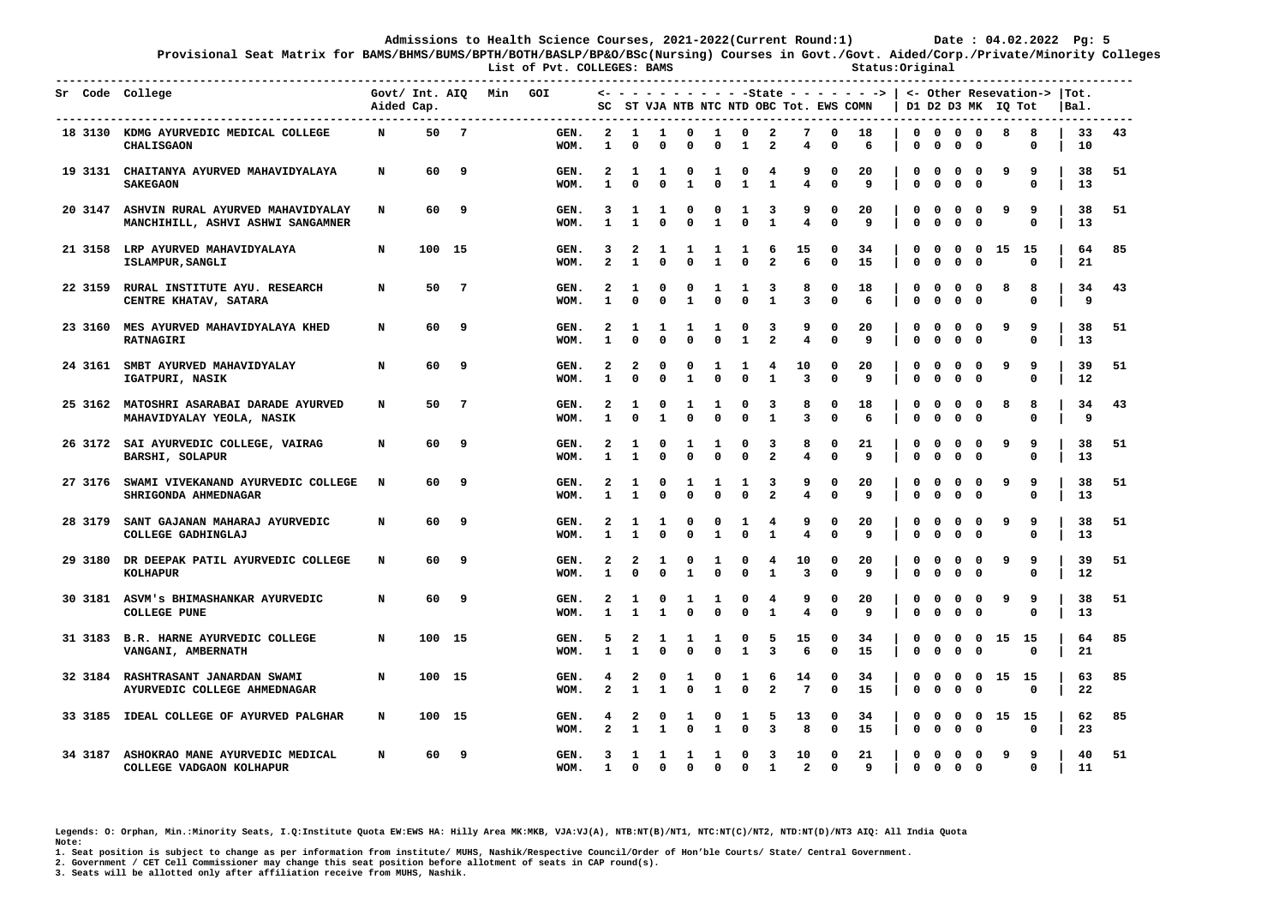**Provisional Seat Matrix for BAMS/BHMS/BUMS/BPTH/BOTH/BASLP/BP&O/BSc(Nursing) Courses in Govt./Govt. Aided/Corp./Private/Minority Colleges List of Pvt. COLLEGES: BAMS Status:Original** 

|         | Sr Code College<br>-------------------                                         | Aided Cap. | Govt/ Int. AIQ |                 | Min | GOI          | SC                           |                    |                   |                   |                   |                         |                              | ST VJA NTB NTC NTD OBC Tot. EWS COMN |                   | $\leftarrow$ - - - - - - - - - -State - - - - - - - >   <- Other Resevation-> |                                                |                   | D1 D2 D3 MK                 |    | IQ Tot           | ITot.<br> Bal. |    |
|---------|--------------------------------------------------------------------------------|------------|----------------|-----------------|-----|--------------|------------------------------|--------------------|-------------------|-------------------|-------------------|-------------------------|------------------------------|--------------------------------------|-------------------|-------------------------------------------------------------------------------|------------------------------------------------|-------------------|-----------------------------|----|------------------|----------------|----|
|         | 18 3130 KDMG AYURVEDIC MEDICAL COLLEGE<br><b>CHALISGAON</b>                    | N          | 50             | -7              |     | GEN.<br>WOM. | 2<br>1                       | -1<br>$\mathbf{0}$ | 1<br>$\mathbf{0}$ | 0<br>$\Omega$     | 1<br>$\Omega$     | 0<br>$\mathbf{1}$       | 2<br>$\mathbf{z}$            | 7<br>4                               | 0<br>$\mathbf{0}$ | 18<br>6                                                                       | $\mathbf 0$<br>$\mathbf 0$<br>0<br>$\mathbf 0$ | 0<br>$\mathbf{0}$ | $\mathbf{o}$<br>$\mathbf 0$ | 8  | 8<br>0           | 33<br>10       | 43 |
|         | 19 3131 CHAITANYA AYURVED MAHAVIDYALAYA<br><b>SAKEGAON</b>                     | N          | 60             | 9               |     | GEN.<br>WOM. | 2<br>1                       | 1<br>$\Omega$      | 1<br>$\mathbf 0$  | 0<br>$\mathbf{1}$ | 1<br>$\Omega$     | 0<br>$\mathbf{1}$       | 4<br>$\mathbf{1}$            | 9<br>4                               | 0<br>$\Omega$     | 20<br>9                                                                       | 0<br>0<br>0<br>$\Omega$                        | O<br>$\Omega$     | 0<br>$\Omega$               | 9  | 9<br>$\Omega$    | 38<br>13       | 51 |
|         | 20 3147 ASHVIN RURAL AYURVED MAHAVIDYALAY<br>MANCHIHILL, ASHVI ASHWI SANGAMNER | N          | 60             | 9               |     | GEN.<br>WOM. | 3<br>$\mathbf{1}$            | 1<br>$\mathbf{1}$  | 1<br>$\mathbf 0$  | 0<br>0            | 0<br>$\mathbf{1}$ | 1<br>$\mathbf 0$        | 3<br>$\mathbf{1}$            | 9<br>4                               | 0<br>$\Omega$     | 20<br>9                                                                       | 0<br>$\Omega$<br>0<br>$\mathbf 0$              | O<br>0            | $\Omega$<br>$\mathbf 0$     | -9 | 9<br>$\mathbf 0$ | 38<br>13       | 51 |
|         | 21 3158 LRP AYURVED MAHAVIDYALAYA<br>ISLAMPUR, SANGLI                          | N          | 100 15         |                 |     | GEN.<br>WOM. | 3<br>$\mathbf{z}$            | 2<br>$\mathbf{1}$  | 1<br>$\mathbf{0}$ | 1<br>$\Omega$     | 1<br>$\mathbf{1}$ | 1<br>$\Omega$           | 6<br>$\overline{\mathbf{2}}$ | 15<br>6                              | 0<br>$\Omega$     | 34<br>15                                                                      | 0<br>0<br>0<br>$\mathbf 0$                     | 0<br>$\mathbf{0}$ | $\mathbf{o}$<br>$\mathbf 0$ | 15 | - 15<br>$\Omega$ | 64<br>21       | 85 |
| 22 3159 | RURAL INSTITUTE AYU. RESEARCH<br>CENTRE KHATAV, SATARA                         | N          | 50             | $7\phantom{.0}$ |     | GEN.<br>WOM. | 2<br>$\mathbf{1}$            | 1<br>$\Omega$      | 0<br>$\mathbf 0$  | 0<br>$\mathbf{1}$ | 1<br>$\Omega$     | 1<br>$\Omega$           | з<br>$\mathbf{1}$            | 8<br>3                               | 0<br>$\Omega$     | 18<br>6                                                                       | 0<br>0<br>0<br>$\Omega$                        | 0<br>0            | 0<br>0                      | 8  | 8<br>$\Omega$    | 34<br>9        | 43 |
| 23 3160 | MES AYURVED MAHAVIDYALAYA KHED<br><b>RATNAGIRI</b>                             | N          | 60             | 9               |     | GEN.<br>WOM. | 2<br>$\mathbf{1}$            | 1<br>$\Omega$      | 1<br>$\mathbf 0$  | 1<br>$\Omega$     | 1<br>$\Omega$     | 0<br>$\mathbf{1}$       | 3<br>$\overline{2}$          | 9<br>4                               | 0<br>$\Omega$     | 20<br>q                                                                       | 0<br>0<br>0<br>$\mathbf 0$                     | O<br>0            | O<br>$\mathbf 0$            | ٩  | 9<br>$\Omega$    | 38<br>13       | 51 |
| 24 3161 | SMBT AYURVED MAHAVIDYALAY<br>IGATPURI, NASIK                                   | N          | 60             | 9               |     | GEN.<br>WOM. | 2<br>1                       | 2<br>$\Omega$      | 0<br>$\Omega$     | 0<br>$\mathbf{1}$ | 1<br>$\Omega$     | 1<br>$\Omega$           | 4<br>$\mathbf{1}$            | 10<br>3                              | 0<br>$\Omega$     | 20<br>9                                                                       | 0<br>0<br>0<br>$\mathbf 0$                     | 0<br>$\mathbf 0$  | 0<br>$\mathbf 0$            | 9  | 9<br>$\mathbf 0$ | 39<br>12       | 51 |
|         | 25 3162 MATOSHRI ASARABAI DARADE AYURVED<br>MAHAVIDYALAY YEOLA, NASIK          | N          | 50             | 7               |     | GEN.<br>WOM. | $\mathbf{2}$<br>1            | -1<br>$\mathbf 0$  | 0<br>$\mathbf{1}$ | 1<br>0            | 1<br>0            | $\Omega$<br>$\mathbf 0$ | 3<br>$\mathbf{1}$            | 8<br>3                               | 0<br>0            | 18<br>6                                                                       | 0<br>0<br>$\mathbf 0$<br>$\mathbf 0$           | 0<br>0            | 0<br>$\mathbf{o}$           | 8  | 8<br>0           | 34<br>9        | 43 |
|         | 26 3172 SAI AYURVEDIC COLLEGE, VAIRAG<br><b>BARSHI, SOLAPUR</b>                | N          | 60             | 9               |     | GEN.<br>WOM. | $\mathbf{2}$<br>1            | 1<br>1             | 0<br>$\mathbf{0}$ | 1<br>$\Omega$     | 1<br>$\mathbf{0}$ | 0<br>$\mathbf 0$        | 3<br>$\overline{a}$          | 8<br>4                               | 0<br>$\mathbf{0}$ | 21<br>q                                                                       | 0<br>0<br>0<br>$\mathbf 0$                     | 0<br>$\mathbf{0}$ | $\mathbf{o}$<br>$\Omega$    | 9  | 9<br>$\mathbf 0$ | 38<br>13       | 51 |
|         | 27 3176 SWAMI VIVEKANAND AYURVEDIC COLLEGE<br>SHRIGONDA AHMEDNAGAR             | N          | 60             | 9               |     | GEN.<br>WOM. | 2<br>1                       | 1<br>$\mathbf{1}$  | 0<br>$\mathbf 0$  | 1<br>$\Omega$     | 1<br>$\Omega$     | 1<br>$\Omega$           | 3<br>$\overline{\mathbf{2}}$ | 9<br>4                               | 0<br>$\Omega$     | 20<br>9                                                                       | 0<br>0<br>0<br>$\mathbf 0$                     | 0<br>$\mathbf{0}$ | $\mathbf{o}$<br>$\Omega$    | 9  | 9<br>$\Omega$    | 38<br>13       | 51 |
| 28 3179 | SANT GAJANAN MAHARAJ AYURVEDIC<br>COLLEGE GADHINGLAJ                           | N          | 60             | 9               |     | GEN.<br>WOM. | 2<br>$\mathbf{1}$            | 1<br>$\mathbf{1}$  | 1<br>$\mathbf 0$  | 0<br>$\Omega$     | 0<br>$\mathbf{1}$ | 1<br>$\Omega$           | 4<br>$\mathbf{1}$            | 9<br>4                               | 0<br>$\Omega$     | 20<br>q                                                                       | 0<br>0<br>0<br>$\mathbf 0$                     | 0<br>$\mathbf 0$  | 0<br>$\Omega$               | ٩  | 9<br>$\mathbf 0$ | 38<br>13       | 51 |
| 29 3180 | DR DEEPAK PATIL AYURVEDIC COLLEGE<br><b>KOLHAPUR</b>                           | N          | 60             | 9               |     | GEN.<br>WOM. | $\mathbf{2}$<br>$\mathbf{1}$ | 2<br>$\mathbf{0}$  | 1<br>$\mathbf{0}$ | 0<br>$\mathbf{1}$ | 1<br>$\Omega$     | 0<br>$\Omega$           | 4<br>$\mathbf{1}$            | 10<br>3                              | 0<br>$\mathbf{0}$ | 20<br>q                                                                       | 0<br>0<br>0<br>$\Omega$                        | 0<br>$\mathbf 0$  | 0<br>$\mathbf{0}$           | 9  | 9<br>$\Omega$    | 39<br>12       | 51 |
|         | 30 3181 ASVM'S BHIMASHANKAR AYURVEDIC<br><b>COLLEGE PUNE</b>                   | N          | 60             | 9               |     | GEN.<br>WOM. | 2<br>1                       | 1<br>$\mathbf{1}$  | 0<br>$\mathbf{1}$ | 1<br>$\Omega$     | 1<br>$\Omega$     | 0<br>$\Omega$           | 4<br>$\mathbf{1}$            | 9<br>4                               | 0<br>$\Omega$     | 20<br>9                                                                       | 0<br>0<br>0<br>$\Omega$                        | O<br>$\Omega$     | 0<br>0                      | 9  | 9<br>$\Omega$    | 38<br>13       | 51 |
|         | 31 3183 B.R. HARNE AYURVEDIC COLLEGE<br>VANGANI, AMBERNATH                     | N          | 100 15         |                 |     | GEN.<br>WOM. | 5<br>$\mathbf{1}$            | 2<br>$\mathbf{1}$  | 1<br>$\mathbf 0$  | 1<br>$\Omega$     | 1<br>$\Omega$     | 0<br>$\mathbf{1}$       | 5<br>$\overline{3}$          | 15<br>6                              | 0<br>$\mathbf 0$  | 34<br>15                                                                      | 0<br>$\Omega$<br>0<br>$\mathbf 0$              | O<br>0            | 0<br>$\mathbf 0$            | 15 | -15<br>$\Omega$  | 64<br>21       | 85 |
|         | 32 3184 RASHTRASANT JANARDAN SWAMI<br>AYURVEDIC COLLEGE AHMEDNAGAR             | N          | 100 15         |                 |     | GEN.<br>WOM. | 4<br>$\mathbf{z}$            | 2<br>$\mathbf{1}$  | 0<br>$\mathbf{1}$ | 1<br>$\Omega$     | 0<br>$\mathbf{1}$ | 1<br>$\Omega$           | 6<br>$\overline{a}$          | 14<br>7                              | 0<br>$\Omega$     | 34<br>15                                                                      | 0<br>0<br>0<br>$\mathbf 0$                     | 0<br>$\mathbf{0}$ | 0<br>$\mathbf 0$            | 15 | -15<br>$\Omega$  | 63<br>22       | 85 |
| 33 3185 | IDEAL COLLEGE OF AYURVED PALGHAR                                               | N          | 100 15         |                 |     | GEN.<br>WOM. | 4<br>$\mathbf{2}$            | 2<br>$\mathbf{1}$  | 0<br>$\mathbf{1}$ | 1<br>$\Omega$     | 0<br>$\mathbf{1}$ | 1<br>$\Omega$           | 5<br>$\overline{3}$          | 13<br>8                              | 0<br>0            | 34<br>15                                                                      | 0<br>0<br>0<br>$\mathbf 0$                     | 0<br>$\Omega$     | 0<br>$\mathbf 0$            | 15 | - 15<br>$\Omega$ | 62<br>23       | 85 |
|         | 34 3187 ASHOKRAO MANE AYURVEDIC MEDICAL<br>COLLEGE VADGAON KOLHAPUR            | N          | 60             | 9               |     | GEN.<br>WOM. | 3<br>$\mathbf{1}$            | 1<br>$\Omega$      | 1<br>$\Omega$     | 1<br>$\Omega$     | 1<br>$\Omega$     | O<br>$\Omega$           | 3<br>$\mathbf{1}$            | 10<br>$\overline{2}$                 | 0<br>$^{\circ}$   | 21<br>q                                                                       | 0<br>$\mathbf 0$<br>0<br>$\mathbf 0$           | 0<br>$\mathbf{0}$ | 0<br>$^{\circ}$             | 9  | 9<br>$\Omega$    | 40<br>11       | 51 |

**Legends: O: Orphan, Min.:Minority Seats, I.Q:Institute Quota EW:EWS HA: Hilly Area MK:MKB, VJA:VJ(A), NTB:NT(B)/NT1, NTC:NT(C)/NT2, NTD:NT(D)/NT3 AIQ: All India Quota Note:** 

**1. Seat position is subject to change as per information from institute/ MUHS, Nashik/Respective Council/Order of Hon'ble Courts/ State/ Central Government.** 

**2. Government / CET Cell Commissioner may change this seat position before allotment of seats in CAP round(s).**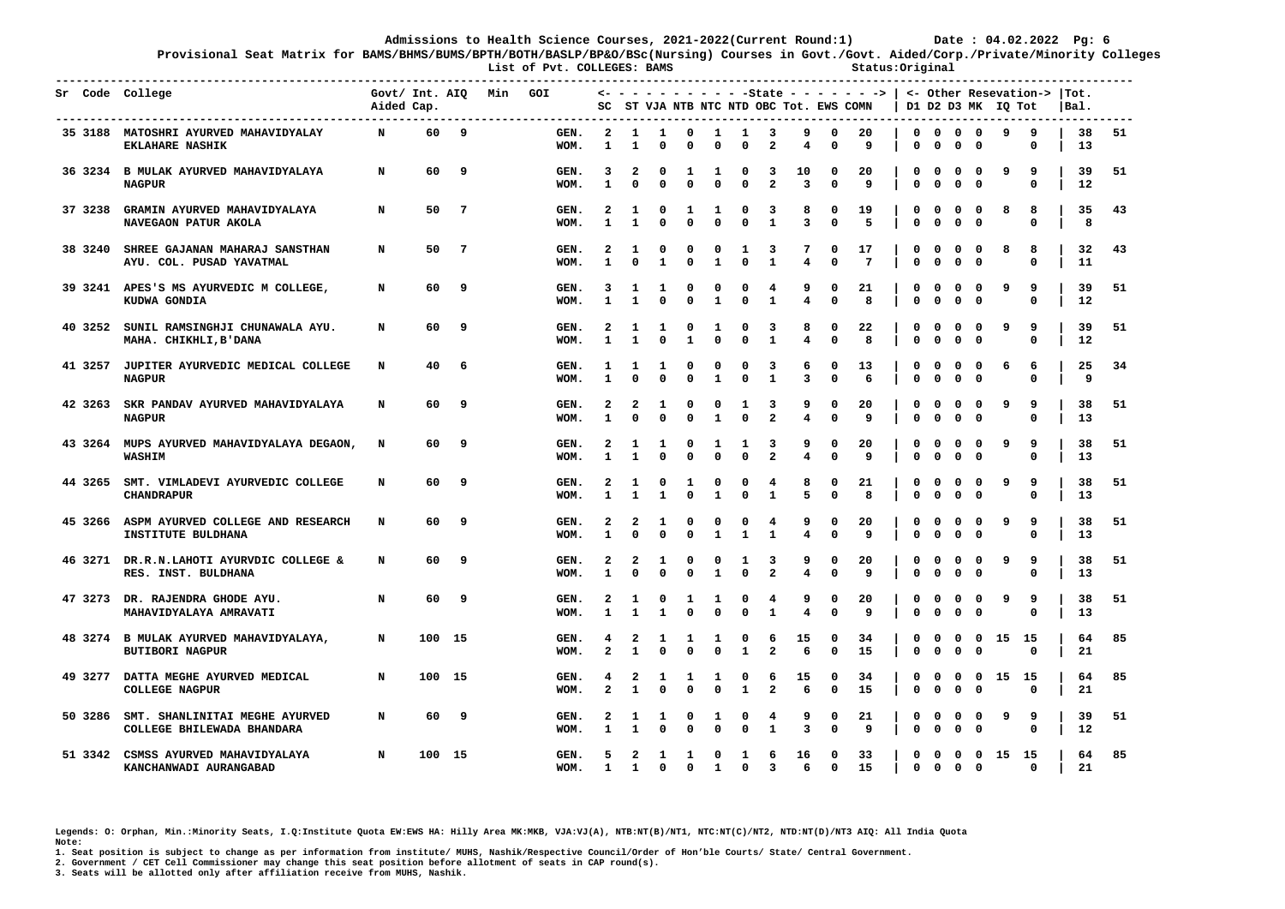**Provisional Seat Matrix for BAMS/BHMS/BUMS/BPTH/BOTH/BASLP/BP&O/BSc(Nursing) Courses in Govt./Govt. Aided/Corp./Private/Minority Colleges**

 **List of Pvt. COLLEGES: BAMS Status:Original** 

|  | Sr Code College                                                      | Govt/ Int. AIQ<br>Aided Cap. |        |    | Min | GOI          |                              |                                        |                   |                              |                              |                          |                              | SC ST VJA NTB NTC NTD OBC Tot. EWS COMN |                          | $\leftarrow$ - - - - - - - - - -State - - - - - - - >   <- Other Resevation->  Tot. |                  |                             |                           |                                     | D1 D2 D3 MK IQ Tot |                  | Bal.     |    |
|--|----------------------------------------------------------------------|------------------------------|--------|----|-----|--------------|------------------------------|----------------------------------------|-------------------|------------------------------|------------------------------|--------------------------|------------------------------|-----------------------------------------|--------------------------|-------------------------------------------------------------------------------------|------------------|-----------------------------|---------------------------|-------------------------------------|--------------------|------------------|----------|----|
|  | 35 3188 MATOSHRI AYURVED MAHAVIDYALAY<br><b>EKLAHARE NASHIK</b>      | N                            | 60     | 9  |     | GEN.<br>WOM. | 2<br>1                       | 1<br>1                                 | 1<br>$\mathbf{0}$ | 0<br>0                       | <b>1</b><br>0                | 1<br>$\mathbf{0}$        | 3<br>$\overline{a}$          | 9<br>4                                  | 0<br>$\Omega$            | 20<br>9                                                                             | $\mathbf 0$<br>0 | $\mathbf 0$<br>$\mathbf 0$  | $\mathbf{o}$<br>0         | $\mathbf{0}$<br>0                   | 9                  | 9<br>0           | 38<br>13 | 51 |
|  | 36 3234 B MULAK AYURVED MAHAVIDYALAYA<br><b>NAGPUR</b>               | N                            | 60     | 9  |     | GEN.<br>WOM. | 3<br>$\mathbf{1}$            | 2<br>$\mathbf 0$                       | 0<br>$\mathbf 0$  | 1<br>$\Omega$                | 1<br>$\mathbf{0}$            | 0<br>$\Omega$            | 3<br>$\overline{a}$          | 10<br>3                                 | 0<br>$\mathbf 0$         | 20<br>9                                                                             | O<br>0           | $\Omega$<br>$\mathbf 0$     | $\Omega$<br>0             | $\Omega$<br>$\mathbf 0$             | ٩                  | 9<br>0           | 39<br>12 | 51 |
|  | 37 3238 GRAMIN AYURVED MAHAVIDYALAYA<br>NAVEGAON PATUR AKOLA         | N                            | 50     | -7 |     | GEN.<br>WOM. | 2<br>$\mathbf{1}$            | 1<br>$\mathbf{1}$                      | 0<br>$\Omega$     | 1<br>$\Omega$                | 1<br>$\Omega$                | 0<br>$\Omega$            | 3<br>$\mathbf{1}$            | 8<br>$\overline{3}$                     | 0<br>$\Omega$            | 19<br>5                                                                             | 0<br>0           | $\mathbf{o}$<br>$\Omega$    | 0<br>$\mathbf{0}$         | 0<br>$\Omega$                       | 8                  | 8<br>$\Omega$    | 35<br>8  | 43 |
|  | 38 3240 SHREE GAJANAN MAHARAJ SANSTHAN<br>AYU. COL. PUSAD YAVATMAL   | N                            | 50     | -7 |     | GEN.<br>WOM. | 2<br>$\mathbf{1}$            | 1<br>$\Omega$                          | 0<br>$\mathbf{1}$ | 0<br>$\Omega$                | 0<br>$\mathbf{1}$            | 1<br>$\Omega$            | 3<br>$\mathbf{1}$            | 7<br>4                                  | 0<br>$\Omega$            | 17<br>$\overline{7}$                                                                | 0<br>0           | 0<br>$\mathbf 0$            | 0<br>0                    | 0<br>0                              | 8                  | 8<br>$\Omega$    | 32<br>11 | 43 |
|  | 39 3241 APES'S MS AYURVEDIC M COLLEGE,<br>KUDWA GONDIA               | N                            | 60     | 9  |     | GEN.<br>WOM. | 3<br>1                       | -1<br>$\mathbf{1}$                     | 1<br>$\mathbf 0$  | $\Omega$<br>$\Omega$         | 0<br>1                       | 0<br>0                   | 4<br>$\mathbf{1}$            | 9<br>4                                  | O<br>0                   | 21<br>8                                                                             | 0<br>0           | 0<br>$\mathbf 0$            | $\Omega$<br>0             | $\Omega$<br>$\mathbf{o}$            | ٩                  | 9<br>$\mathbf 0$ | 39<br>12 | 51 |
|  | 40 3252 SUNIL RAMSINGHJI CHUNAWALA AYU.<br>MAHA. CHIKHLI, B'DANA     | N                            | 60     | 9  |     | GEN.<br>WOM. | $\mathbf{2}$<br>1            | -1<br>$\mathbf{1}$                     | 1<br>$\mathbf 0$  | 0<br>$\mathbf{1}$            | 1<br>$\Omega$                | $\Omega$<br>$\mathbf 0$  | 3<br>$\mathbf{1}$            | 8<br>4                                  | O<br>$\mathbf{0}$        | 22<br>8                                                                             | 0<br>$\mathbf 0$ | $\Omega$<br>$\mathbf 0$     | $^{\circ}$<br>$\mathbf 0$ | $\Omega$<br>$\Omega$                | 9                  | 9<br>$\mathbf 0$ | 39<br>12 | 51 |
|  | 41 3257 JUPITER AYURVEDIC MEDICAL COLLEGE<br><b>NAGPUR</b>           | N                            | 40     | -6 |     | GEN.<br>WOM. | 1<br>$\mathbf{1}$            | 1<br>$\Omega$                          | 1<br>$\mathbf 0$  | 0<br>$\mathbf 0$             | 0<br>$\mathbf{1}$            | 0<br>$\mathbf 0$         | 3<br>$\mathbf{1}$            | 6<br>3                                  | 0<br>$\mathbf 0$         | 13<br>6                                                                             | 0<br>$\mathbf 0$ | 0<br>$\mathbf 0$            | 0<br>$\mathbf 0$          | $\mathbf{o}$<br>$\mathbf 0$         | 6                  | 6<br>0           | 25<br>9  | 34 |
|  | 42 3263 SKR PANDAV AYURVED MAHAVIDYALAYA<br><b>NAGPUR</b>            | N                            | 60     | 9  |     | GEN.<br>WOM. | $\mathbf{2}$<br>$\mathbf{1}$ | 2<br>$\Omega$                          | 1<br>$\mathbf{0}$ | 0<br>$\Omega$                | 0<br>1                       | 1<br>$\mathbf 0$         | 3<br>$\overline{\mathbf{2}}$ | 9<br>$\overline{\mathbf{4}}$            | 0<br>$\mathbf 0$         | 20<br>9                                                                             | 0<br>$\mathbf 0$ | 0<br>$\mathbf 0$            | 0<br>$\mathbf 0$          | $\mathbf 0$<br>$\mathbf 0$          | 9                  | 9<br>$\mathbf 0$ | 38<br>13 | 51 |
|  | 43 3264 MUPS AYURVED MAHAVIDYALAYA DEGAON,<br>WASHIM                 | N                            | 60     | 9  |     | GEN.<br>WOM. | $\mathbf{2}$<br>$\mathbf{1}$ | -1<br>$\mathbf{1}$                     | 1<br>$\mathbf 0$  | 0<br>$\Omega$                | 1<br>$\Omega$                | 1<br>$\mathbf 0$         | 3<br>$\overline{a}$          | 9<br>4                                  | 0<br>$\mathbf 0$         | 20<br>9                                                                             | 0<br>0           | $\mathbf{o}$<br>$\mathbf 0$ | 0<br>$\mathbf 0$          | 0<br>$\mathbf 0$                    | 9                  | 9<br>$\mathbf 0$ | 38<br>13 | 51 |
|  | 44 3265 SMT. VIMLADEVI AYURVEDIC COLLEGE<br><b>CHANDRAPUR</b>        | N                            | 60 -   | 9  |     | GEN.<br>WOM. | 2<br>1                       | 1<br>$\mathbf{1}$                      | 0<br>$\mathbf{1}$ | 1<br>0                       | 0<br>$\mathbf{1}$            | 0<br>$\mathbf 0$         | 4<br>$\mathbf{1}$            | 8<br>5                                  | 0<br>$\mathbf{0}$        | 21<br>8                                                                             | 0<br>0           | $\mathbf 0$<br>$\Omega$     | 0<br>$\mathbf{0}$         | $\mathbf 0$<br>$^{\circ}$           | 9                  | 9<br>$\Omega$    | 38<br>13 | 51 |
|  | 45 3266 ASPM AYURVED COLLEGE AND RESEARCH<br>INSTITUTE BULDHANA      | N                            | 60     | 9  |     | GEN.<br>WOM. | 2<br>$\mathbf{1}$            | 2<br>$\mathbf{0}$                      | 1<br>$\mathbf 0$  | 0<br>0                       | 0<br>$\mathbf{1}$            | 0<br>$\mathbf{1}$        | 4<br>$\mathbf{1}$            | 9<br>4                                  | 0<br>$\Omega$            | 20<br>9                                                                             | 0<br>0           | 0<br>$\mathbf 0$            | 0<br>$\mathbf 0$          | 0<br>$\mathbf{0}$                   | 9                  | 9<br>$\mathbf 0$ | 38<br>13 | 51 |
|  | 46 3271 DR.R.N.LAHOTI AYURVDIC COLLEGE &<br>RES. INST. BULDHANA      | N                            | 60     | 9  |     | GEN.<br>WOM. | $\mathbf{2}$<br>$\mathbf{1}$ | $\overline{\mathbf{2}}$<br>$\mathbf 0$ | 1<br>$\mathbf 0$  | 0<br>0                       | 0<br>1                       | 1<br>$\Omega$            | 3<br>$\overline{2}$          | 9<br>4                                  | 0<br>0                   | 20<br>9                                                                             | 0<br>0           | $\mathbf 0$<br>$\mathbf 0$  | 0<br>0                    | 0<br>$\mathbf 0$                    | 9                  | 9<br>0           | 38<br>13 | 51 |
|  | 47 3273 DR. RAJENDRA GHODE AYU.<br>MAHAVIDYALAYA AMRAVATI            | N                            | 60     | 9  |     | GEN.<br>WOM. | $\mathbf{z}$<br>$\mathbf{1}$ | 1<br>$\mathbf{1}$                      | 0<br>$\mathbf{1}$ | 1<br>$\Omega$                | 1<br>$\Omega$                | $\Omega$<br>$\Omega$     | 4<br>$\mathbf{1}$            | 9<br>4                                  | O<br>$\mathbf 0$         | 20<br>9                                                                             | 0<br>0           | 0<br>$\mathbf 0$            | $\Omega$<br>$\mathbf 0$   | $\Omega$<br>$\mathbf 0$             | 9                  | 9<br>$\mathbf 0$ | 38<br>13 | 51 |
|  | 48 3274 B MULAK AYURVED MAHAVIDYALAYA,<br><b>BUTIBORI NAGPUR</b>     | N                            | 100 15 |    |     | GEN.<br>WOM. | $\mathbf{z}$                 | 2<br>$\mathbf{1}$                      | 1<br>$\Omega$     | 1<br>O                       | 1<br>$\Omega$                | 0<br>$\mathbf{1}$        | 6<br>$\overline{2}$          | 15<br>6                                 | 0<br>$\Omega$            | 34<br>15                                                                            | 0<br>0           | 0<br>$\mathbf 0$            | 0<br>$\mathbf{0}$         | 0<br>$\mathbf 0$                    | 15                 | - 15<br>$\Omega$ | 64<br>21 | 85 |
|  | 49 3277 DATTA MEGHE AYURVED MEDICAL<br><b>COLLEGE NAGPUR</b>         | N                            | 100 15 |    |     | GEN.<br>WOM. | 4<br>$\mathbf{2}$            | 2<br>1                                 | 1<br>$\mathbf{0}$ | 1<br>$\Omega$                | 1<br>$\Omega$                | $\Omega$<br>$\mathbf{1}$ | 6<br>$\mathbf{2}$            | 15<br>6                                 | 0<br>$\mathbf 0$         | 34<br>15                                                                            | 0<br>$\mathbf 0$ | 0<br>$\mathbf 0$            | 0<br>$\mathbf 0$          | 0<br>$\mathbf 0$                    | 15 15              | 0                | 64<br>21 | 85 |
|  | 50 3286 SMT. SHANLINITAI MEGHE AYURVED<br>COLLEGE BHILEWADA BHANDARA | N                            | 60     | 9  |     | GEN.<br>WOM. | $\mathbf{2}$<br>1            | 1<br>1                                 | 1<br>$\mathbf 0$  | $\Omega$<br>0                | 1<br>0                       | $\Omega$<br>$\mathbf 0$  | 4<br>$\mathbf{1}$            | 9<br>3                                  | 0<br>0                   | 21<br>9                                                                             | 0<br>$\mathbf 0$ | 0<br>$\mathbf 0$            | $\Omega$<br>0             | 0<br>$\mathbf 0$                    | <b>q</b>           | 9<br>0           | 39<br>12 | 51 |
|  | 51 3342 CSMSS AYURVED MAHAVIDYALAYA<br>KANCHANWADI AURANGABAD        | N                            | 100 15 |    |     | GEN.<br>WOM. | 5<br>$\mathbf{1}$            | $\overline{a}$<br>$\mathbf{1}$         | 1<br>$\mathbf 0$  | $\mathbf{1}$<br>$\mathbf{0}$ | $\mathbf{o}$<br>$\mathbf{1}$ | 1<br>$\mathbf{0}$        | 6<br>$\overline{3}$          | 16<br>6                                 | $\mathbf{o}$<br>$\Omega$ | 33<br>15                                                                            | $\Omega$<br>0    | $\mathbf 0$<br>$\mathbf 0$  | $\mathbf 0$<br>$^{\circ}$ | $\overline{\mathbf{0}}$<br>$\Omega$ | 15 15              | $\mathbf 0$      | 64<br>21 | 85 |

**Legends: O: Orphan, Min.:Minority Seats, I.Q:Institute Quota EW:EWS HA: Hilly Area MK:MKB, VJA:VJ(A), NTB:NT(B)/NT1, NTC:NT(C)/NT2, NTD:NT(D)/NT3 AIQ: All India Quota Note:** 

**1. Seat position is subject to change as per information from institute/ MUHS, Nashik/Respective Council/Order of Hon'ble Courts/ State/ Central Government.** 

**2. Government / CET Cell Commissioner may change this seat position before allotment of seats in CAP round(s).**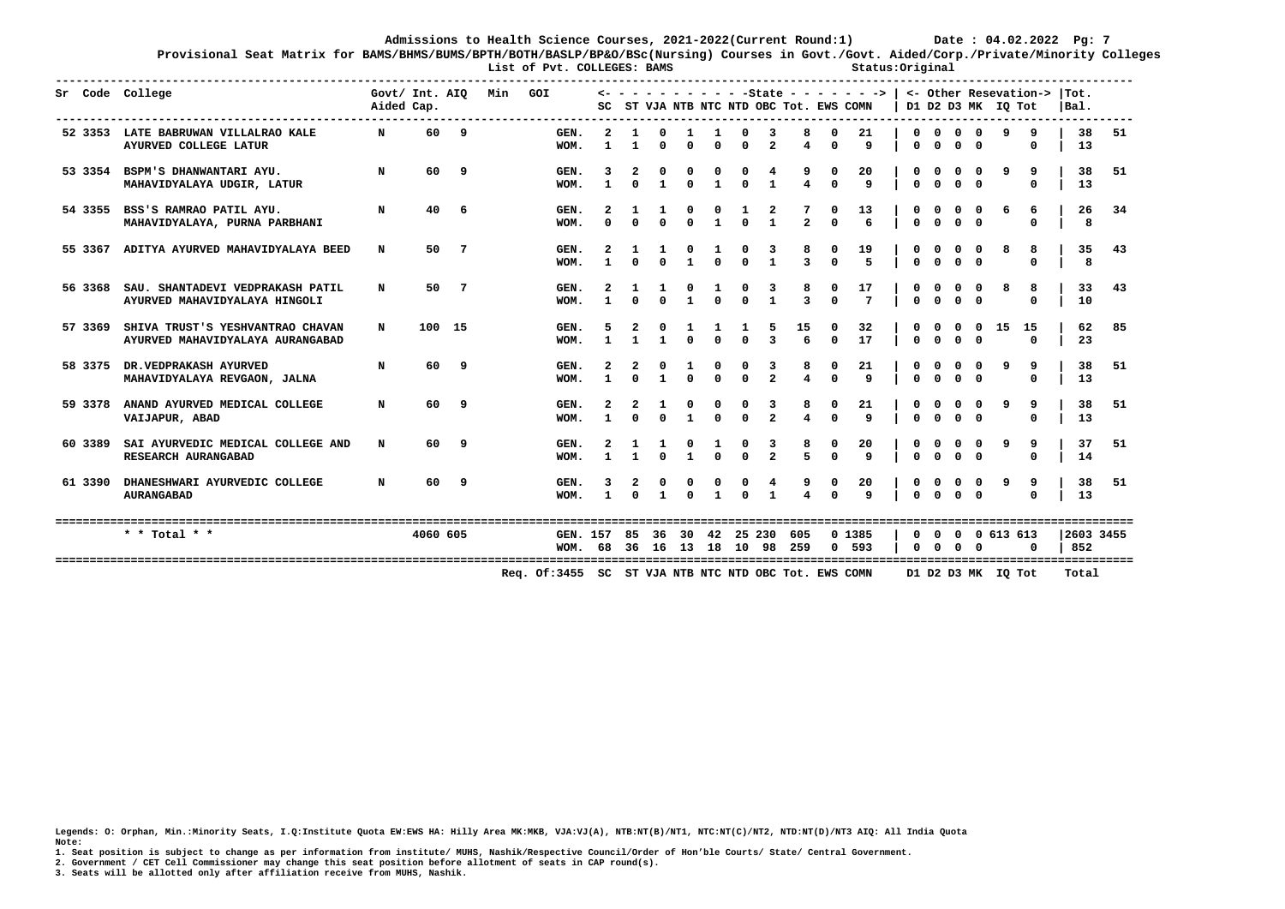**Provisional Seat Matrix for BAMS/BHMS/BUMS/BPTH/BOTH/BASLP/BP&O/BSc(Nursing) Courses in Govt./Govt. Aided/Corp./Private/Minority Colleges**

List of Pyt. COLLEGES: BAMS **Status:Original ------------------------------------------------------------------------------------------------------------------------------------------------------------- Sr Code College Govt/ Int. AIQ Min GOI <- - - - - - - - - - -State - - - - - - -> | <- Other Resevation-> |Tot. Aided Cap. SC ST VJA NTB NTC NTD OBC Tot. EWS COMN | D1 D2 D3 MK IQ Tot |Bal. ------------------------------------------------------------------------------------------------------------------------------------------------------------- 52 3353 LATE BABRUWAN VILLALRAO KALE N 60 9 GEN. 2 1 0 1 1 0 3 8 0 21 | 0 0 0 0 9 9 | 38 51 AYURVED COLLEGE LATUR WOM. 1 1 0 0 0 0 2 4 0 9 | 0 0 0 0 0 | 13 53 3354 BSPM'S DHANWANTARI AYU. N 60 9 GEN. 3 2 0 0 0 0 4 9 0 20 | 0 0 0 0 9 9 | 38 51 MAHAVIDYALAYA UDGIR, LATUR WOM. 1 0 1 0 1 0 1 4 0 9 | 0 0 0 0 0 | 13 54 3355 BSS'S RAMRAO PATIL AYU. N 40 6 GEN. 2 1 1 0 0 1 2 7 0 13 | 0 0 0 0 6 6 | 26 34 MAHAVIDYALAYA, PURNA PARBHANI WOM. 0 0 0 0 1 0 1 2 0 6 | 0 0 0 0 0 | 8 55 3367 ADITYA AYURVED MAHAVIDYALAYA BEED N 50 7 GEN. 2 1 1 0 1 0 3 8 0 19 | 0 0 0 0 8 8 | 35 43 WOM. 1 0 0 1 0 0 1 3 0 5 | 0 0 0 0 0 | 8 56 3368 SAU. SHANTADEVI VEDPRAKASH PATIL N 50 7 GEN. 2 1 1 0 1 0 3 8 0 17 | 0 0 0 0 8 8 | 33 43 AYURVED MAHAVIDYALAYA HINGOLI WOM. 1 0 0 1 0 0 1 3 0 7 | 0 0 0 0 0 | 10 57 3369 SHIVA TRUST'S YESHVANTRAO CHAVAN N 100 15 GEN. 5 2 0 1 1 1 5 15 0 32 | 0 0 0 0 15 15 | 62 85 AYURVED MAHAVIDYALAYA AURANGABAD WOM. 1 1 1 0 0 0 3 6 0 17 | 0 0 0 0 0 | 23 58 3375 DR.VEDPRAKASH AYURVED N 60 9 GEN. 2 2 0 1 0 0 3 8 0 21 | 0 0 0 0 9 9 | 38 51 MAHAVIDYALAYA REVGAON, JALNA WOM. 1 0 1 0 0 0 2 4 0 9 | 0 0 0 0 0 | 13 59 3378 ANAND AYURVED MEDICAL COLLEGE N 60 9 GEN. 2 2 1 0 0 0 3 8 0 21 | 0 0 0 0 9 9 | 38 51 VAIJAPUR, ABAD WOM. 1 0 0 1 0 0 2 4 0 9 | 0 0 0 0 0 | 13 60 3389 SAI AYURVEDIC MEDICAL COLLEGE AND N 60 9 GEN. 2 1 1 0 1 0 3 8 0 20 | 0 0 0 0 9 9 | 37 51 RESEARCH AURANGABAD WOM. 1 1 0 1 0 0 2 5 0 9 | 0 0 0 0 0 | 14 61 3390 DHANESHWARI AYURVEDIC COLLEGE N 60 9 GEN. 3 2 0 0 0 0 4 9 0 20 | 0 0 0 0 9 9 | 38 51**<br>MOM 1 0 1 0 1 0 1 4 0 9 | 0 0 0 0 0 | 13  **AURANGABAD WOM. 1 0 1 0 1 0 1 4 0 9 | 0 0 0 0 0 | 13 ============================================================================================================================================================= \* \* Total \* \* 4060 605 GEN. 157 85 36 30 42 25 230 605 0 1385 | 0 0 0 0 613 613 |2603 3455 WOM. 68 36 16 13 18 10 98 259 0 593 | 0 0 0 0 0 | 852 ============================================================================================================================================================= Req. Of:3455 SC ST VJA NTB NTC NTD OBC Tot. EWS COMN D1 D2 D3 MK IQ Tot Total** 

**Legends: O: Orphan, Min.:Minority Seats, I.Q:Institute Quota EW:EWS HA: Hilly Area MK:MKB, VJA:VJ(A), NTB:NT(B)/NT1, NTC:NT(C)/NT2, NTD:NT(D)/NT3 AIQ: All India Quota Note:** 

**1. Seat position is subject to change as per information from institute/ MUHS, Nashik/Respective Council/Order of Hon'ble Courts/ State/ Central Government.** 

**2. Government / CET Cell Commissioner may change this seat position before allotment of seats in CAP round(s).**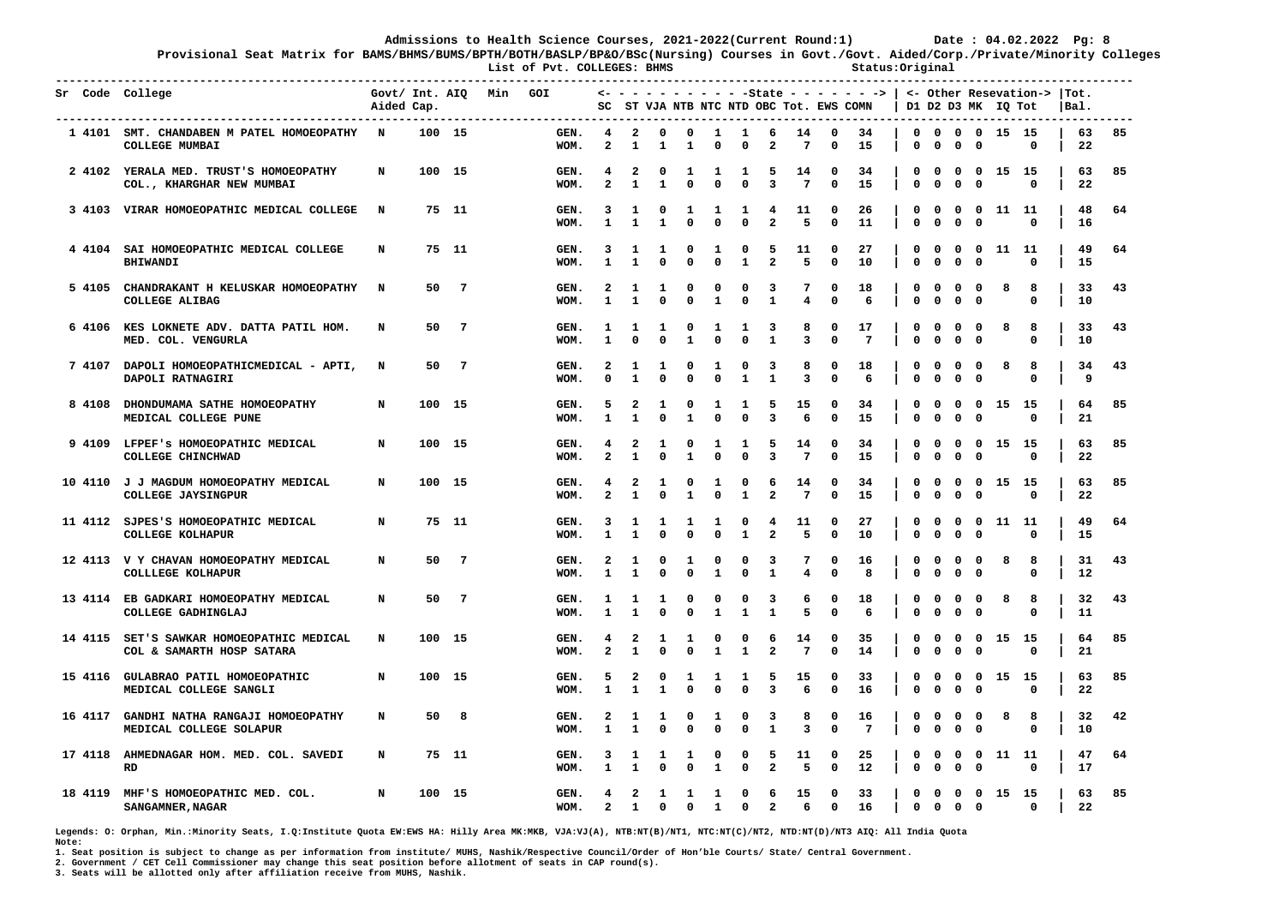**Provisional Seat Matrix for BAMS/BHMS/BUMS/BPTH/BOTH/BASLP/BP&O/BSc(Nursing) Courses in Govt./Govt. Aided/Corp./Private/Minority Colleges List of Pvt. COLLEGES: BHMS Status:Original** 

| Sr Code College |                                                                        | Aided Cap. |        |                | Govt/ Int. AIQ Min GOI | ---------    | SC                                      |                                         |                             |                   |                   |                              |                              | ST VJA NTB NTC NTD OBC Tot. EWS COMN |                             | $\leftarrow$ - - - - - - - - - -State - - - - - - - >   <- Other Resevation->  Tot. |                  |                             |                             |                                         | D1 D2 D3 MK IQ Tot |                  | Bal. |          |    |
|-----------------|------------------------------------------------------------------------|------------|--------|----------------|------------------------|--------------|-----------------------------------------|-----------------------------------------|-----------------------------|-------------------|-------------------|------------------------------|------------------------------|--------------------------------------|-----------------------------|-------------------------------------------------------------------------------------|------------------|-----------------------------|-----------------------------|-----------------------------------------|--------------------|------------------|------|----------|----|
|                 | 1 4101 SMT. CHANDABEN M PATEL HOMOEOPATHY N<br>COLLEGE MUMBAI          |            | 100 15 |                |                        | GEN.<br>WOM. | 4<br>$\mathbf{2}$                       | $\mathbf{2}$<br>1                       | 0<br>1                      | $\mathbf 0$<br>1  | $\mathbf{1}$<br>O | $\mathbf{1}$<br>0            | 6<br>2                       | 14<br>7                              | $\mathbf 0$<br>0            | 34<br>15                                                                            | $\mathbf 0$<br>0 | 0                           | 0                           | $\mathbf 0$                             | 0 0 0 15 15        | 0                |      | 63<br>22 | 85 |
|                 | 2 4102 YERALA MED. TRUST'S HOMOEOPATHY<br>COL., KHARGHAR NEW MUMBAI    | N          | 100 15 |                |                        | GEN.<br>WOM. | 4<br>$\mathbf{z}$                       | 2<br>$\mathbf{1}$                       | 0<br>$\mathbf{1}$           | 1<br>$\Omega$     | 1<br>$\Omega$     | 1<br>$\Omega$                | 5<br>$\overline{\mathbf{3}}$ | 14<br>$7\phantom{.0}$                | 0<br>$\mathbf 0$            | 34<br>15                                                                            | 0<br>0           | 0<br>$\mathbf 0$            | 0<br>$\mathbf 0$            | $\mathbf 0$<br>$\mathbf 0$              | 15                 | - 15<br>$\Omega$ |      | 63<br>22 | 85 |
|                 | 3 4103 VIRAR HOMOEOPATHIC MEDICAL COLLEGE                              | N          |        | 75 11          |                        | GEN.<br>WOM. | 3<br>$\mathbf{1}$                       | 1<br>$\mathbf{1}$                       | 0<br>$\mathbf{1}$           | 1<br>0            | 1<br>$\Omega$     | 1<br>$\Omega$                | 4<br>$\overline{a}$          | 11<br>5                              | 0<br>$\mathbf{0}$           | 26<br>11                                                                            | 0<br>0           | 0<br>0                      | 0<br>$\Omega$               | $^{\circ}$<br>$\Omega$                  | 11 11              | $\Omega$         |      | 48<br>16 | 64 |
|                 | 4 4104 SAI HOMOEOPATHIC MEDICAL COLLEGE<br><b>BHIWANDI</b>             | N          |        | 75 11          |                        | GEN.<br>WOM. | 3<br>$\mathbf{1}$                       | 1<br>$\mathbf{1}$                       | 1<br>0                      | 0<br>0            | 1<br>$\mathbf 0$  | $\mathbf{o}$<br>$\mathbf{1}$ | 5<br>$\overline{\mathbf{2}}$ | 11<br>5                              | $\mathbf{o}$<br>$\mathbf 0$ | 27<br>10                                                                            | 0<br>0           | 0<br>$\mathbf 0$            | 0<br>$\mathbf 0$            | $\mathbf 0$<br>$\mathbf 0$              | 11 11              | $\Omega$         |      | 49<br>15 | 64 |
|                 | 5 4105 CHANDRAKANT H KELUSKAR HOMOEOPATHY<br>COLLEGE ALIBAG            | N          | 50     | $\overline{7}$ |                        | GEN.<br>WOM. | 2<br>$\mathbf{1}$                       | 1<br>$\mathbf{1}$                       | 1<br>$\Omega$               | 0<br>$\mathbf{0}$ | 0<br>$\mathbf{1}$ | 0<br>$\mathbf 0$             | 3<br>$\mathbf{1}$            | 7<br>4                               | 0<br>$\mathbf 0$            | 18<br>6                                                                             | 0<br>0           | 0<br>$\mathbf 0$            | 0<br>$\mathbf{0}$           | $\mathbf{o}$<br>$\mathbf 0$             | 8                  | 8<br>$\mathbf 0$ |      | 33<br>10 | 43 |
|                 | 6 4106 KES LOKNETE ADV. DATTA PATIL HOM.<br>MED. COL. VENGURLA         | N          | 50     | $\overline{7}$ |                        | GEN.<br>WOM. | 1<br>$\mathbf{1}$                       | 1<br>$\Omega$                           | 1<br>$\Omega$               | 0<br>$\mathbf{1}$ | 1<br>$\Omega$     | 1<br>$\Omega$                | 3<br>$\mathbf{1}$            | 8<br>3                               | 0<br>$\mathbf 0$            | 17<br>7                                                                             | 0<br>0           | 0<br>$\mathbf 0$            | 0<br>$\mathbf 0$            | $\mathbf 0$<br>$\mathbf 0$              | 8                  | 8<br>$\mathbf 0$ |      | 33<br>10 | 43 |
|                 | 7 4107 DAPOLI HOMOEOPATHICMEDICAL - APTI,<br>DAPOLI RATNAGIRI          | N          | 50     | $\overline{7}$ |                        | GEN.<br>WOM. | 2<br>$\Omega$                           | 1<br>$\mathbf{1}$                       | 1<br>$\Omega$               | 0<br>$\mathbf{0}$ | 1<br>$\mathbf{0}$ | 0<br>$\mathbf{1}$            | 3<br>$\mathbf{1}$            | 8<br>3                               | 0<br>$\mathbf 0$            | 18<br>6                                                                             | 0<br>0           | 0<br>$\mathbf 0$            | 0<br>$\mathbf 0$            | $\mathbf 0$<br>$\mathbf 0$              | 8                  | 8<br>$\Omega$    |      | 34<br>9  | 43 |
|                 | 8 4108 DHONDUMAMA SATHE HOMOEOPATHY<br>MEDICAL COLLEGE PUNE            | N          | 100 15 |                |                        | GEN.<br>WOM. | 5<br>$\mathbf{1}$                       | 2<br>$\mathbf{1}$                       | 1<br>$\mathbf 0$            | 0<br>$\mathbf{1}$ | 1<br>$\mathbf 0$  | 1<br>$\mathbf 0$             | 5<br>3                       | 15<br>6                              | 0<br>$\mathbf 0$            | 34<br>15                                                                            | 0<br>$\mathbf 0$ | 0<br>$\mathbf 0$            | $\mathbf 0$<br>$\mathbf 0$  | $\overline{\mathbf{0}}$<br>$\mathbf{o}$ | 15                 | 15<br>0          |      | 64<br>21 | 85 |
|                 | 9 4109 LFPEF'S HOMOEOPATHIC MEDICAL<br>COLLEGE CHINCHWAD               | N          | 100 15 |                |                        | GEN.<br>WOM. | 4<br>$\overline{a}$                     | 2<br>$\mathbf{1}$                       | 1<br>$\mathbf 0$            | 0<br>$\mathbf{1}$ | 1<br>$\Omega$     | 1<br>$\mathbf 0$             | 5<br>$\overline{\mathbf{3}}$ | 14<br>$\overline{7}$                 | 0<br>$\mathbf 0$            | 34<br>15                                                                            | 0<br>$\mathbf 0$ | 0<br>$\mathbf 0$            | 0<br>$\mathbf 0$            | $\overline{\mathbf{0}}$<br>$\mathbf 0$  | 15 15              | $\Omega$         |      | 63<br>22 | 85 |
|                 | 10 4110 J J MAGDUM HOMOEOPATHY MEDICAL<br>COLLEGE JAYSINGPUR           | N          | 100 15 |                |                        | GEN.<br>WOM. | 4<br>$\mathbf{c}$                       | $\overline{\mathbf{2}}$<br>1            | 1<br>$\mathbf 0$            | 0<br>1            | 1<br>0            | 0<br>$\mathbf{1}$            | 6<br>$\mathbf{2}$            | 14<br>$7\phantom{.0}$                | 0<br>$\mathbf 0$            | 34<br>15                                                                            | 0<br>$\mathbf 0$ | 0<br>$\mathbf 0$            | $\mathbf 0$<br>$\mathbf 0$  | $\overline{\mathbf{0}}$<br>$\mathbf 0$  | 15                 | - 15<br>0        |      | 63<br>22 | 85 |
|                 | 11 4112 SJPES'S HOMOEOPATHIC MEDICAL<br><b>COLLEGE KOLHAPUR</b>        | N          |        | 75 11          |                        | GEN.<br>WOM. | 3<br>$\mathbf{1}$                       | 1<br>$\mathbf{1}$                       | 1<br>$\mathbf 0$            | 1<br>0            | 1<br>$\Omega$     | 0<br>$\mathbf{1}$            | 4<br>$\overline{\mathbf{2}}$ | 11<br>5                              | 0<br>$\mathbf 0$            | 27<br>10                                                                            | 0<br>$\mathbf 0$ | 0<br>$\mathbf 0$            | 0<br>$\mathbf 0$            | $\mathbf 0$<br>$\mathbf 0$              | 11 11              | 0                |      | 49<br>15 | 64 |
|                 | 12 4113 V Y CHAVAN HOMOEOPATHY MEDICAL<br>COLLLEGE KOLHAPUR            | N          | 50     | $\overline{7}$ |                        | GEN.<br>WOM. | $\overline{\mathbf{2}}$<br>$\mathbf{1}$ | 1<br>1                                  | 0<br>0                      | 1<br>$\Omega$     | 0<br>1            | 0<br>$\Omega$                | 3<br>1                       | 7<br>4                               | 0<br>$\Omega$               | 16<br>8                                                                             | 0<br>0           | $\mathbf{o}$<br>$^{\circ}$  | 0<br>$\Omega$               | $\mathbf{o}$<br>$\mathbf{0}$            | 8                  | 8<br>0           |      | 31<br>12 | 43 |
|                 | 13 4114 EB GADKARI HOMOEOPATHY MEDICAL<br>COLLEGE GADHINGLAJ           | N          | 50     | -7             |                        | GEN.<br>WOM. | 1<br>$\mathbf{1}$                       | 1<br>$\mathbf{1}$                       | 1<br>$\mathbf 0$            | 0<br>0            | 0<br>1            | 0<br>$\mathbf{1}$            | 3<br>$\mathbf{1}$            | 6<br>5                               | 0<br>0                      | 18<br>6                                                                             | 0<br>0           | $\mathbf{o}$<br>$\mathbf 0$ | 0<br>$\mathbf 0$            | $\mathbf{o}$<br>$\mathbf 0$             | 8                  | 8<br>0           |      | 32<br>11 | 43 |
|                 | 14 4115 SET'S SAWKAR HOMOEOPATHIC MEDICAL<br>COL & SAMARTH HOSP SATARA | N          | 100 15 |                |                        | GEN.<br>WOM. | 4<br>2                                  | $\overline{\mathbf{2}}$<br>1            | 1<br>$\Omega$               | 1<br>0            | 0<br>1            | 0<br>1                       | 6<br>$\overline{\mathbf{2}}$ | 14<br>$7\phantom{.0}$                | 0<br>0                      | 35<br>14                                                                            | 0<br>$\mathbf 0$ | $\mathbf{o}$<br>$\mathbf 0$ | 0<br>0                      | $\mathbf 0$<br>$\mathbf{o}$             | 15                 | 15<br>0          |      | 64<br>21 | 85 |
|                 | 15 4116 GULABRAO PATIL HOMOEOPATHIC<br>MEDICAL COLLEGE SANGLI          | N          | 100 15 |                |                        | GEN.<br>WOM. | 5<br>1                                  | $\overline{2}$<br>1                     | $\mathbf 0$<br>$\mathbf{1}$ | 1<br>0            | 1<br>$\mathbf 0$  | 1<br>$\mathbf 0$             | 5<br>3                       | 15<br>6                              | $\mathbf 0$<br>0            | 33<br>16                                                                            | $\mathbf 0$<br>0 | $\mathbf 0$<br>$\mathbf 0$  | $\mathbf 0$<br>0            | $\mathbf 0$<br>$\mathbf 0$              | 15 15              | 0                |      | 63<br>22 | 85 |
|                 | 16 4117 GANDHI NATHA RANGAJI HOMOEOPATHY<br>MEDICAL COLLEGE SOLAPUR    | N          | 50     | 8              |                        | GEN.<br>WOM. | 2<br>$\mathbf{1}$                       | 1<br>$\mathbf{1}$                       | 1<br>$\mathbf 0$            | 0<br>$\mathbf 0$  | 1<br>$\mathbf 0$  | 0<br>$\mathbf 0$             | 3<br>$\mathbf{1}$            | 8<br>$\overline{\mathbf{3}}$         | 0<br>$\mathbf 0$            | 16<br>$7\phantom{.0}$                                                               | 0<br>$\mathbf 0$ | $\mathbf 0$<br>$\mathbf 0$  | 0<br>$\mathbf 0$            | $\mathbf 0$<br>$\mathbf{o}$             | 8                  | 8<br>0           |      | 32<br>10 | 42 |
|                 | 17 4118 AHMEDNAGAR HOM. MED. COL. SAVEDI<br><b>RD</b>                  | N          |        | 75 11          |                        | GEN.<br>WOM. | 3<br>$\mathbf{1}$                       | 1<br>$\mathbf{1}$                       | 1<br>$\mathbf 0$            | 1<br>0            | 0<br>1            | 0<br>0                       | 5<br>$\overline{a}$          | 11<br>5                              | $\mathbf 0$<br>0            | 25<br>12                                                                            | 0<br>0           | $\mathbf 0$<br>$\mathbf 0$  | 0<br>0                      | $\mathbf{o}$<br>$\mathbf{o}$            | 11 11              | 0                |      | 47<br>17 | 64 |
|                 | 18 4119 MHF'S HOMOEOPATHIC MED. COL.<br><b>SANGAMNER, NAGAR</b>        | N          | 100 15 |                |                        | GEN.<br>WOM. | 4<br>$\overline{a}$                     | $\overline{\mathbf{2}}$<br>$\mathbf{1}$ | 1<br>$\Omega$               | 1<br>$\Omega$     | 1<br>$\mathbf{1}$ | 0<br>$\mathbf{0}$            | 6<br>$\overline{a}$          | 15<br>6                              | $\mathbf 0$<br>$\Omega$     | 33<br>16                                                                            | 0<br>$\Omega$    | $\mathbf 0$<br>$^{\circ}$   | $\mathbf 0$<br>$\mathbf{0}$ | $\mathbf{0}$<br>$\Omega$                | 15 15              | $\Omega$         |      | 63<br>22 | 85 |

**Legends: O: Orphan, Min.:Minority Seats, I.Q:Institute Quota EW:EWS HA: Hilly Area MK:MKB, VJA:VJ(A), NTB:NT(B)/NT1, NTC:NT(C)/NT2, NTD:NT(D)/NT3 AIQ: All India Quota Note:** 

**1. Seat position is subject to change as per information from institute/ MUHS, Nashik/Respective Council/Order of Hon'ble Courts/ State/ Central Government.** 

**2. Government / CET Cell Commissioner may change this seat position before allotment of seats in CAP round(s).**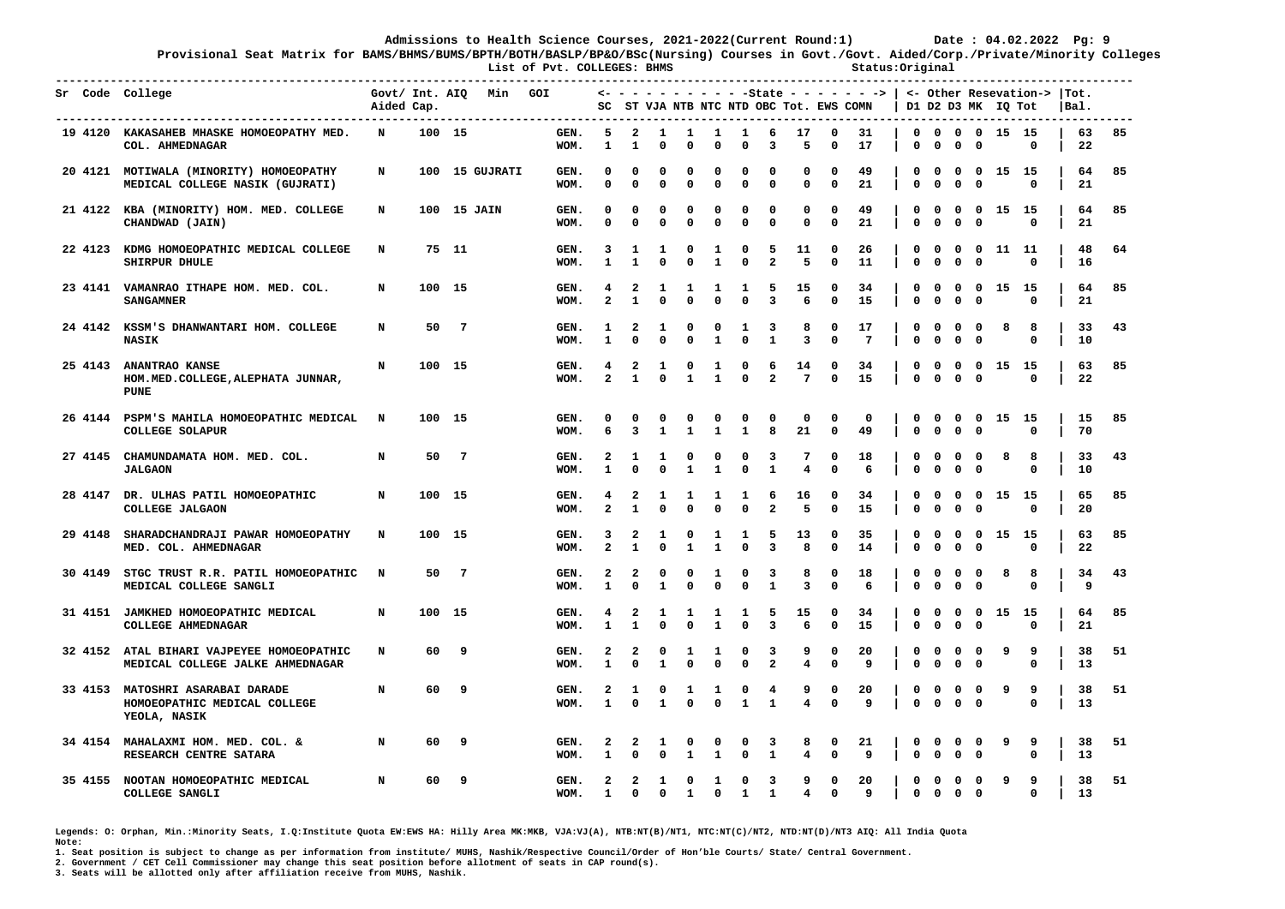**Provisional Seat Matrix for BAMS/BHMS/BUMS/BPTH/BOTH/BASLP/BP&O/BSc(Nursing) Courses in Govt./Govt. Aided/Corp./Private/Minority Colleges** List of Pvt. COLLEGES: BHMS **Status:Original** 

|  | Sr Code College                                                                  | Aided Cap.  |        |                | Govt/ Int. AIQ Min GOI |                                        |                              |                                |                              |                              |                                |                             |                                         |                              |                     | $\leftarrow$ - - - - - - - - - -State - - - - - - - >   <- Other Resevation->  Tot.<br>SC ST VJA NTB NTC NTD OBC Tot. EWS COMN |                            |                                                           |                                         | D1 D2 D3 MK IQ Tot |                       | Bal. |          |    |
|--|----------------------------------------------------------------------------------|-------------|--------|----------------|------------------------|----------------------------------------|------------------------------|--------------------------------|------------------------------|------------------------------|--------------------------------|-----------------------------|-----------------------------------------|------------------------------|---------------------|--------------------------------------------------------------------------------------------------------------------------------|----------------------------|-----------------------------------------------------------|-----------------------------------------|--------------------|-----------------------|------|----------|----|
|  | 19 4120 KAKASAHEB MHASKE HOMOEOPATHY MED.<br>COL. AHMEDNAGAR                     | N           | 100 15 |                |                        | ----------------------<br>GEN.<br>WOM. | 5<br>$\mathbf{1}$            | $\overline{a}$<br>$\mathbf{1}$ | $\mathbf{1}$<br>$\mathbf{0}$ | $\mathbf{1}$<br>$\mathbf{0}$ | <b>1</b><br>$\mathbf{0}$       | <b>1</b><br>$\mathbf{0}$    | 6<br>3                                  | 17<br>5                      | 0<br>$\Omega$       | 31<br>17                                                                                                                       | $\mathbf 0$                | $\mathbf{o}$<br>$\mathbf 0$                               | $\mathbf 0$                             | 0 0 0 0 15 15      | $^{\circ}$            |      | 63<br>22 | 85 |
|  | 20 4121 MOTIWALA (MINORITY) HOMOEOPATHY<br>MEDICAL COLLEGE NASIK (GUJRATI)       | N           |        |                | 100 15 GUJRATI         | GEN.<br>WOM.                           | 0<br>$\mathbf 0$             | $\Omega$<br>$\mathbf 0$        | 0<br>$\mathbf 0$             | 0<br>$\mathbf 0$             | O<br>$\mathbf 0$               | 0<br>$\mathbf 0$            | 0<br>$\mathbf{0}$                       | 0<br>$\mathbf{0}$            | 0<br>$\mathbf 0$    | 49<br>21                                                                                                                       | 0<br>0                     | 0<br>0<br>$\mathbf 0$<br>$\mathbf 0$                      | $\mathbf 0$<br>$\mathbf{o}$             |                    | 15 15<br>$\mathbf{0}$ |      | 64<br>21 | 85 |
|  | 21 4122 KBA (MINORITY) HOM. MED. COLLEGE<br>CHANDWAD (JAIN)                      | N           |        | 100 15 JAIN    |                        | GEN.<br>WOM.                           | 0<br>$\Omega$                | 0<br>$\Omega$                  | 0<br>$\mathbf 0$             | 0<br>$\mathbf 0$             | 0<br>$\mathbf 0$               | 0<br>$\mathbf{0}$           | 0<br>$\mathbf{0}$                       | 0<br>$\mathbf{0}$            | 0<br>$\Omega$       | 49<br>21                                                                                                                       | 0<br>$\mathbf{0}$          | 0<br>0<br>$\mathbf 0$<br>$\Omega$                         | $\mathbf 0$<br>$^{\circ}$               |                    | 15 15<br>$\Omega$     |      | 64<br>21 | 85 |
|  | 22 4123 KDMG HOMOEOPATHIC MEDICAL COLLEGE<br>SHIRPUR DHULE                       | N           |        | 75 11          |                        | GEN.<br>WOM.                           | 3<br>$\mathbf{1}$            | 1<br>$\mathbf{1}$              | 1<br>$\mathbf 0$             | 0<br>$\mathbf 0$             | 1<br>$\mathbf{1}$              | 0<br>$\mathbf 0$            | 5<br>$\overline{a}$                     | 11<br>5                      | 0<br>$\mathbf 0$    | 26<br>11                                                                                                                       | 0<br>0                     | 0<br>0<br>$\mathbf 0$<br>$\mathbf 0$                      | $\mathbf 0$<br>$\mathbf 0$              |                    | 11 11<br>$\mathbf{0}$ |      | 48<br>16 | 64 |
|  | 23 4141 VAMANRAO ITHAPE HOM. MED. COL.<br><b>SANGAMNER</b>                       | N           | 100 15 |                |                        | GEN.<br>WOM.                           | 4<br>$\mathbf{2}$            | 2<br>$\mathbf{1}$              | 1<br>$\mathbf 0$             | 1<br>$\mathbf 0$             | -1<br>$\mathbf 0$              | 1<br>$\mathbf 0$            | 5<br>3                                  | 15<br>6                      | 0<br>$\mathbf 0$    | 34<br>15                                                                                                                       | 0<br>0                     | $\mathbf 0$<br>0<br>$\mathbf 0$<br>$\mathbf 0$            | $\mathbf 0$<br>$\mathbf 0$              |                    | 15 15<br>$\Omega$     |      | 64<br>21 | 85 |
|  | 24 4142 KSSM'S DHANWANTARI HOM. COLLEGE<br><b>NASIK</b>                          | N           | 50     | $\overline{7}$ |                        | GEN.<br>WOM.                           | 1<br>$\mathbf{1}$            | 2<br>$\Omega$                  | 1<br>$\mathbf 0$             | 0<br>$\Omega$                | $\mathbf 0$<br>$\mathbf{1}$    | 1<br>$\mathbf 0$            | 3<br>$\mathbf{1}$                       | 8<br>3                       | 0<br>$\mathbf 0$    | 17<br>$7\phantom{.0}$                                                                                                          | 0<br>0                     | $\mathbf 0$<br>0<br>$\mathbf 0$<br>$\mathbf{0}$           | $\mathbf 0$<br>$\mathbf 0$              | 8                  | 8<br>O                |      | 33<br>10 | 43 |
|  | 25 4143 ANANTRAO KANSE<br>HOM. MED. COLLEGE, ALEPHATA JUNNAR,<br><b>PUNE</b>     | N           | 100 15 |                |                        | GEN.<br>WOM.                           | 4<br>$\overline{a}$          | 2<br>$\mathbf{1}$              | 1<br>$\mathbf 0$             | 0<br>$\mathbf{1}$            | 1<br>$\mathbf{1}$              | 0<br>$\mathbf 0$            | 6<br>$\mathbf{2}$                       | 14<br>$7\phantom{.0}$        | 0<br>$\mathbf 0$    | 34<br>15                                                                                                                       | 0<br>$\mathbf 0$           | 0<br>0<br>$\mathbf 0$<br>$\mathbf 0$                      | $\mathbf 0$<br>$\mathbf 0$              |                    | 15 15<br>$\Omega$     |      | 63<br>22 | 85 |
|  | 26 4144 PSPM'S MAHILA HOMOEOPATHIC MEDICAL<br><b>COLLEGE SOLAPUR</b>             | $\mathbf N$ | 100 15 |                |                        | GEN.<br>WOM.                           | 0<br>6                       | 0<br>3                         | 0<br>1                       | $\mathbf 0$<br>1             | 0<br>1                         | 0<br>$\mathbf{1}$           | 0<br>8                                  | 0<br>21                      | 0<br>0              | 0<br>49                                                                                                                        | $\mathbf 0$<br>$\mathbf 0$ | $\mathbf 0$<br>$\mathbf 0$                                | $0\quad 0\quad 0$<br>$\mathbf 0$        |                    | 15 15<br>$\Omega$     |      | 15<br>70 | 85 |
|  | 27 4145 CHAMUNDAMATA HOM. MED. COL.<br><b>JALGAON</b>                            | N           | 50     | $\overline{7}$ |                        | GEN.<br>WOM.                           | 2<br>$\mathbf{1}$            | 1<br>$\Omega$                  | 1<br>$\mathbf 0$             | 0<br>$\mathbf{1}$            | 0<br>$\mathbf{1}$              | 0<br>$\mathbf 0$            | 3<br>$\mathbf{1}$                       | 7<br>$\overline{\mathbf{4}}$ | 0<br>$\mathbf 0$    | 18<br>6                                                                                                                        | 0<br>0                     | $\mathbf{o}$<br>$\mathbf 0$<br>$\mathbf 0$<br>$\mathbf 0$ | $\overline{\mathbf{0}}$<br>$\mathbf 0$  | 8                  | 8<br>0                |      | 33<br>10 | 43 |
|  | 28 4147 DR. ULHAS PATIL HOMOEOPATHIC<br>COLLEGE JALGAON                          | N           | 100 15 |                |                        | GEN.<br>WOM.                           | 4<br>$\overline{2}$          | 2<br>$\mathbf{1}$              | 1<br>$\mathbf 0$             | 1<br>$\mathbf 0$             | 1<br>$\mathbf 0$               | 1<br>$\mathbf 0$            | 6<br>$\overline{a}$                     | 16<br>5                      | 0<br>$\mathbf 0$    | 34<br>15                                                                                                                       | 0<br>0                     | $\mathbf 0$<br>$\mathbf 0$<br>$\mathbf 0$                 | $0\quad 0$<br>$\mathbf 0$               | 15 15              | $\Omega$              |      | 65<br>20 | 85 |
|  | 29 4148 SHARADCHANDRAJI PAWAR HOMOEOPATHY<br>MED. COL. AHMEDNAGAR                | N           | 100 15 |                |                        | GEN.<br>WOM.                           | 3<br>$\overline{2}$          | 2<br>$\mathbf{1}$              | 1<br>$\mathbf 0$             | 0<br>$\mathbf{1}$            | $\mathbf{1}$<br>$\mathbf{1}$   | $\mathbf{1}$<br>$\Omega$    | 5<br>3                                  | 13<br>8                      | 0<br>$\mathbf 0$    | 35<br>14                                                                                                                       | 0<br>$\mathbf{0}$          | $\mathbf{o}$<br>$\mathbf 0$<br>$\mathbf 0$<br>$\Omega$    | $\overline{\mathbf{0}}$<br>$\mathbf 0$  |                    | 15 15<br>$\Omega$     |      | 63<br>22 | 85 |
|  | 30 4149 STGC TRUST R.R. PATIL HOMOEOPATHIC<br>MEDICAL COLLEGE SANGLI             | N           | 50     | $\overline{7}$ |                        | GEN.<br>WOM.                           | 2<br>$\mathbf{1}$            | 2<br>$\Omega$                  | 0<br>$\mathbf{1}$            | 0<br>$\mathbf 0$             | 1<br>$\Omega$                  | 0<br>$\mathbf 0$            | 3<br>$\mathbf{1}$                       | 8<br>$\overline{\mathbf{3}}$ | 0<br>$\mathbf 0$    | 18<br>6                                                                                                                        | 0<br>$\mathbf{0}$          | $\mathbf{o}$<br>$\mathbf 0$<br>$\mathbf 0$<br>$\mathbf 0$ | $\mathbf 0$<br>$\mathbf 0$              | 8                  | 8<br>$\Omega$         |      | 34<br>9  | 43 |
|  | 31 4151 JAMKHED HOMOEOPATHIC MEDICAL<br>COLLEGE AHMEDNAGAR                       | N           | 100 15 |                |                        | GEN.<br>WOM.                           | 4<br>$\mathbf{1}$            | 2<br>$\mathbf{1}$              | 1<br>$\mathbf 0$             | 1<br>$\mathbf 0$             | 1<br>$\mathbf{1}$              | 1<br>$\Omega$               | 5<br>3                                  | 15<br>6                      | 0<br>$\mathbf 0$    | 34<br>15                                                                                                                       | 0<br>0                     | $\mathbf 0$<br>$\mathbf 0$<br>$\mathbf 0$                 | $0\quad 0$<br>$\mathbf 0$               |                    | 15 15<br>$\Omega$     |      | 64<br>21 | 85 |
|  | 32 4152 ATAL BIHARI VAJPEYEE HOMOEOPATHIC<br>MEDICAL COLLEGE JALKE AHMEDNAGAR    | N           |        | 60 9           |                        | GEN.<br>WOM.                           | 2<br>$\mathbf{1}$            | 2<br>$\Omega$                  | 0<br>$\mathbf{1}$            | 1<br>$\mathbf 0$             | 1<br>$\Omega$                  | 0<br>$\Omega$               | 3<br>$\overline{a}$                     | 9<br>$\overline{\mathbf{4}}$ | 0<br>$\mathbf{0}$   | 20<br>9                                                                                                                        | 0<br>$\mathbf{0}$          | 0<br>0<br>$\mathbf 0$<br>$\mathbf 0$                      | $\mathbf 0$<br>$\mathbf 0$              | 9                  | 9<br>0                |      | 38<br>13 | 51 |
|  | 33 4153 MATOSHRI ASARABAI DARADE<br>HOMOEOPATHIC MEDICAL COLLEGE<br>YEOLA, NASIK | N           |        | 60 9           |                        | GEN.<br>WOM.                           | 2<br>$\mathbf{1}$            | 1<br>$\Omega$                  | 0<br>$\mathbf{1}$            | 1<br>$\Omega$                | 1<br>$\mathbf 0$               | 0<br>$\mathbf{1}$           | 4<br>$\mathbf{1}$                       | 9<br>$\overline{4}$          | 0<br>$\mathbf 0$    | 20<br>9                                                                                                                        | 0<br>0                     | 0<br>0<br>$\mathbf 0$<br>$\mathbf 0$                      | $\mathbf 0$<br>$\mathbf 0$              | 9                  | 9<br>0                |      | 38<br>13 | 51 |
|  | 34 4154 MAHALAXMI HOM. MED. COL. &<br>RESEARCH CENTRE SATARA                     | N           | 60     | 9              |                        | GEN.<br>WOM.                           | 2<br>$\mathbf{1}$            | 2<br>$\mathbf 0$               | 1<br>$\Omega$                | 0<br>$\mathbf{1}$            | 0<br>$\mathbf{1}$              | 0<br>$\mathbf 0$            | 3<br>$\mathbf{1}$                       | 8<br>$\overline{4}$          | 0<br>$\mathbf 0$    | 21<br>9                                                                                                                        | 0<br>$\mathbf{0}$          | 0<br>$\mathbf{o}$<br>$\mathbf 0$<br>$\Omega$              | $\mathbf 0$<br>$\Omega$                 | 9                  | 9<br>0                |      | 38<br>13 | 51 |
|  | 35 4155 NOOTAN HOMOEOPATHIC MEDICAL<br>COLLEGE SANGLI                            | N           | 60     | $\overline{9}$ |                        | GEN.<br>WOM.                           | $\mathbf{2}$<br>$\mathbf{1}$ | $\overline{a}$<br>$\mathbf{0}$ | $\mathbf{1}$<br>$\Omega$     | $\mathbf{o}$<br>$\mathbf{1}$ | $\mathbf{1}$<br>$\overline{0}$ | $\mathbf 0$<br>$\mathbf{1}$ | $\overline{\mathbf{3}}$<br>$\mathbf{1}$ | 9<br>4                       | 0<br>$\overline{0}$ | 20<br>9                                                                                                                        | $\mathbf 0$                | $\mathbf 0$<br>0                                          | $\mathbf 0$<br>$0\quad 0\quad 0\quad 0$ | 9                  | 9<br>0                |      | 38<br>13 | 51 |

**Legends: O: Orphan, Min.:Minority Seats, I.Q:Institute Quota EW:EWS HA: Hilly Area MK:MKB, VJA:VJ(A), NTB:NT(B)/NT1, NTC:NT(C)/NT2, NTD:NT(D)/NT3 AIQ: All India Quota Note:** 

**1. Seat position is subject to change as per information from institute/ MUHS, Nashik/Respective Council/Order of Hon'ble Courts/ State/ Central Government.** 

**2. Government / CET Cell Commissioner may change this seat position before allotment of seats in CAP round(s).**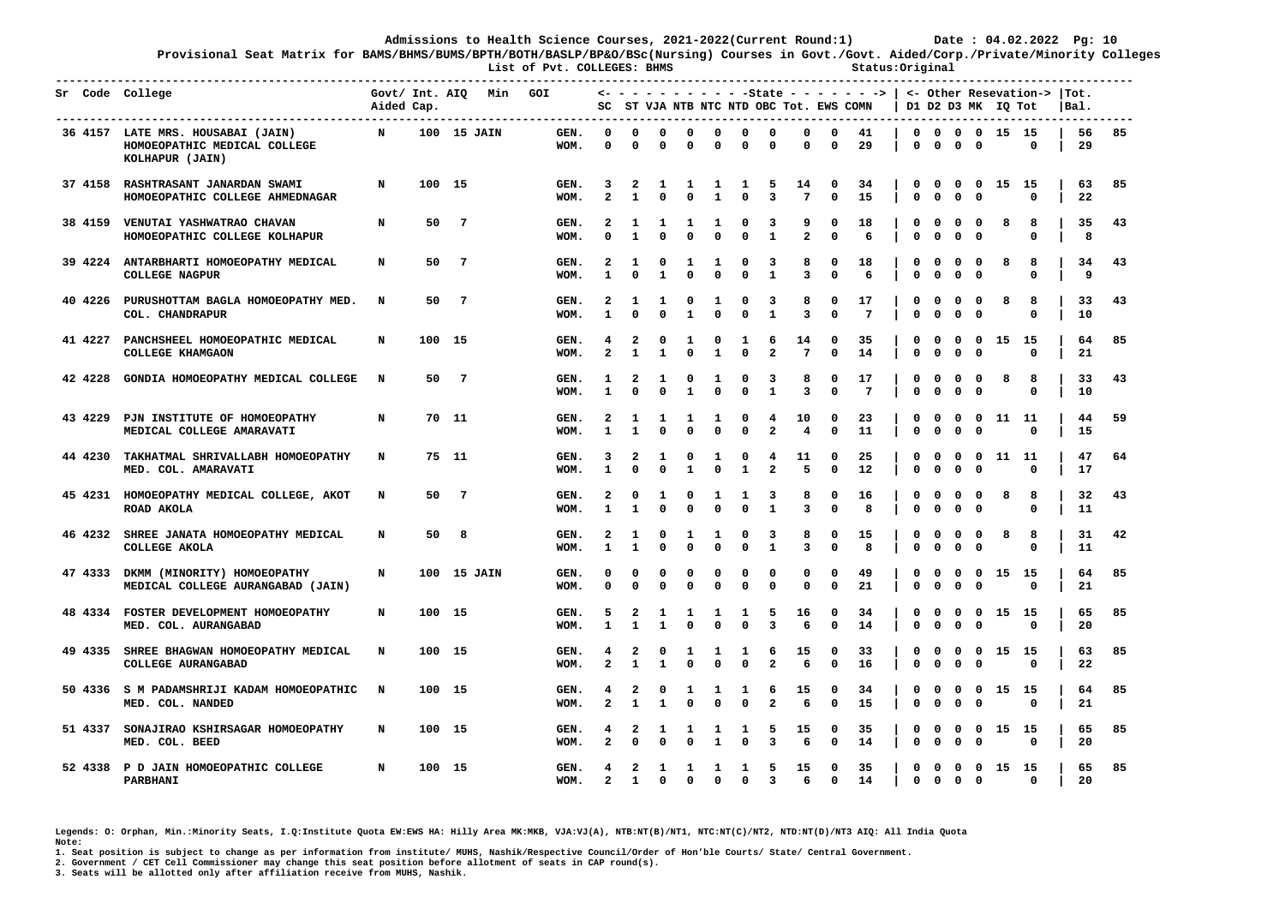**Provisional Seat Matrix for BAMS/BHMS/BUMS/BPTH/BOTH/BASLP/BP&O/BSc(Nursing) Courses in Govt./Govt. Aided/Corp./Private/Minority Colleges List of Pvt. COLLEGES: BHMS Status:Original** 

|         | Sr Code College                                                                      | Aided Cap.  |        | Govt/ Int. AIQ Min GOI |              |                              |                                     |                   |                   |                             |                            |                              |                             |                             | $\leftarrow$ - - - - - - - - - -State - - - - - - ->  <br>SC ST VJA NTB NTC NTD OBC Tot. EWS COMN |                   |                                        |                              | D1 D2 D3 MK IO Tot                      |       | <- Other Resevation->  Tot. | Bal. |          |     |
|---------|--------------------------------------------------------------------------------------|-------------|--------|------------------------|--------------|------------------------------|-------------------------------------|-------------------|-------------------|-----------------------------|----------------------------|------------------------------|-----------------------------|-----------------------------|---------------------------------------------------------------------------------------------------|-------------------|----------------------------------------|------------------------------|-----------------------------------------|-------|-----------------------------|------|----------|-----|
|         | 36 4157 LATE MRS. HOUSABAI (JAIN)<br>HOMOEOPATHIC MEDICAL COLLEGE<br>KOLHAPUR (JAIN) | $\mathbf N$ |        | 100 15 JAIN            | GEN.<br>WOM. | $^{\circ}$<br>$\Omega$       | 0<br>$\mathbf{0}$                   | 0<br>0            | 0<br>$\Omega$     | $\mathbf 0$<br>$\mathbf 0$  | $\mathbf 0$<br>$\mathbf 0$ | $\mathbf 0$<br>$\mathbf 0$   | $\mathbf 0$<br>$\mathbf{0}$ | $\mathbf 0$<br>$\mathbf 0$  | 41<br>29                                                                                          | $\mathbf{0}$      | $\mathbf 0$                            | $\mathbf 0$                  | 0 0 0 0 15 15<br>$\mathbf 0$            |       | 0                           |      | 56<br>29 | 85  |
|         | 37 4158 RASHTRASANT JANARDAN SWAMI<br>HOMOEOPATHIC COLLEGE AHMEDNAGAR                | N           | 100 15 |                        | GEN.<br>WOM. | 3<br>$\overline{a}$          | -2<br>$\mathbf{1}$                  | -1<br>0           | 1<br>$\mathbf 0$  | -1<br>$\mathbf{1}$          | 1<br>$\Omega$              | 5<br>3                       | 14<br>$7\overline{ }$       | 0<br>$\mathbf 0$            | 34<br>15                                                                                          | 0<br>$\mathbf{0}$ | $^{\circ}$<br>$\mathbf 0$              | $\mathbf 0$<br>$\mathbf 0$   | $\overline{\mathbf{0}}$<br>$\mathbf 0$  | 15 15 | $\Omega$                    |      | 63<br>22 | 85  |
|         | 38 4159 VENUTAI YASHWATRAO CHAVAN<br>HOMOEOPATHIC COLLEGE KOLHAPUR                   | N           |        | 50 7                   | GEN.<br>WOM. | 2<br>$\Omega$                | 1<br>$\mathbf{1}$                   | 1<br>$\mathbf{0}$ | 1<br>$\Omega$     | -1<br>$\Omega$              | 0<br>$\mathbf 0$           | 3<br>$\mathbf{1}$            | 9<br>$\overline{a}$         | 0<br>$\mathbf{0}$           | 18<br>6                                                                                           | 0<br>0            | $\mathbf 0$<br>$\mathbf 0$             | $\mathbf 0$<br>$\mathbf 0$   | $\overline{\phantom{0}}$<br>$\mathbf 0$ | 8     | 8<br>$\Omega$               |      | 35<br>8  | 43  |
|         | 39 4224 ANTARBHARTI HOMOEOPATHY MEDICAL<br><b>COLLEGE NAGPUR</b>                     | N           |        | 50 7                   | GEN.<br>WOM. | $\mathbf{2}$<br>$\mathbf{1}$ | 1<br>$\Omega$                       | 0<br>$\mathbf{1}$ | 1<br>$\mathbf 0$  | 1<br>$\mathbf 0$            | 0<br>$\mathbf 0$           | 3<br>$\mathbf{1}$            | 8<br>3                      | 0<br>$\mathbf 0$            | 18<br>6                                                                                           | 0<br>0            | $\mathbf 0$<br>$\mathbf 0$             | $\mathbf{o}$<br>$\mathbf 0$  | $\mathbf 0$<br>$\mathbf 0$              | 8     | 8<br>$\Omega$               |      | 34<br>9  | 43  |
|         | 40 4226 PURUSHOTTAM BAGLA HOMOEOPATHY MED.<br>COL. CHANDRAPUR                        | N           |        | 50 7                   | GEN.<br>WOM. | 2<br>1                       | 1<br>$\Omega$                       | 1<br>$\mathbf{0}$ | 0<br>$\mathbf{1}$ | 1<br>$\Omega$               | 0<br>$\Omega$              | 3<br>$\mathbf{1}$            | 8<br>3                      | 0<br>$\mathbf 0$            | 17<br>$7\phantom{.0}$                                                                             | 0<br>$\mathbf{0}$ | $\mathbf 0$<br>$\mathbf 0$             | $\mathbf{o}$<br>$\mathbf{0}$ | $\mathbf{o}$<br>0                       | 8     | 8<br>0                      |      | 33<br>10 | 43  |
|         | 41 4227 PANCHSHEEL HOMOEOPATHIC MEDICAL<br>COLLEGE KHAMGAON                          | N           | 100 15 |                        | GEN.<br>WOM. | 4<br>$\overline{a}$          | 2<br>$\mathbf{1}$                   | 0<br>$\mathbf{1}$ | 1<br>$\Omega$     | 0<br>$\mathbf{1}$           | 1<br>$\Omega$              | 6<br>$\overline{a}$          | 14<br>$7\phantom{.0}$       | 0<br>$\mathbf{0}$           | 35<br>14                                                                                          | 0<br>0            | 0<br>$\mathbf{0}$                      | $\mathbf 0$<br>0             | $\mathbf 0$<br>$\mathbf{0}$             | 15 15 | $\Omega$                    |      | 64<br>21 | 85  |
| 42 4228 | GONDIA HOMOEOPATHY MEDICAL COLLEGE                                                   | N           |        | 50 7                   | GEN.<br>WOM. | 1<br>$\mathbf{1}$            | $\overline{\mathbf{2}}$<br>$\Omega$ | 1<br>$\mathbf{0}$ | 0<br>$\mathbf{1}$ | $\mathbf{1}$<br>$\mathbf 0$ | $\mathbf 0$<br>$\mathbf 0$ | 3<br>$\mathbf{1}$            | 8<br>$\overline{3}$         | $\mathbf 0$<br>$\mathbf{0}$ | 17<br>7                                                                                           | 0<br>$\mathbf{0}$ | $\mathbf 0$<br>$\mathbf 0$             | $\mathbf 0$<br>0             | $\mathbf 0$<br>$\mathbf 0$              | 8     | 8<br>$\Omega$               |      | 33<br>10 | 43  |
| 43 4229 | PJN INSTITUTE OF HOMOEOPATHY<br>MEDICAL COLLEGE AMARAVATI                            | N           |        | 70 11                  | GEN.<br>WOM. | 2<br>1                       | 1<br>$\mathbf{1}$                   | 1<br>$\mathbf{0}$ | 1<br>$\mathbf 0$  | 1<br>$\mathbf{0}$           | 0<br>$\mathbf{0}$          | 4<br>$\overline{a}$          | 10<br>$\overline{4}$        | 0<br>$\mathbf{0}$           | 23<br>11                                                                                          | 0<br>$\mathbf{0}$ | 0<br>$\mathbf{0}$                      | 0<br>0                       | $\mathbf 0$<br>$\Omega$                 | 11 11 | $\Omega$                    |      | 44<br>15 | -59 |
|         | 44 4230 TAKHATMAL SHRIVALLABH HOMOEOPATHY<br>MED. COL. AMARAVATI                     | N           |        | 75 11                  | GEN.<br>WOM. | 3<br>$\mathbf{1}$            | 2<br>$\Omega$                       | 1<br>0            | 0<br>$\mathbf{1}$ | 1<br>$\mathbf 0$            | 0<br>$\mathbf{1}$          | 4<br>$\overline{a}$          | 11<br>5                     | 0<br>$\mathbf 0$            | 25<br>12                                                                                          | 0<br>0            | 0<br>$\Omega$                          | 0<br>0                       | $\mathbf{o}$<br>$\Omega$                | 11 11 | $\Omega$                    |      | 47<br>17 | 64  |
|         | 45 4231 HOMOEOPATHY MEDICAL COLLEGE, AKOT<br>ROAD AKOLA                              | N           | 50     | $\overline{7}$         | GEN.<br>WOM. | 2<br>$\mathbf{1}$            | 0<br>$\mathbf{1}$                   | 1<br>$\mathbf{0}$ | 0<br>$\mathbf 0$  | -1<br>$\mathbf 0$           | 1<br>$\mathbf 0$           | 3<br>$\mathbf{1}$            | 8<br>3                      | 0<br>$\mathbf 0$            | 16<br>8                                                                                           | 0<br>0            | $\Omega$<br>$\mathbf 0$                | 0<br>0                       | $\mathbf{o}$<br>0                       | 8     | 8<br>0                      |      | 32<br>11 | 43  |
|         | 46 4232 SHREE JANATA HOMOEOPATHY MEDICAL<br>COLLEGE AKOLA                            | N           |        | 50 8                   | GEN.<br>WOM. | 2<br>1                       | 1<br>$\mathbf{1}$                   | 0<br>0            | 1<br>$\Omega$     | 1<br>$\mathbf 0$            | 0<br>$\Omega$              | 3<br>$\mathbf{1}$            | 8<br>3                      | 0<br>$\mathbf{0}$           | 15<br>8                                                                                           | 0<br>0            | $\Omega$<br>$\mathbf 0$                | 0<br>0                       | $\Omega$<br>$\mathbf{o}$                | 8     | 8<br>0                      |      | 31<br>11 | 42  |
|         | 47 4333 DKMM (MINORITY) HOMOEOPATHY<br>MEDICAL COLLEGE AURANGABAD (JAIN)             | N           |        | 100 15 JAIN            | GEN.<br>WOM. | 0<br>0                       | $\Omega$<br>$\Omega$                | 0<br>$\Omega$     | 0<br>$\Omega$     | 0<br>$\Omega$               | 0<br>$\Omega$              | 0<br>$\Omega$                | 0<br>$\mathbf{0}$           | 0<br>$\mathbf{0}$           | 49<br>21                                                                                          | 0<br>$\mathbf{0}$ | 0<br>$\mathbf 0$                       | $\mathbf{o}$<br>$\Omega$     | $\mathbf 0$<br>$\mathbf{o}$             | 15    | - 15<br>$\Omega$            |      | 64<br>21 | 85  |
|         | 48 4334 FOSTER DEVELOPMENT HOMOEOPATHY<br>MED. COL. AURANGABAD                       | N           | 100 15 |                        | GEN.<br>WOM. | 5<br>$\mathbf{1}$            | 2<br>$\mathbf{1}$                   | 1<br>$\mathbf{1}$ | 1<br>$\Omega$     | 1<br>$\Omega$               | 1<br>$\mathbf 0$           | 5<br>3                       | 16<br>6                     | 0<br>$\mathbf 0$            | 34<br>14                                                                                          | 0<br>$\mathbf 0$  | 0<br>$\mathbf 0$                       | $^{\circ}$<br>$\mathbf 0$    | $\mathbf 0$<br>$\mathbf 0$              | 15 15 | $\Omega$                    |      | 65<br>20 | 85  |
|         | 49 4335 SHREE BHAGWAN HOMOEOPATHY MEDICAL<br><b>COLLEGE AURANGABAD</b>               | N           | 100 15 |                        | GEN.<br>WOM. | 4<br>$\overline{a}$          | 2<br>$\mathbf{1}$                   | 0<br>$\mathbf{1}$ | 1                 | 1<br>$\Omega$               | 1<br>$\Omega$              | 6<br>$\overline{a}$          | 15<br>6                     | 0<br>$\Omega$               | 33<br>16                                                                                          | 0<br>$\mathbf{0}$ | 0<br>$\mathbf 0$                       | 0<br>$\mathbf 0$             | $\mathbf 0$<br>$\overline{\phantom{0}}$ | 15 15 |                             |      | 63<br>22 | 85  |
|         | 50 4336 S M PADAMSHRIJI KADAM HOMOEOPATHIC<br>MED. COL. NANDED                       | $\mathbf N$ | 100 15 |                        | GEN.<br>WOM. | 4<br>$\overline{a}$          | 2<br>$\mathbf{1}$                   | 0<br>$\mathbf{1}$ | 1<br>$\mathbf{0}$ | 1<br>$\Omega$               | 1<br>$\Omega$              | 6<br>$\overline{a}$          | 15<br>6                     | 0<br>$\mathbf{0}$           | 34<br>15                                                                                          | 0<br>$\mathbf 0$  | $^{\circ}$<br>$\Omega$                 | $\mathbf{o}$<br>$\Omega$     | $0$ 15 15<br>$\mathbf 0$                |       | $\Omega$                    |      | 64<br>21 | 85  |
|         | 51 4337 SONAJIRAO KSHIRSAGAR HOMOEOPATHY<br>MED. COL. BEED                           | N           | 100 15 |                        | GEN.<br>WOM. | 4<br>$\overline{a}$          | 2<br>$\Omega$                       | 1<br>0            | 1<br>$\mathbf 0$  | -1<br>$\mathbf{1}$          | 1<br>$\mathbf 0$           | 5<br>3                       | 15<br>6                     | 0<br>$\mathbf 0$            | 35<br>14                                                                                          | 0<br>$\mathbf 0$  | 0<br>$\mathbf 0$                       | $\mathbf{o}$<br>$\mathbf 0$  | $\mathbf 0$<br>$\mathbf{o}$             | 15 15 | $\mathbf 0$                 |      | 65<br>20 | 85  |
|         | 52 4338 P D JAIN HOMOEOPATHIC COLLEGE<br>PARBHANI                                    | N           | 100 15 |                        | GEN.<br>WOM. | 4                            | $\overline{2}$<br>$2 \quad 1$       | 1<br>$\Omega$     | 1<br>$\Omega$     | 1<br>$\Omega$               | 1<br>$\Omega$              | 5<br>$\overline{\mathbf{3}}$ | 15<br>6                     | 0<br>$\Omega$               | 35<br>14                                                                                          | $^{\circ}$        | $^{\circ}$<br>$0\quad 0\quad 0\quad 0$ | $^{\circ}$                   | 0 15 15                                 |       | $\Omega$                    |      | 65<br>20 | 85  |

**Legends: O: Orphan, Min.:Minority Seats, I.Q:Institute Quota EW:EWS HA: Hilly Area MK:MKB, VJA:VJ(A), NTB:NT(B)/NT1, NTC:NT(C)/NT2, NTD:NT(D)/NT3 AIQ: All India Quota Note:** 

**1. Seat position is subject to change as per information from institute/ MUHS, Nashik/Respective Council/Order of Hon'ble Courts/ State/ Central Government.** 

**2. Government / CET Cell Commissioner may change this seat position before allotment of seats in CAP round(s).**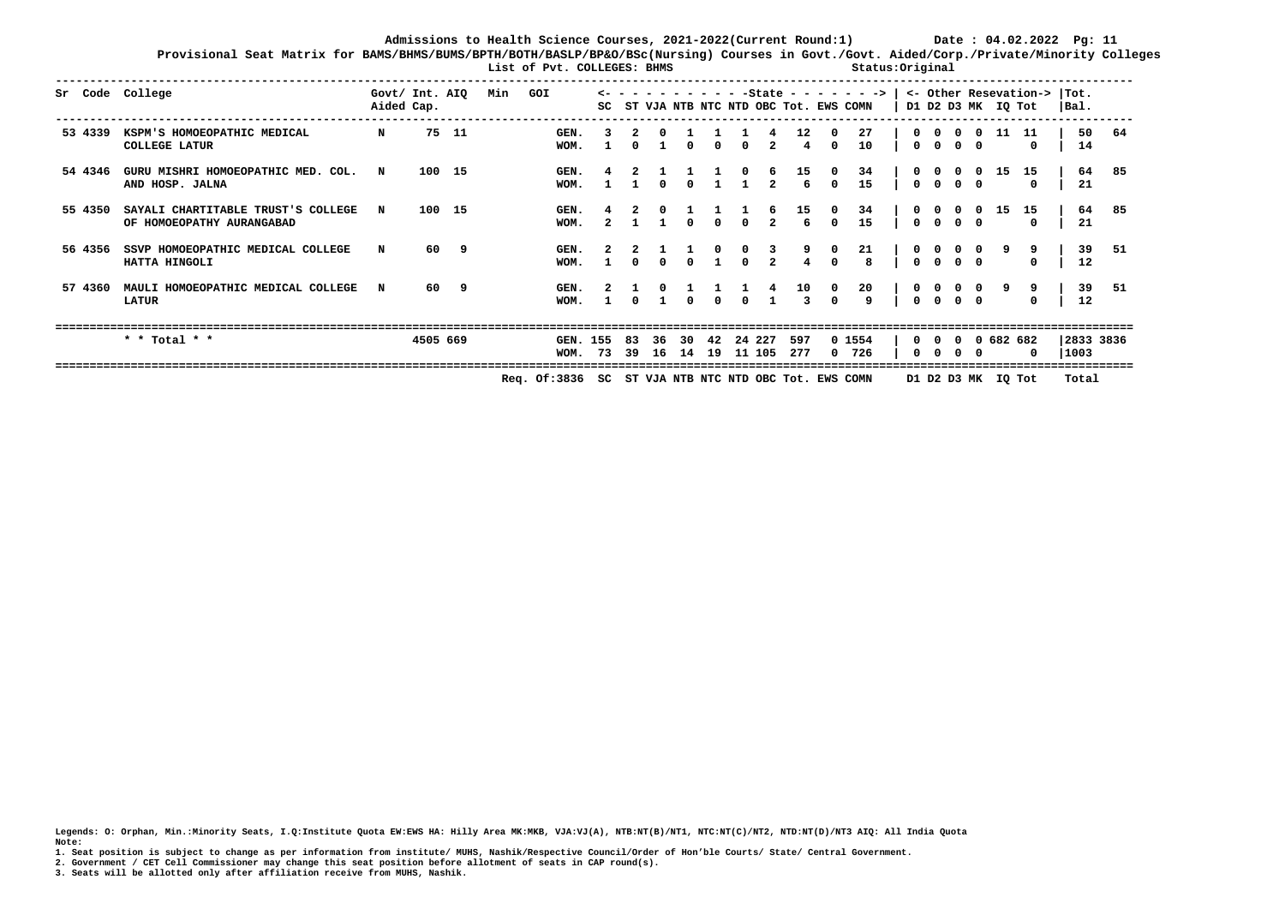**Provisional Seat Matrix for BAMS/BHMS/BUMS/BPTH/BOTH/BASLP/BP&O/BSc(Nursing) Courses in Govt./Govt. Aided/Corp./Private/Minority Colleges List of Pvt. COLLEGES: BHMS Status:Original** 

|         | Sr Code College                                                 | Govt/ Int. AIQ<br>Aided Cap. |          |        | Min | GOI                                                  |              |            |                |              |              |          |                         |                        |                        | $-State - - - - - - - >$<br>SC ST VJA NTB NTC NTD OBC Tot. EWS COMN |                          |                       |            |           | D1 D2 D3 MK IQ Tot | <- Other Resevation-> | Tot.<br>$ $ Bal.  |     |
|---------|-----------------------------------------------------------------|------------------------------|----------|--------|-----|------------------------------------------------------|--------------|------------|----------------|--------------|--------------|----------|-------------------------|------------------------|------------------------|---------------------------------------------------------------------|--------------------------|-----------------------|------------|-----------|--------------------|-----------------------|-------------------|-----|
| 53 4339 | KSPM'S HOMOEOPATHIC MEDICAL<br><b>COLLEGE LATUR</b>             | $\mathbf N$                  |          | 75 11  |     | GEN.<br>WOM.                                         |              |            |                | $\Omega$     | <sup>0</sup> | 0        | 2                       | $12 \overline{ }$<br>4 | $\Omega$               | 27<br>10                                                            | $^{\circ}$               | . റ                   | 0 O        |           | -11                | 11<br>$^{\circ}$      | 50<br>14          | 64  |
| 54 4346 | GURU MISHRI HOMOEOPATHIC MED. COL.<br>AND HOSP. JALNA           | N                            | 100 15   |        |     | GEN.<br>WOM.                                         |              |            |                | <sup>0</sup> |              |          | 2                       | 15<br>6                | 0<br>$\Omega$          | 34<br>15                                                            | 0<br>$0\quad 0$          | 0                     | $0\quad 0$ |           | 15                 | 15<br>$^{\circ}$      | 64<br>21          | 85  |
| 55 4350 | SAYALI CHARTITABLE TRUST'S COLLEGE<br>OF HOMOEOPATHY AURANGABAD | N                            |          | 100 15 |     | GEN.<br>WOM.                                         | $\mathbf{2}$ |            |                | $\Omega$     | $\Omega$     | $\Omega$ | $\overline{2}$          | 15<br>6                | $^{\circ}$<br>$\Omega$ | 34<br>15                                                            | 0<br>0 O                 | $\Omega$              |            | 0         | 15                 | 15<br>$\Omega$        | 64<br>21          | -85 |
| 56 4356 | SSVP HOMOEOPATHIC MEDICAL COLLEGE<br>HATTA HINGOLI              | N                            | 60       | 9      |     | GEN.<br>WOM.                                         |              |            |                |              |              | 0        | $\overline{\mathbf{3}}$ | 9                      | $\Omega$               | 21<br>8                                                             | $0\quad 0$<br>$^{\circ}$ | <b>0</b>              |            |           |                    | 9<br>0                | 39<br>12          | -51 |
| 57 4360 | MAULI HOMOEOPATHIC MEDICAL COLLEGE<br><b>LATUR</b>              | $\mathbf N$                  | 60       | - 9    |     | GEN.<br>WOM.                                         |              |            |                | <sup>0</sup> | $\Omega$     | $\Omega$ |                         | 10<br>3                | $^{\circ}$             | 20<br>9                                                             | $^{\circ}$<br>$\Omega$   | $\bullet$<br>$\Omega$ | 0 O        | $\bullet$ |                    | 9<br>$\Omega$         | 39<br>12          | 51  |
|         | * * Total * *                                                   |                              | 4505 669 |        |     | GEN. 155<br>WOM. 73                                  |              | 83<br>- 39 | 36<br>16 14 19 | 30           | 42           | 11 105   | 24 227                  | 597<br>277             |                        | 0 1554<br>0, 726                                                    | $\Omega$<br>0            | $\Omega$<br>റ         | 0 O        |           | 0 0 682 682        | 0                     | 2833 3836<br>1003 |     |
|         |                                                                 |                              |          |        |     | Req. Of:3836 SC ST VJA NTB NTC NTD OBC Tot. EWS COMN |              |            |                |              |              |          |                         |                        |                        |                                                                     |                          |                       |            |           | D1 D2 D3 MK IQ Tot |                       | Total             |     |

**Legends: O: Orphan, Min.:Minority Seats, I.Q:Institute Quota EW:EWS HA: Hilly Area MK:MKB, VJA:VJ(A), NTB:NT(B)/NT1, NTC:NT(C)/NT2, NTD:NT(D)/NT3 AIQ: All India Quota Note:** 

**1. Seat position is subject to change as per information from institute/ MUHS, Nashik/Respective Council/Order of Hon'ble Courts/ State/ Central Government.** 

**2. Government / CET Cell Commissioner may change this seat position before allotment of seats in CAP round(s).**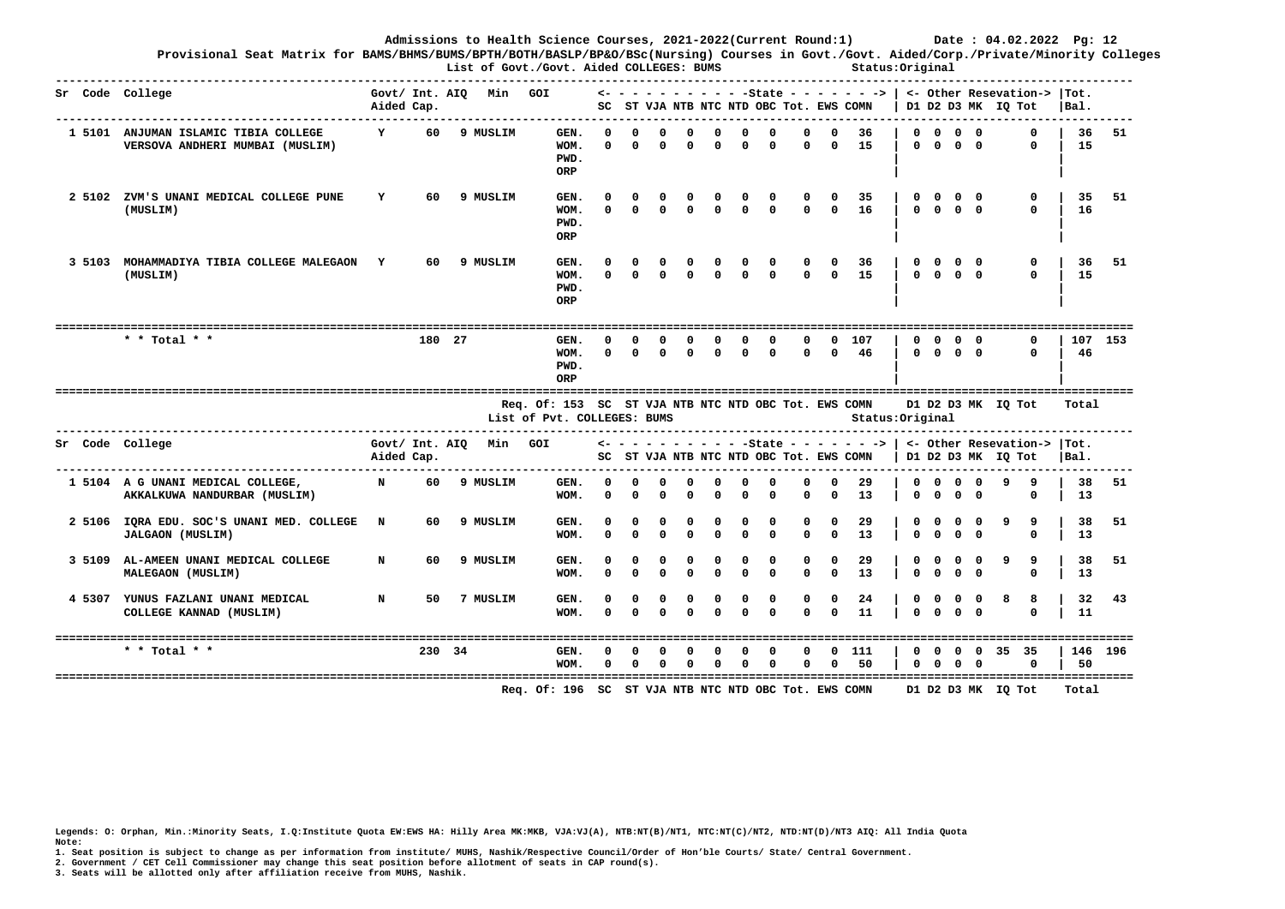**Provisional Seat Matrix for BAMS/BHMS/BUMS/BPTH/BOTH/BASLP/BP&O/BSc(Nursing) Courses in Govt./Govt. Aided/Corp./Private/Minority Colleges List of Govt./Govt. Aided COLLEGES: BUMS Status:Original** 

|        | Sr Code College<br>.                                                    | Aided Cap.   |     |        | Govt/ Int. AIQ Min GOI |                                                                                     |                          |                      |                          |                      |                          |                         |                        |                          |                        |                               |                      |              |                                                         |                 | $\leftarrow$ - - - - - - - - - - State - - - - - - >   <- Other Resevation->  Tot.<br>SC ST VJA NTB NTC NTD OBC Tot. EWS COMN   D1 D2 D3 MK IQ Tot   | Bal.     |         |
|--------|-------------------------------------------------------------------------|--------------|-----|--------|------------------------|-------------------------------------------------------------------------------------|--------------------------|----------------------|--------------------------|----------------------|--------------------------|-------------------------|------------------------|--------------------------|------------------------|-------------------------------|----------------------|--------------|---------------------------------------------------------|-----------------|------------------------------------------------------------------------------------------------------------------------------------------------------|----------|---------|
|        | 1 5101 ANJUMAN ISLAMIC TIBIA COLLEGE<br>VERSOVA ANDHERI MUMBAI (MUSLIM) | $\mathbf{Y}$ |     |        | 60 9 MUSLIM            | GEN.<br>WOM.<br>PWD.<br>ORP                                                         | $\Omega$<br>$\Omega$     | $\Omega$<br>$\Omega$ | 0<br><sup>n</sup>        | $\Omega$             | $\Omega$<br>$\Omega$     | $\Omega$<br>$\Omega$    | $\Omega$<br>$\Omega$   | $^{\circ}$               |                        | $0\quad 36$<br>$0 \t 0 \t 15$ |                      |              | $0\quad 0\quad 0\quad 0$<br>$0 \quad 0 \quad 0 \quad 0$ |                 | U<br>$\Omega$                                                                                                                                        | 15       | 36 51   |
| 2 5102 | ZVM'S UNANI MEDICAL COLLEGE PUNE<br>(MUSLIM)                            | Y            | 60  |        | 9 MUSLIM               | GEN.<br>WOM.<br>PWD.<br>ORP                                                         |                          |                      |                          |                      |                          |                         | $\Omega$               | 0<br>$\Omega$            | $\Omega$               | 35<br>16                      |                      |              | $0 \quad 0 \quad 0 \quad 0$                             | $0\quad 0$      | 0<br>$\Omega$                                                                                                                                        | 35<br>16 | 51      |
| 3 5103 | MOHAMMADIYA TIBIA COLLEGE MALEGAON Y<br>(MUSLIM)                        |              | 60  |        | 9 MUSLIM               | GEN.<br>WOM.<br>PWD.<br>ORP                                                         | $\Omega$                 | $\Omega$             | $\Omega$                 |                      | $\Omega$                 | $\Omega$                | $\Omega$               | $^{\circ}$<br>$\Omega$   | $\Omega$               | 36<br>15                      |                      |              | $0\quad 0\quad 0\quad 0$                                | $0\quad 0$      | 0<br>U                                                                                                                                               | 36<br>15 | 51      |
|        | * * Total * *                                                           |              |     | 180 27 |                        | GEN.<br>WOM.<br>PWD.<br>ORP                                                         | <sup>n</sup><br>$\Omega$ | n<br>$\Omega$        | 0<br>$\Omega$            | $\Omega$             | <sup>0</sup><br>$\Omega$ | 0<br>$\Omega$           | 0<br>$\Omega$          | 0                        | $^{\circ}$             | 107<br>0 0 46                 | 0                    |              | $^{\circ}$<br>$0 \quad 0 \quad 0 \quad 0$               | $0\quad 0$      | 0<br>$\Omega$                                                                                                                                        | 46       | 107 153 |
|        |                                                                         |              |     |        |                        | Req. Of: 153 SC ST VJA NTB NTC NTD OBC Tot. EWS COMN<br>List of Pvt. COLLEGES: BUMS |                          |                      |                          |                      |                          |                         |                        |                          |                        | Status: Original              |                      |              |                                                         |                 | D1 D2 D3 MK IQ Tot                                                                                                                                   | Total    |         |
|        | Sr Code College                                                         | Aided Cap.   |     |        | Govt/ Int. AIQ Min GOI |                                                                                     |                          |                      |                          |                      |                          |                         |                        |                          |                        |                               |                      |              |                                                         |                 | $\leftarrow$ - - - - - - - - - - State - - - - - - - >   <- Other Resevation->  Tot.<br>SC ST VJA NTB NTC NTD OBC Tot. EWS COMN   D1 D2 D3 MK IQ Tot | $ Bal$ . |         |
|        | 1 5104 A G UNANI MEDICAL COLLEGE,<br>AKKALKUWA NANDURBAR (MUSLIM)       | N            | 60  |        | 9 MUSLIM               | GEN.<br>WOM.                                                                        | $\Omega$<br>$\Omega$     | $\Omega$<br>$\Omega$ | <sup>o</sup><br>$\Omega$ | $\Omega$<br>$\Omega$ | $\Omega$<br>$\Omega$     | $\Omega$<br>$\Omega$    | $\Omega$<br>$\Omega$   | $\Omega$<br>$\mathbf{0}$ | $\Omega$<br>$\Omega$   | -29<br>13                     | $\Omega$             | $\mathbf{0}$ | $0\quad 0\quad 0\quad 0$<br>$\Omega$                    | $\Omega$        | -9<br>-9<br>0                                                                                                                                        | 38<br>13 | 51      |
| 2 5106 | IQRA EDU. SOC'S UNANI MED. COLLEGE N<br><b>JALGAON (MUSLIM)</b>         |              | 60  |        | 9 MUSLIM               | GEN.<br>WOM.                                                                        | $\Omega$                 | $\Omega$             | $\Omega$                 |                      |                          | $\Omega$                | $\Omega$<br>$\Omega$   | $\Omega$<br>$\Omega$     | $\Omega$               | 29<br>13                      | $\Omega$             |              | $\Omega$                                                | $\Omega$        | 9                                                                                                                                                    | 38<br>13 | 51      |
| 3 5109 | AL-AMEEN UNANI MEDICAL COLLEGE<br>MALEGAON (MUSLIM)                     | N            | 60. |        | 9 MUSLIM               | GEN.<br>WOM.                                                                        | $\Omega$                 | $\Omega$             | $\Omega$                 |                      |                          | $\Omega$<br>$\Omega$    | $\Omega$<br>$\Omega$   | 0                        | $\Omega$<br>$\Omega$   | 29<br>13                      | $\Omega$             | $\Omega$     | $\Omega$                                                | $\Omega$        | 9<br>9                                                                                                                                               | 38<br>13 | 51      |
|        | 4 5307 YUNUS FAZLANI UNANI MEDICAL<br>COLLEGE KANNAD (MUSLIM)           | N            | 50  |        | 7 MUSLIM               | GEN.<br>WOM.                                                                        | 0<br>$\Omega$            | $\Omega$<br>$\Omega$ | $^{\circ}$<br>$\Omega$   | $^{\circ}$           | $^{\circ}$<br>$\Omega$   | $\mathbf 0$<br>$\Omega$ | $^{\circ}$<br>$\Omega$ | $\mathbf 0$<br>$\Omega$  | $^{\circ}$<br>$\Omega$ | 24<br>11                      | 0<br>$\Omega$        |              | $\Omega$                                                | 0 0<br>$\Omega$ | -8<br>8<br><sup>0</sup>                                                                                                                              | 32<br>11 | 43      |
|        | * * Total * *                                                           |              |     | 230 34 |                        | GEN.<br>WOM.                                                                        | $\Omega$                 | $\Omega$<br>$\Omega$ | O<br>$\Omega$            | O<br>$\Omega$        | n<br>$\Omega$            | $\Omega$<br>$\Omega$    | $\mathbf 0$<br>0       | $\Omega$<br>$\Omega$     | $\Omega$               | $0$ 111<br>50                 | $\Omega$<br>$\Omega$ |              | $0\quad 0$<br>$^{\circ}$                                | $0\quad 0$      | $0\quad 35\quad 35$<br>$\Omega$                                                                                                                      | 50       | 146 196 |
|        |                                                                         |              |     |        |                        |                                                                                     |                          |                      |                          |                      |                          |                         |                        |                          |                        |                               |                      |              |                                                         |                 |                                                                                                                                                      |          |         |

**Legends: O: Orphan, Min.:Minority Seats, I.Q:Institute Quota EW:EWS HA: Hilly Area MK:MKB, VJA:VJ(A), NTB:NT(B)/NT1, NTC:NT(C)/NT2, NTD:NT(D)/NT3 AIQ: All India Quota Note:** 

**1. Seat position is subject to change as per information from institute/ MUHS, Nashik/Respective Council/Order of Hon'ble Courts/ State/ Central Government.** 

**2. Government / CET Cell Commissioner may change this seat position before allotment of seats in CAP round(s).**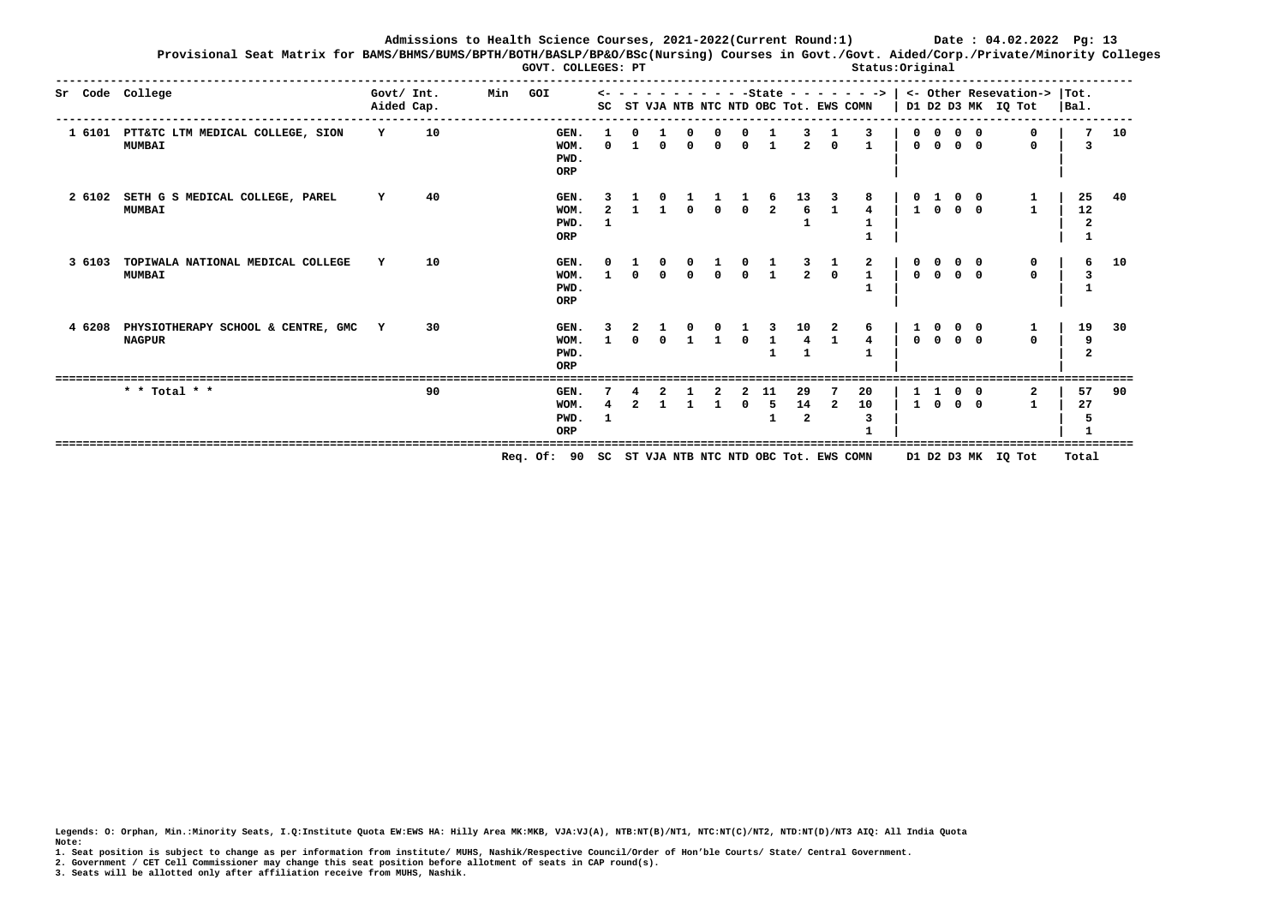**Provisional Seat Matrix for BAMS/BHMS/BUMS/BPTH/BOTH/BASLP/BP&O/BSc(Nursing) Courses in Govt./Govt. Aided/Corp./Private/Minority Colleges GOVT. COLLEGES: PT**  $\qquad \qquad$  Status:Original

|        | Sr Code College                                          |              | Govt/ Int.<br>Aided Cap. | Min | GOI                                                 | SC |          |          |  | ST VJA NTB NTC NTD OBC Tot. EWS COMN |                |                |                   |              |                                                |                                     | $- - - - - - -$ - State - - - - - - ->   <- Other Resevation->  Tot.<br>D1 D2 D3 MK IQ Tot | Bal.     |    |
|--------|----------------------------------------------------------|--------------|--------------------------|-----|-----------------------------------------------------|----|----------|----------|--|--------------------------------------|----------------|----------------|-------------------|--------------|------------------------------------------------|-------------------------------------|--------------------------------------------------------------------------------------------|----------|----|
|        | 1 6101 PTT&TC LTM MEDICAL COLLEGE, SION<br><b>MUMBAI</b> | Y            | 10                       |     | GEN.<br>WOM.<br>PWD.<br>ORP                         |    | $\Omega$ | $\Omega$ |  |                                      | $\overline{2}$ | $\Omega$       | 3<br>$\mathbf{1}$ | $^{\circ}$   | $\Omega$<br>$0\quad 0\quad 0\quad 0$           |                                     | $\mathbf{0}$                                                                               | 7        | 10 |
| 2 6102 | SETH G S MEDICAL COLLEGE, PAREL<br><b>MUMBAI</b>         | Y            | 40                       |     | GEN.<br>WOM.<br>PWD.<br>ORP                         |    |          |          |  | $\frac{6}{2}$                        | $\frac{13}{6}$ |                | $\mathbf{1}$      |              | $\begin{array}{cc} 0 & 1 \\ 1 & 0 \end{array}$ | $\begin{matrix}0&0\0&0\end{matrix}$ |                                                                                            | 25<br>12 | 40 |
| 3 6103 | TOPIWALA NATIONAL MEDICAL COLLEGE<br><b>MUMBAI</b>       |              | 10                       |     | GEN.<br>WOM.<br>PWD.<br>ORP                         |    |          |          |  |                                      | $\overline{2}$ | $\Omega$       | 2<br>$\mathbf{1}$ | $\Omega$     |                                                |                                     | $\Omega$                                                                                   | 6        | 10 |
| 4 6208 | PHYSIOTHERAPY SCHOOL & CENTRE, GMC<br><b>NAGPUR</b>      | $\mathbf{Y}$ | 30                       |     | GEN.<br>WOM.<br>PWD.<br>ORP                         |    |          |          |  |                                      | 10             |                |                   |              | $0\quad 0$                                     | $0\quad 0$                          | $\Omega$                                                                                   | 19       | 30 |
|        | * * Total * *                                            |              | 90                       |     | GEN.<br>WOM.<br>PWD.<br>ORP                         |    |          |          |  | 5                                    | 29<br>14<br>2  | $\overline{2}$ | 20<br>10          | $\mathbf{1}$ | $\Omega$                                       | 0 0<br>$0\quad 0$                   |                                                                                            | 57<br>27 | 90 |
|        |                                                          |              |                          |     | Req. Of: 90 SC ST VJA NTB NTC NTD OBC Tot. EWS COMN |    |          |          |  |                                      |                |                |                   |              |                                                |                                     | D1 D2 D3 MK IQ Tot                                                                         | Total    |    |

**Legends: O: Orphan, Min.:Minority Seats, I.Q:Institute Quota EW:EWS HA: Hilly Area MK:MKB, VJA:VJ(A), NTB:NT(B)/NT1, NTC:NT(C)/NT2, NTD:NT(D)/NT3 AIQ: All India Quota Note:** 

**1. Seat position is subject to change as per information from institute/ MUHS, Nashik/Respective Council/Order of Hon'ble Courts/ State/ Central Government.** 

**2. Government / CET Cell Commissioner may change this seat position before allotment of seats in CAP round(s).**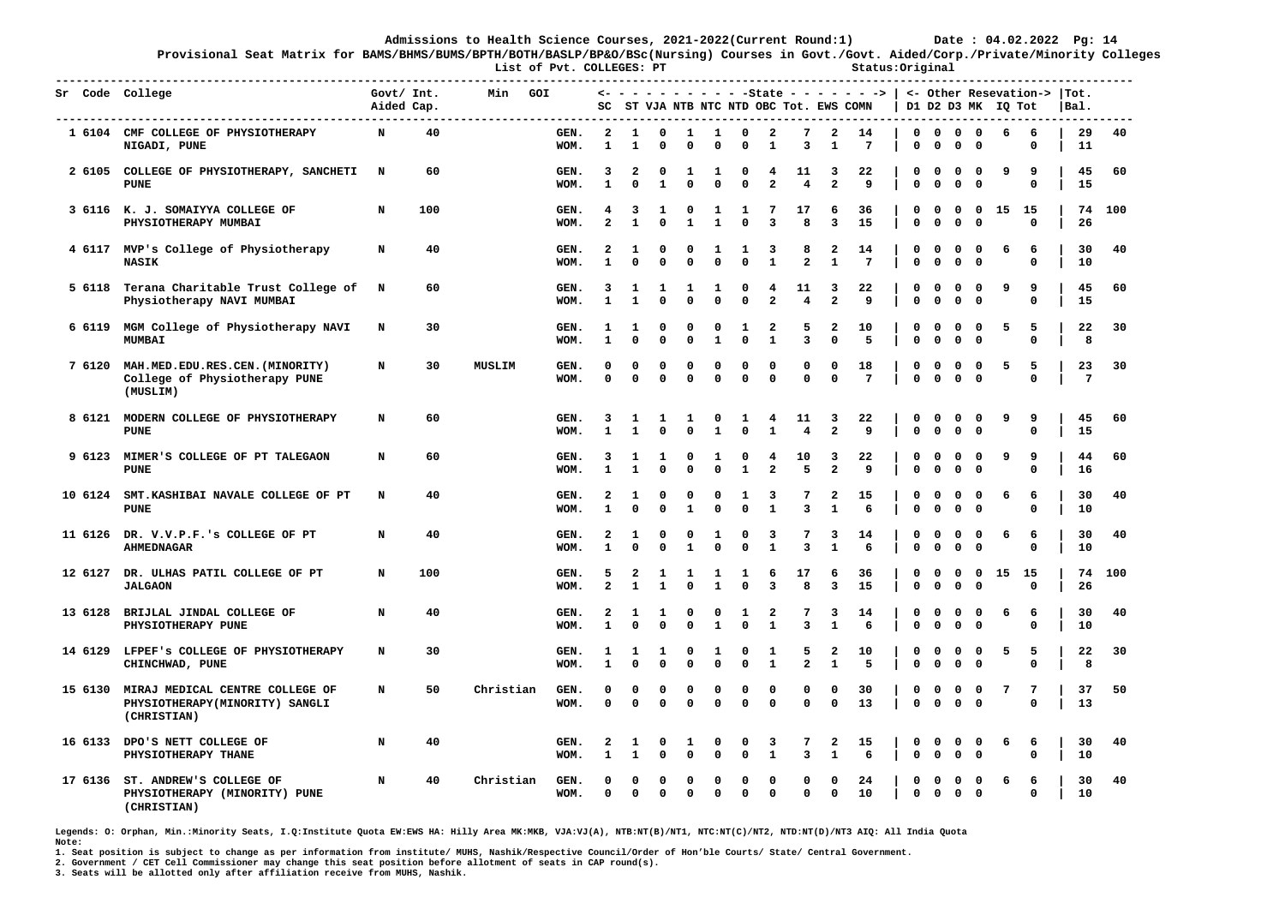**Provisional Seat Matrix for BAMS/BHMS/BUMS/BPTH/BOTH/BASLP/BP&O/BSc(Nursing) Courses in Govt./Govt. Aided/Corp./Private/Minority Colleges**

List of Pvt. COLLEGES: PT **Status:Original** 

| Sr Code College | ---------------------------<br>------------------------------                    | Govt/ Int.<br>Aided Cap. |     | Min           | GOI          | SC                           |                      |                            |                          |                             |                            |                              | ST VJA NTB NTC NTD OBC Tot. EWS COMN |                                | <- - - - - - - - - - -State - - - - - - -> |                             |                             |                               |                             | D1 D2 D3 MK IQ Tot |                  | <- Other Resevation->  Tot.<br> Bal. |          |     |
|-----------------|----------------------------------------------------------------------------------|--------------------------|-----|---------------|--------------|------------------------------|----------------------|----------------------------|--------------------------|-----------------------------|----------------------------|------------------------------|--------------------------------------|--------------------------------|--------------------------------------------|-----------------------------|-----------------------------|-------------------------------|-----------------------------|--------------------|------------------|--------------------------------------|----------|-----|
|                 | 1 6104 CMF COLLEGE OF PHYSIOTHERAPY<br>NIGADI, PUNE                              | N                        | 40  |               | GEN.<br>WOM. | $\overline{a}$<br>1          | 1<br>1               | 0<br>0                     | 1<br>$\mathbf{0}$        | 1<br>0                      | $\mathbf 0$<br>$\Omega$    | $\overline{\mathbf{2}}$<br>1 | 7<br>$\overline{3}$                  | $\overline{a}$<br>$\mathbf{1}$ | 14<br>7                                    | $\mathbf 0$<br>$\mathbf{0}$ | 0                           | $0\quad 0\quad 0$<br>$\Omega$ | 0                           | 6                  | 6<br>0           | 11                                   | 29       | 40  |
|                 | 2 6105 COLLEGE OF PHYSIOTHERAPY, SANCHETI<br><b>PUNE</b>                         | $\mathbf N$              | 60  |               | GEN.<br>WOM. | 3<br>$\mathbf{1}$            | 2<br>$\Omega$        | $^{\circ}$<br>$\mathbf{1}$ | 1<br>$\mathbf 0$         | 1<br>$\mathbf 0$            | $\Omega$<br>$\mathbf 0$    | 4<br>$\overline{\mathbf{2}}$ | 11<br>$\overline{4}$                 | 3<br>$\overline{a}$            | 22<br>9                                    | 0<br>0                      | 0<br>$\mathbf 0$            | $\Omega$<br>$\mathbf 0$       | $^{\circ}$<br>$\mathbf 0$   | ٩                  | 9<br>0           |                                      | 45<br>15 | 60  |
|                 | 3 6116 K. J. SOMAIYYA COLLEGE OF<br>PHYSIOTHERAPY MUMBAI                         | N                        | 100 |               | GEN.<br>WOM. | 4<br>$\overline{a}$          | 3<br>$\mathbf{1}$    | 1<br>0                     | 0<br>$\mathbf{1}$        | 1<br>$\mathbf{1}$           | 1<br>$\Omega$              | 7<br>3                       | 17<br>8                              | 6<br>$\overline{\mathbf{3}}$   | 36<br>15                                   | 0<br>0                      | 0<br>$\mathbf 0$            | 0<br>$\mathbf 0$              | $\mathbf 0$<br>$\mathbf 0$  |                    | 15 15<br>0       |                                      | 74<br>26 | 100 |
|                 | 4 6117 MVP's College of Physiotherapy<br><b>NASIK</b>                            | N                        | 40  |               | GEN.<br>WOM. | 2<br>$\mathbf{1}$            | 1<br>$\Omega$        | 0<br>0                     | $\Omega$<br>$\mathbf 0$  | 1<br>$\mathbf 0$            | 1<br>$\mathbf 0$           | 3<br>$\mathbf{1}$            | 8<br>$\mathbf{2}$                    | 2<br>1                         | 14<br>7                                    | 0<br>0                      | 0<br>0                      | 0<br>$\mathbf 0$              | $\mathbf 0$<br>$\mathbf{o}$ | 6                  | 6<br>0           |                                      | 30<br>10 | 40  |
|                 | 5 6118 Terana Charitable Trust College of N<br>Physiotherapy NAVI MUMBAI         |                          | 60  |               | GEN.<br>WOM. | 3<br>$\mathbf{1}$            | 1<br>$\mathbf{1}$    | 1<br>0                     | 1<br>$\Omega$            | 1<br>$\mathbf 0$            | 0<br>$\Omega$              | 4<br>$\overline{a}$          | 11<br>$\overline{4}$                 | 3<br>$\overline{a}$            | 22<br>9                                    | 0<br>0                      | $^{\circ}$<br>$\mathbf 0$   | $\Omega$<br>$\mathbf 0$       | $\Omega$<br>$\mathbf 0$     | ٩                  | 9<br>0           |                                      | 45<br>15 | 60  |
|                 | 6 6119 MGM College of Physiotherapy NAVI<br><b>MUMBAI</b>                        | N                        | 30  |               | GEN.<br>WOM. | 1<br>$\mathbf{1}$            | 1<br>$\Omega$        | 0<br>0                     | 0<br>$\mathbf 0$         | 0<br>$\mathbf{1}$           | 1<br>$\mathbf 0$           | 2<br>$\mathbf{1}$            | 5<br>$\overline{3}$                  | 2<br>$\mathbf 0$               | 10<br>5                                    | 0<br>$\mathbf{0}$           | 0<br>$\mathbf 0$            | 0<br>$\mathbf{0}$             | $\mathbf 0$<br>$\Omega$     | 5                  | 5<br>$\Omega$    |                                      | 22<br>8  | 30  |
| 7 6120          | MAH.MED.EDU.RES.CEN. (MINORITY)<br>College of Physiotherapy PUNE<br>(MUSLIM)     | N                        | 30  | <b>MUSLIM</b> | GEN.<br>WOM. | 0<br>O                       | 0<br>$\Omega$        | 0<br>0                     | 0<br>$\mathbf 0$         | 0<br>$\mathbf 0$            | $\Omega$<br>$\mathbf 0$    | 0<br>$\mathbf 0$             | 0<br>$\mathbf 0$                     | 0<br>$\mathbf 0$               | 18<br>$\overline{7}$                       | 0<br>$\mathbf 0$            | 0<br>$\mathbf 0$            | 0<br>$\mathbf 0$              | $\mathbf 0$<br>$\mathbf 0$  | 5                  | 5<br>0           |                                      | 23<br>7  | 30  |
| 8 6121          | MODERN COLLEGE OF PHYSIOTHERAPY<br><b>PUNE</b>                                   | N                        | 60  |               | GEN.<br>WOM. | 3<br>1                       | 1<br>$\mathbf{1}$    | 1<br>0                     | 1<br>$\Omega$            | 0<br>1                      | 1<br>$\Omega$              | 4<br>$\mathbf{1}$            | 11<br>4                              | 3<br>$\overline{a}$            | 22<br>9                                    | 0<br>$\mathbf{0}$           | 0<br>$\mathbf{o}$           | 0<br>$\mathbf{0}$             | 0<br>$\Omega$               | 9                  | 9<br>0           | 15                                   | 45       | 60  |
| 9 6123          | MIMER'S COLLEGE OF PT TALEGAON<br><b>PUNE</b>                                    | N                        | 60  |               | GEN.<br>WOM. | 3<br>1                       | 1<br>$\mathbf{1}$    | 1<br>0                     | $\Omega$<br>$\mathbf{0}$ | 1<br>$\mathbf 0$            | 0<br>$\mathbf{1}$          | 4<br>$\mathbf{2}$            | 10<br>5                              | 3<br>$\overline{a}$            | 22<br>9                                    | 0<br>0                      | 0<br>$\mathbf 0$            | 0<br>$\mathbf 0$              | $\Omega$<br>$\mathbf 0$     | 9                  | 9<br>0           |                                      | 44<br>16 | 60  |
| 10 6124         | SMT. KASHIBAI NAVALE COLLEGE OF PT<br><b>PUNE</b>                                | N                        | 40  |               | GEN.<br>WOM. | $\mathbf{2}$<br>$\mathbf{1}$ | 1<br>$\Omega$        | 0<br>0                     | 0<br>$\mathbf{1}$        | 0<br>$\mathbf 0$            | 1<br>$\mathbf 0$           | 3<br>$\mathbf{1}$            | 7<br>$\overline{3}$                  | $\mathbf{2}$<br>$\mathbf{1}$   | 15<br>6                                    | 0<br>0                      | $\mathbf 0$<br>$\mathbf 0$  | 0<br>$\mathbf 0$              | 0<br>$\mathbf 0$            | 6                  | 6<br>0           |                                      | 30<br>10 | 40  |
| 11 6126         | DR. V.V.P.F.'s COLLEGE OF PT<br><b>AHMEDNAGAR</b>                                | N                        | 40  |               | GEN.<br>WOM. | $\mathbf{2}$<br>1            | 1<br>$\Omega$        | 0<br>$\Omega$              | 0<br>1                   | 1<br>0                      | $\Omega$<br>$\Omega$       | 3<br>1                       | 7<br>3                               | 3<br>$\mathbf{1}$              | 14<br>6                                    | 0<br>$\mathbf{0}$           | $\mathbf 0$<br>$\mathbf{0}$ | 0<br>0                        | 0<br>$\mathbf 0$            | 6                  | 6<br>$\Omega$    |                                      | 30<br>10 | 40  |
| 12 6127         | DR. ULHAS PATIL COLLEGE OF PT<br><b>JALGAON</b>                                  | N                        | 100 |               | GEN.<br>WOM. | 5<br>$\overline{a}$          | 2<br>$\mathbf{1}$    | 1<br>$\mathbf{1}$          | 1<br>$\Omega$            | 1<br>$\mathbf{1}$           | 1<br>$\Omega$              | 6<br>3                       | 17<br>8                              | 6<br>$\overline{\mathbf{3}}$   | 36<br>15                                   | 0<br>0                      | 0<br>$\mathbf 0$            | 0<br>$\mathbf 0$              | 0<br>$\mathbf 0$            | 15                 | - 15<br>$\Omega$ |                                      | 74<br>26 | 100 |
| 13 6128         | BRIJLAL JINDAL COLLEGE OF<br>PHYSIOTHERAPY PUNE                                  | N                        | 40  |               | GEN.<br>WOM. | $\mathbf{2}$<br>$\mathbf{1}$ | 1<br>$\Omega$        | 1<br>0                     | 0<br>$\Omega$            | 0<br>$\mathbf{1}$           | 1<br>$\Omega$              | $\mathbf{z}$<br>$\mathbf{1}$ | 7<br>3                               | 3<br>$\mathbf{1}$              | 14<br>6                                    | 0<br>$\mathbf{0}$           | 0<br>$\mathbf 0$            | 0<br>$\mathbf 0$              | 0<br>$\mathbf 0$            | 6                  | 6<br>$\Omega$    |                                      | 30<br>10 | 40  |
| 14 6129         | LFPEF'S COLLEGE OF PHYSIOTHERAPY<br>CHINCHWAD, PUNE                              | N                        | 30  |               | GEN.<br>WOM. | 1<br>1                       | 1<br>$\Omega$        | 1<br>0                     | 0<br>$\Omega$            | $\mathbf{1}$<br>$\mathbf 0$ | $\Omega$<br>$\Omega$       | $\mathbf{1}$<br>$\mathbf 1$  | 5<br>$\mathbf{2}$                    | $\mathbf{z}$<br>$\mathbf{1}$   | 10<br>5                                    | 0<br>0                      | $\mathbf 0$<br>$\mathbf 0$  | 0<br>$\mathbf 0$              | 0<br>$\mathbf 0$            | 5                  | 5<br>$\Omega$    |                                      | 22<br>8  | 30  |
| 15 6130         | MIRAJ MEDICAL CENTRE COLLEGE OF<br>PHYSIOTHERAPY(MINORITY) SANGLI<br>(CHRISTIAN) | N                        | 50  | Christian     | GEN.<br>WOM. | 0<br>0                       | $\Omega$<br>$\Omega$ | 0<br>0                     | $\Omega$<br>$\mathbf 0$  | 0<br>$\mathbf 0$            | $\mathbf 0$<br>$\mathbf 0$ | 0<br>$\mathbf 0$             | $\Omega$<br>$\mathbf 0$              | 0<br>$\mathbf 0$               | 30<br>13                                   | 0<br>$\mathbf 0$            | 0<br>$\mathbf 0$            | 0<br>$\mathbf 0$              | 0<br>$\mathbf 0$            | $7\phantom{.0}$    | 7<br>0           |                                      | 37<br>13 | 50  |
| 16 6133         | DPO'S NETT COLLEGE OF<br>PHYSIOTHERAPY THANE                                     | N                        | 40  |               | GEN.<br>WOM. | 2<br>1                       | 1<br>$\mathbf{1}$    | 0<br>0                     | 1<br>$\Omega$            | 0<br>0                      | 0<br>$\mathbf 0$           | 3<br>$\mathbf{1}$            | 7<br>3                               | 2<br>$\mathbf{1}$              | 15<br>6                                    | 0<br>0                      | 0<br>$\mathbf 0$            | 0<br>0                        | 0<br>$\mathbf 0$            | 6                  | 6<br>0           | 10                                   | 30       | 40  |
| 17 6136         | ST. ANDREW'S COLLEGE OF<br>PHYSIOTHERAPY (MINORITY) PUNE<br>(CHRISTIAN)          | N                        | 40  | Christian     | GEN.<br>WOM. | O<br>$\Omega$                | $\Omega$             | $\Omega$<br>0              | O<br>$\Omega$            | O<br>$\mathbf 0$            | O<br>$\Omega$              | O<br>$\mathbf 0$             | O<br>$\Omega$                        | O<br>$\mathbf 0$               | 24<br>10                                   | O<br>$\mathbf 0$            | $\Omega$<br>$\mathbf{o}$    | O<br>0                        | $\Omega$<br>$\mathbf 0$     | 6                  | 6<br>0           | 10                                   | 30       | 40  |

**Legends: O: Orphan, Min.:Minority Seats, I.Q:Institute Quota EW:EWS HA: Hilly Area MK:MKB, VJA:VJ(A), NTB:NT(B)/NT1, NTC:NT(C)/NT2, NTD:NT(D)/NT3 AIQ: All India Quota Note:** 

**1. Seat position is subject to change as per information from institute/ MUHS, Nashik/Respective Council/Order of Hon'ble Courts/ State/ Central Government.** 

**2. Government / CET Cell Commissioner may change this seat position before allotment of seats in CAP round(s).**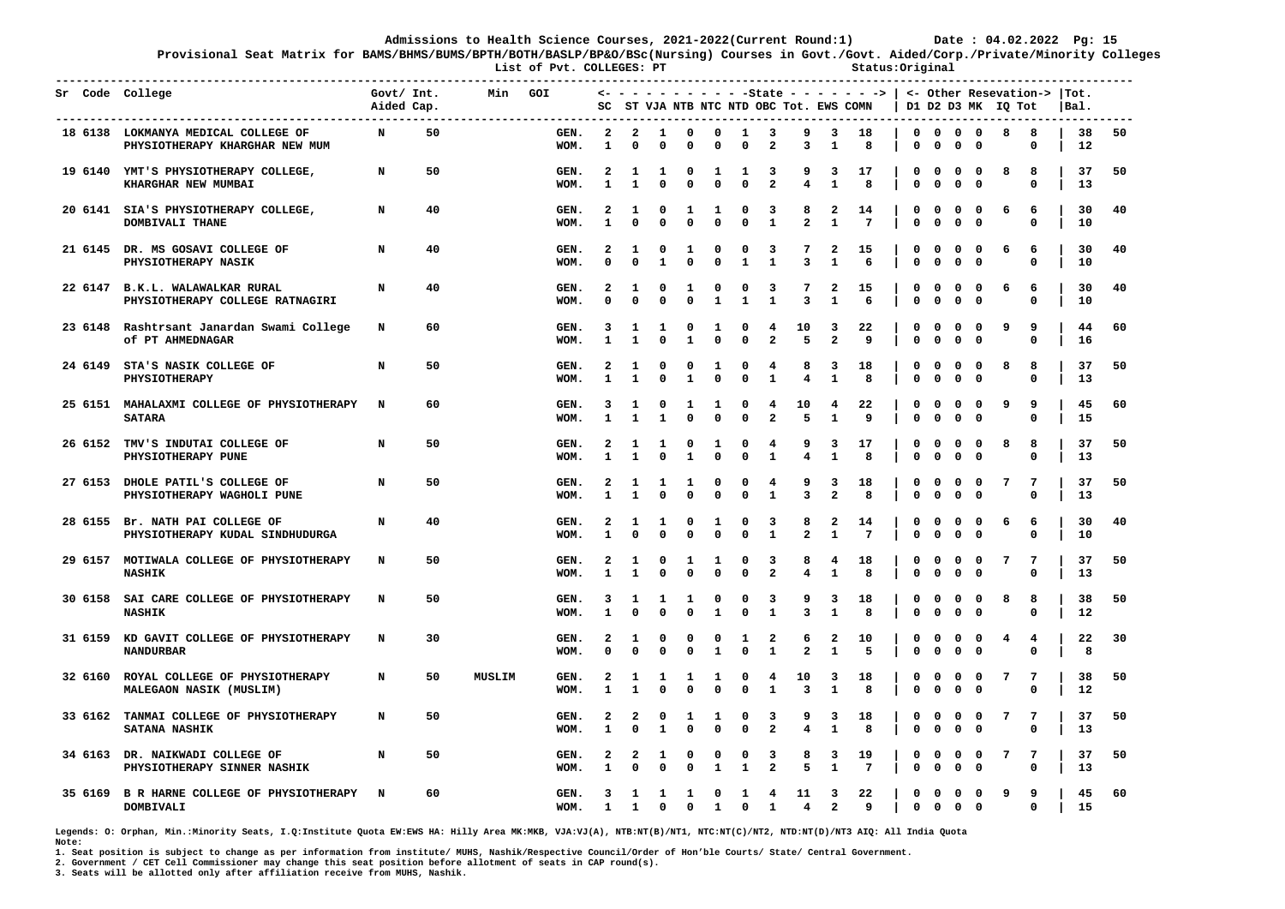**Provisional Seat Matrix for BAMS/BHMS/BUMS/BPTH/BOTH/BASLP/BP&O/BSc(Nursing) Courses in Govt./Govt. Aided/Corp./Private/Minority Colleges**

List of Pvt. COLLEGES: PT **Status:Original** 

|  | Sr Code College                                                       | Govt/ $Int.$<br>Aided Cap. |    | Min    | GOI          |                               |                                     |                   |                   | -----------------        |                   |                              | SC ST VJA NTB NTC NTD OBC Tot. EWS COMN |                              | $\leftarrow$ - - - - - - - - - -State - - - - - - - >   <- Other Resevation->  Tot. |                  |                             |                   |                               | D1 D2 D3 MK IQ Tot |                  | Bal.     |    |
|--|-----------------------------------------------------------------------|----------------------------|----|--------|--------------|-------------------------------|-------------------------------------|-------------------|-------------------|--------------------------|-------------------|------------------------------|-----------------------------------------|------------------------------|-------------------------------------------------------------------------------------|------------------|-----------------------------|-------------------|-------------------------------|--------------------|------------------|----------|----|
|  | 18 6138 LOKMANYA MEDICAL COLLEGE OF<br>PHYSIOTHERAPY KHARGHAR NEW MUM | N                          | 50 |        | GEN.<br>WOM. | 2<br>1                        | $\mathbf{2}$<br>0                   | 1<br>0            | 0<br>0            | 0<br>0                   | $\mathbf{1}$<br>0 | 3<br>2                       | 9<br>з                                  | 3<br>1                       | 18<br>8                                                                             | 0                | 0                           | 0                 | $0\quad 0\quad 0\quad 0$<br>0 | 8                  | 8<br>0           | 38<br>12 | 50 |
|  | 19 6140 YMT'S PHYSIOTHERAPY COLLEGE,<br>KHARGHAR NEW MUMBAI           | N                          | 50 |        | GEN.<br>WOM. | 2<br>$\mathbf{1}$             | 1<br>1                              | 1<br>$\Omega$     | 0<br>0            | 1<br>$\Omega$            | 1<br>$\Omega$     | 3<br>$\overline{\mathbf{2}}$ | 9<br>4                                  | 3<br>$\mathbf{1}$            | 17<br>8                                                                             | 0<br>0           | 0<br>$\mathbf 0$            | 0<br>$\mathbf 0$  | 0<br>$\Omega$                 | 8                  | 8<br>$\Omega$    | 37<br>13 | 50 |
|  | 20 6141 SIA'S PHYSIOTHERAPY COLLEGE,<br>DOMBIVALI THANE               | N                          | 40 |        | GEN.<br>WOM. | 2<br>$\mathbf{1}$             | 1<br>$\Omega$                       | 0<br>0            | 1<br>0            | ı<br>$\Omega$            | 0<br>$\Omega$     | з<br>$\mathbf{1}$            | 8<br>$\mathbf{2}$                       | 2<br>$\mathbf{1}$            | 14<br>7                                                                             | 0<br>0           | $\mathbf{o}$<br>$\mathbf 0$ | 0<br>0            | $\mathbf{o}$<br>$\mathbf 0$   | 6                  | 6<br>0           | 30<br>10 | 40 |
|  | 21 6145 DR. MS GOSAVI COLLEGE OF<br><b>PHYSIOTHERAPY NASIK</b>        | N                          | 40 |        | GEN.<br>WOM. | 2<br>O                        | 1<br>$\Omega$                       | 0<br>$\mathbf{1}$ | 1<br>$\Omega$     | 0<br>0                   | 0<br>$\mathbf{1}$ | 3<br>$\mathbf{1}$            | 7<br>3                                  | 2<br>1                       | 15<br>6                                                                             | 0<br>0           | 0<br>$\mathbf 0$            | 0<br>$\mathbf 0$  | $\mathbf{o}$<br>$\mathbf 0$   | 6                  | 6<br>0           | 30<br>10 | 40 |
|  | 22 6147 B.K.L. WALAWALKAR RURAL<br>PHYSIOTHERAPY COLLEGE RATNAGIRI    | N                          | 40 |        | GEN.<br>WOM. | 2<br>$\Omega$                 | 1<br>$\Omega$                       | 0<br>$\mathbf 0$  | 1<br>$\Omega$     | 0<br>$\mathbf{1}$        | 0<br>$\mathbf{1}$ | 3<br>$\mathbf{1}$            | 7<br>3                                  | 2<br>$\mathbf{1}$            | 15<br>6                                                                             | 0<br>$\mathbf 0$ | 0<br>$\mathbf 0$            | 0<br>$\mathbf 0$  | $\mathbf{o}$<br>$\mathbf 0$   | 6                  | 6<br>$\mathbf 0$ | 30<br>10 | 40 |
|  | 23 6148 Rashtrsant Janardan Swami College<br>Of PT AHMEDNAGAR         | N                          | 60 |        | GEN.<br>WOM. | 3<br>-1                       | 1<br>1                              | 1<br>0            | 0<br>1            | 1<br>0                   | 0<br>0            | 4<br>$\mathbf{2}$            | 10<br>5                                 | 3<br>$\mathbf{2}$            | 22<br>9                                                                             | 0<br>$\mathbf 0$ | 0<br>$\mathbf 0$            | 0<br>0            | $\mathbf{o}$<br>$\mathbf{o}$  | 9                  | 9<br>0           | 44<br>16 | 60 |
|  | 24 6149 STA'S NASIK COLLEGE OF<br>PHYSIOTHERAPY                       | N                          | 50 |        | GEN.<br>WOM. | 2<br>1                        | 1<br>1                              | 0<br>$\mathbf 0$  | 0<br>$\mathbf{1}$ | 1<br>$\mathbf{0}$        | 0<br>$\mathbf 0$  | 4<br>$\mathbf{1}$            | 8<br>4                                  | 3<br>$\mathbf{1}$            | 18<br>8                                                                             | 0<br>0           | 0<br>$\mathbf 0$            | 0<br>$\mathbf{0}$ | $\mathbf 0$<br>$\Omega$       | 8                  | 8<br>$\mathbf 0$ | 37<br>13 | 50 |
|  | 25 6151 MAHALAXMI COLLEGE OF PHYSIOTHERAPY<br><b>SATARA</b>           | N                          | 60 |        | GEN.<br>WOM. | 3<br>1                        | 1<br>1                              | 0<br>1            | 1<br>0            | 1<br>0                   | 0<br>0            | 4<br>$\mathbf{2}$            | 10<br>5                                 | 4<br>$\mathbf{1}$            | 22<br>9                                                                             | 0<br>$\mathbf 0$ | 0<br>$\mathbf 0$            | 0<br>$\mathbf 0$  | $\mathbf 0$<br>$\mathbf{o}$   | 9                  | 9<br>0           | 45<br>15 | 60 |
|  | 26 6152 TMV'S INDUTAI COLLEGE OF<br>PHYSIOTHERAPY PUNE                | N                          | 50 |        | GEN.<br>WOM. | $\overline{\mathbf{2}}$<br>-1 | 1<br>1                              | 1<br>$\Omega$     | 0<br>1            | 1<br>O                   | 0<br>$\mathbf 0$  | 4<br>1                       | 9<br>4                                  | 3<br>1                       | 17<br>8                                                                             | 0<br>0           | $\mathbf 0$<br>0            | 0<br>0            | $\mathbf{o}$<br>$\mathbf 0$   | 8                  | 8<br>0           | 37<br>13 | 50 |
|  | 27 6153 DHOLE PATIL'S COLLEGE OF<br>PHYSIOTHERAPY WAGHOLI PUNE        | N                          | 50 |        | GEN.<br>WOM. | 2<br>1                        | 1<br>1                              | 1<br>$\Omega$     | 1<br>$\Omega$     | 0<br>0                   | 0<br>$\Omega$     | 4<br>$\mathbf{1}$            | 9<br>3                                  | 3<br>$\overline{\mathbf{2}}$ | 18<br>8                                                                             | 0<br>$\mathbf 0$ | $\mathbf 0$<br>$\mathbf 0$  | 0<br>0            | $\mathbf 0$<br>$\mathbf 0$    | 7                  | 7<br>0           | 37<br>13 | 50 |
|  | 28 6155 Br. NATH PAI COLLEGE OF<br>PHYSIOTHERAPY KUDAL SINDHUDURGA    | N                          | 40 |        | GEN.<br>WOM. | $\overline{\mathbf{2}}$<br>1  | 1<br>0                              | 1<br>0            | 0<br>0            | 1<br>$\mathbf 0$         | 0<br>0            | 3<br>1                       | 8<br>$\mathbf{2}$                       | 2<br>1                       | 14<br>7                                                                             | 0<br>0           | $\mathbf 0$<br>$\mathbf 0$  | 0<br>0            | $\mathbf{o}$<br>0             | 6                  | 6<br>0           | 30<br>10 | 40 |
|  | 29 6157 MOTIWALA COLLEGE OF PHYSIOTHERAPY<br><b>NASHIK</b>            | N                          | 50 |        | GEN.<br>WOM. | $\overline{\mathbf{2}}$<br>-1 | 1<br>1                              | 0<br>0            | 1<br>0            | 1<br>0                   | 0<br>0            | 3<br>$\overline{a}$          | 8<br>4                                  | 4<br>1                       | 18<br>8                                                                             | 0<br>$\mathbf 0$ | 0<br>$\Omega$               | 0<br>0            | $\mathbf 0$<br>$\mathbf 0$    | 7                  | 7<br>0           | 37<br>13 | 50 |
|  | 30 6158 SAI CARE COLLEGE OF PHYSIOTHERAPY<br><b>NASHIK</b>            | N                          | 50 |        | GEN.<br>WOM. | 3<br>-1                       | 1<br>$\Omega$                       | 1<br>0            | 1<br>0            | $\mathbf{o}$<br>1        | 0<br>0            | 3<br>1                       | 9<br>3                                  | 3<br>1                       | 18<br>8                                                                             | 0<br>0           | 0<br>0                      | 0<br>0            | $\mathbf{o}$<br>$\mathbf 0$   | 8                  | 8<br>0           | 38<br>12 | 50 |
|  | 31 6159 KD GAVIT COLLEGE OF PHYSIOTHERAPY<br><b>NANDURBAR</b>         | N                          | 30 |        | GEN.<br>WOM. | 2<br>O                        | 1<br>O                              | 0<br>$\Omega$     | 0<br>O            | 0<br>1                   | 1<br>0            | 2<br>1                       | 6<br>2                                  | 2<br>1                       | 10<br>5                                                                             | 0<br>0           | $\mathbf 0$<br>0            | 0<br>$\Omega$     | $\mathbf 0$<br>0              | 4                  | 4<br>O           | 22<br>8  | 30 |
|  | 32 6160 ROYAL COLLEGE OF PHYSIOTHERAPY<br>MALEGAON NASIK (MUSLIM)     | N                          | 50 | MUSLIM | GEN.<br>WOM. | 2<br>1                        | 1<br>1                              | 1<br>0            | 1<br>O            | 1<br>$\Omega$            | 0<br>0            | 4<br>$\mathbf{1}$            | 10<br>3                                 | 3<br>$\mathbf{1}$            | 18<br>8                                                                             | 0<br>0           | 0<br>$\mathbf 0$            | 0<br>0            | 0<br>0                        | 7                  | 7<br>0           | 38<br>12 | 50 |
|  | 33 6162 TANMAI COLLEGE OF PHYSIOTHERAPY<br><b>SATANA NASHIK</b>       | N                          | 50 |        | GEN.<br>WOM. | 2<br>1                        | 2<br>0                              | 0<br>1            | 1<br>0            | 1<br>0                   | 0<br>0            | 3<br>$\mathbf{2}$            | 9<br>4                                  | 3<br>1                       | 18<br>8                                                                             | 0<br>0           | 0<br>$\mathbf 0$            | 0<br>0            | $\mathbf 0$<br>$\mathbf 0$    | 7                  | 7<br>0           | 37<br>13 | 50 |
|  | 34 6163 DR. NAIKWADI COLLEGE OF<br>PHYSIOTHERAPY SINNER NASHIK        | N                          | 50 |        | GEN.<br>WOM. | 2<br>1                        | $\overline{\mathbf{2}}$<br>$\Omega$ | 1<br>$\Omega$     | 0<br>$\Omega$     | 0                        | 0<br>$\mathbf{1}$ | 3<br>$\overline{a}$          | 8<br>5                                  | 3<br>$\mathbf{1}$            | 19<br>$7\phantom{.0}$                                                               | 0<br>$\mathbf 0$ | 0<br>$\mathbf 0$            | 0<br>$\mathbf 0$  | 0<br>$\mathbf 0$              | 7                  | 7<br>$\mathbf 0$ | 37<br>13 | 50 |
|  | 35 6169 B R HARNE COLLEGE OF PHYSIOTHERAPY<br><b>DOMBIVALI</b>        | $\mathbf N$                | 60 |        | GEN.<br>WOM. | 3<br>1                        | 1<br>$\mathbf{1}$                   | 1<br>$\mathbf 0$  | 1<br>$\mathbf{0}$ | $\Omega$<br>$\mathbf{1}$ | 1<br>$\mathbf 0$  | 4<br>$\mathbf{1}$            | 11<br>$\overline{4}$                    | 3<br>$\overline{a}$          | 22<br>9                                                                             | 0<br>$\mathbf 0$ | $\mathbf{o}$<br>$\mathbf 0$ | 0<br>$\mathbf 0$  | $\mathbf 0$<br>$\Omega$       | 9                  | 9<br>0           | 45<br>15 | 60 |

**Legends: O: Orphan, Min.:Minority Seats, I.Q:Institute Quota EW:EWS HA: Hilly Area MK:MKB, VJA:VJ(A), NTB:NT(B)/NT1, NTC:NT(C)/NT2, NTD:NT(D)/NT3 AIQ: All India Quota Note:** 

**1. Seat position is subject to change as per information from institute/ MUHS, Nashik/Respective Council/Order of Hon'ble Courts/ State/ Central Government.** 

**2. Government / CET Cell Commissioner may change this seat position before allotment of seats in CAP round(s).**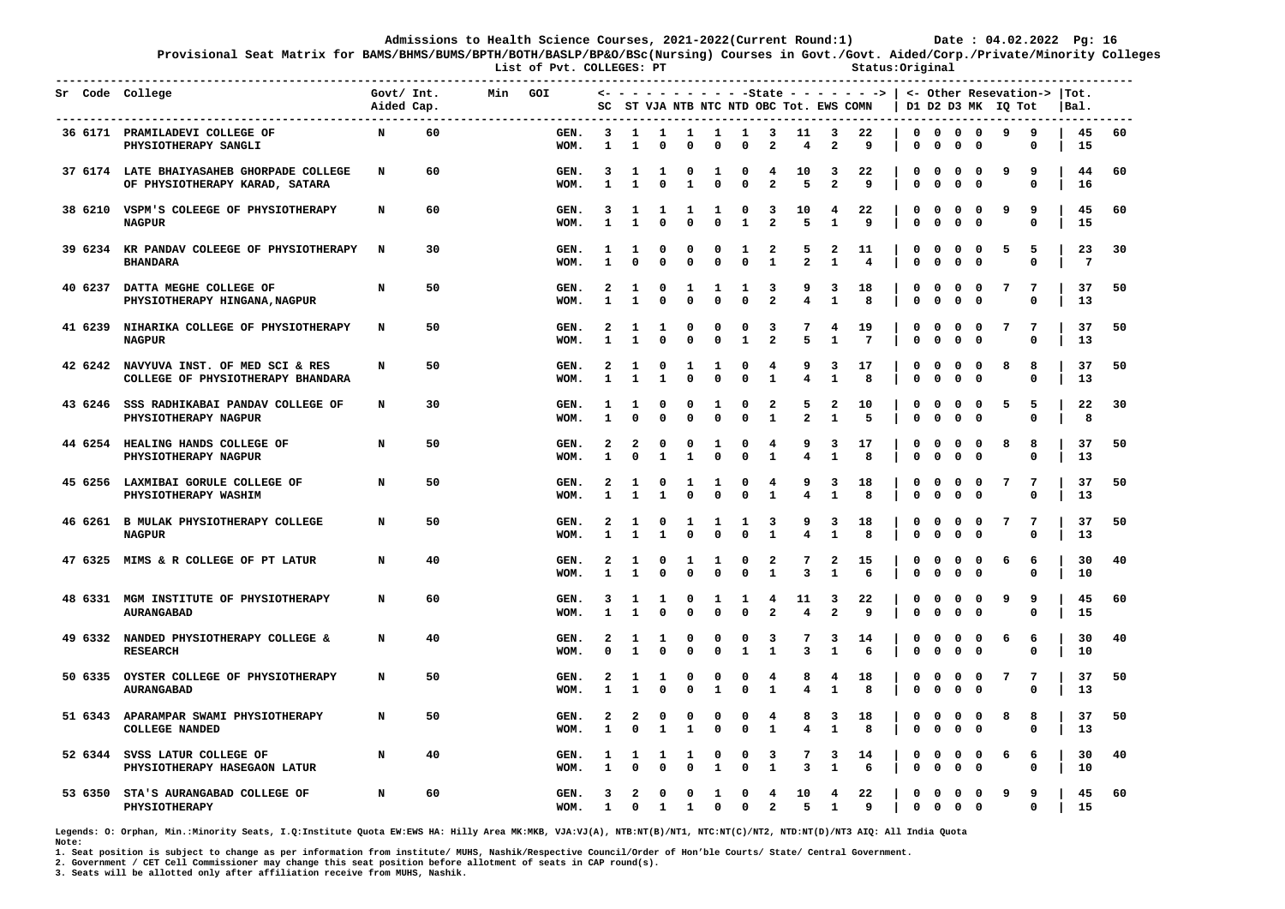**Provisional Seat Matrix for BAMS/BHMS/BUMS/BPTH/BOTH/BASLP/BP&O/BSc(Nursing) Courses in Govt./Govt. Aided/Corp./Private/Minority Colleges**

List of Pvt. COLLEGES: PT **Status:Original Status:Original** 

| Sr Code College | ---------------------------                                                 | Govt/ Int.<br>Aided Cap. |    | Min | GOI          | SC                |                              |                             |                             |                   |                              |                                         |                              |                                                    | $\leftarrow$ - - - - - - - - - -State - - - - - - >   <- Other Resevation->  Tot.<br>ST VJA NTB NTC NTD OBC Tot. EWS COMN |                  |                             |                                                     |                                        | D1 D2 D3 MK IQ Tot |                  | IBal.                 |    |
|-----------------|-----------------------------------------------------------------------------|--------------------------|----|-----|--------------|-------------------|------------------------------|-----------------------------|-----------------------------|-------------------|------------------------------|-----------------------------------------|------------------------------|----------------------------------------------------|---------------------------------------------------------------------------------------------------------------------------|------------------|-----------------------------|-----------------------------------------------------|----------------------------------------|--------------------|------------------|-----------------------|----|
|                 | 36 6171 PRAMILADEVI COLLEGE OF<br>PHYSIOTHERAPY SANGLI                      | N                        | 60 |     | GEN.<br>WOM. | 3<br>1            | 1<br>1                       | $\mathbf{1}$<br>$\mathbf 0$ | $\mathbf{1}$<br>$\mathbf 0$ | $\mathbf{1}$<br>0 | $\mathbf{1}$<br>0            | $\overline{\mathbf{3}}$<br>$\mathbf{2}$ | 11<br>4                      | $\overline{\mathbf{3}}$<br>$\overline{\mathbf{2}}$ | 22<br>9                                                                                                                   | 0                | 0                           | $0\quad 0\quad 0\quad 0$<br>0                       | $\mathbf 0$                            | 9                  | 9<br>0           | 45<br>15              | 60 |
|                 | 37 6174 LATE BHAIYASAHEB GHORPADE COLLEGE<br>OF PHYSIOTHERAPY KARAD, SATARA | N                        | 60 |     | GEN.<br>WOM. | 3<br>$\mathbf{1}$ | 1<br>$\mathbf{1}$            | 1<br>$\mathbf 0$            | 0<br>$\mathbf{1}$           | 1<br>$\Omega$     | 0<br>$\Omega$                | 4<br>$\overline{\mathbf{2}}$            | 10<br>5                      | 3<br>$\overline{a}$                                | 22<br>9                                                                                                                   | 0<br>0           | $\mathbf{o}$<br>$\mathbf 0$ | 0<br>0                                              | $\mathbf{o}$<br>$\mathbf 0$            | ٩                  | 9<br>0           | 44<br>16              | 60 |
|                 | 38 6210 VSPM'S COLEEGE OF PHYSIOTHERAPY<br><b>NAGPUR</b>                    | N                        | 60 |     | GEN.<br>WOM. | 3<br>$\mathbf{1}$ | $\mathbf{1}$<br>$\mathbf{1}$ | 1<br>$\mathbf 0$            | 1<br>$\Omega$               | 1<br>0            | 0<br>$\mathbf{1}$            | 3<br>$\overline{a}$                     | 10<br>5                      | 4<br>$\mathbf{1}$                                  | 22<br>9                                                                                                                   | 0<br>$\mathbf 0$ | $\mathbf{o}$<br>$\mathbf 0$ | $^{\circ}$<br>$\mathbf 0$                           | 0<br>$\mathbf 0$                       | ٩                  | 9<br>$\mathbf 0$ | 45<br>15              | 60 |
|                 | 39 6234 KR PANDAV COLEEGE OF PHYSIOTHERAPY<br><b>BHANDARA</b>               | N                        | 30 |     | GEN.<br>WOM. | 1<br>1            | 1<br>$\mathbf 0$             | 0<br>$\mathbf 0$            | 0<br>$\Omega$               | 0<br>$\mathbf 0$  | 1<br>$\mathbf 0$             | 2<br>$\mathbf{1}$                       | 5<br>$\mathbf{2}$            | 2<br>1                                             | 11<br>4                                                                                                                   | 0<br>0           | $\mathbf{o}$<br>$\mathbf 0$ | 0<br>0                                              | $\mathbf{o}$<br>$\mathbf 0$            | 5                  | 5<br>$\Omega$    | 23<br>$7\phantom{.0}$ | 30 |
|                 | 40 6237 DATTA MEGHE COLLEGE OF<br>PHYSIOTHERAPY HINGANA, NAGPUR             | N                        | 50 |     | GEN.<br>WOM. | 2<br>1            | 1<br>$\mathbf{1}$            | 0<br>$\mathbf 0$            | 1<br>$\Omega$               | 1<br>$\mathbf 0$  | 1<br>$\mathbf 0$             | 3<br>$\overline{\mathbf{2}}$            | 9<br>$\overline{\mathbf{4}}$ | 3<br>$\mathbf{1}$                                  | 18<br>8                                                                                                                   | 0<br>$\mathbf 0$ | 0<br>$\mathbf 0$            | 0<br>$\mathbf 0$                                    | $\mathbf{o}$<br>0                      | 7                  | 7<br>0           | 37<br>13              | 50 |
|                 | 41 6239 NIHARIKA COLLEGE OF PHYSIOTHERAPY<br><b>NAGPUR</b>                  | N                        | 50 |     | GEN.<br>WOM. | 2                 | 1<br>$\mathbf{1}$            | 1<br>0                      | 0<br>0                      | 0<br>$\mathbf 0$  | 0<br>$\mathbf{1}$            | 3<br>$\mathbf{2}$                       | 7<br>5                       | $\overline{4}$<br>$\mathbf{1}$                     | 19<br>7                                                                                                                   | 0<br>0           | 0<br>$\mathbf 0$            | 0<br>$\mathbf 0$                                    | $\mathbf 0$<br>0                       | 7                  | 7<br>0           | 37<br>13              | 50 |
|                 | 42 6242 NAVYUVA INST. OF MED SCI & RES<br>COLLEGE OF PHYSIOTHERAPY BHANDARA | N                        | 50 |     | GEN.<br>WOM. | 2<br>$\mathbf{1}$ | 1<br>$\mathbf{1}$            | 0<br>$\mathbf{1}$           | 1<br>$\Omega$               | 1<br>$\Omega$     | 0<br>$\mathbf 0$             | 4<br>$\mathbf{1}$                       | 9<br>$\overline{\mathbf{4}}$ | 3<br>$\mathbf{1}$                                  | 17<br>8                                                                                                                   | 0<br>0           | 0<br>$\mathbf 0$            | 0<br>$\mathbf 0$                                    | $\mathbf{o}$<br>$\Omega$               | 8                  | 8<br>$\Omega$    | 37<br>13              | 50 |
|                 | 43 6246 SSS RADHIKABAI PANDAV COLLEGE OF<br>PHYSIOTHERAPY NAGPUR            | N                        | 30 |     | GEN.<br>WOM. | 1<br>1            | 1<br>$\mathbf 0$             | 0<br>$\mathbf 0$            | 0<br>$\mathbf 0$            | 1<br>$\mathbf 0$  | 0<br>0                       | 2<br>${\bf 1}$                          | 5<br>$\mathbf{2}$            | 2<br>$\mathbf{1}$                                  | 10<br>5                                                                                                                   | 0<br>$\mathbf 0$ | 0<br>$\mathbf 0$            | 0<br>$\mathbf 0$                                    | $\mathbf 0$<br>$\mathbf 0$             | 5                  | 5<br>$\mathbf 0$ | 22<br>8               | 30 |
|                 | 44 6254 HEALING HANDS COLLEGE OF<br>PHYSIOTHERAPY NAGPUR                    | N                        | 50 |     | GEN.<br>WOM. | 2<br>$\mathbf{1}$ | 2<br>$\mathbf{0}$            | 0<br>$\mathbf{1}$           | 0<br>$\mathbf{1}$           | 1<br>$\mathbf{0}$ | 0<br>$\mathbf 0$             | 4<br>$\mathbf{1}$                       | 9<br>$\overline{\mathbf{4}}$ | 3<br>$\mathbf{1}$                                  | 17<br>8                                                                                                                   | 0<br>0           | 0<br>$\mathbf 0$            | 0<br>$\mathbf 0$                                    | $\mathbf 0$<br>$\mathbf 0$             | 8                  | 8<br>$\mathbf 0$ | 37<br>13              | 50 |
|                 | 45 6256 LAXMIBAI GORULE COLLEGE OF<br>PHYSIOTHERAPY WASHIM                  | N                        | 50 |     | GEN.<br>WOM. | 2<br>1            | 1<br>1                       | 0<br>$\mathbf{1}$           | 1<br>$\mathbf 0$            | 1<br>$\mathbf 0$  | 0<br>$\mathbf 0$             | 4<br>$\mathbf{1}$                       | 9<br>$\overline{\mathbf{4}}$ | 3<br>$\mathbf{1}$                                  | 18<br>8                                                                                                                   | 0<br>$\mathbf 0$ | 0<br>$\mathbf 0$            | $\mathbf{o}$<br>$\mathbf 0$                         | $\overline{\mathbf{0}}$<br>$\mathbf 0$ | 7                  | 7<br>$\mathbf 0$ | 37<br>13              | 50 |
|                 | 46 6261 B MULAK PHYSIOTHERAPY COLLEGE<br><b>NAGPUR</b>                      | N                        | 50 |     | GEN.<br>WOM. | 2<br>1            | 1<br>$\mathbf{1}$            | 0<br>$\mathbf{1}$           | 1<br>$\mathbf{0}$           | 1<br>$\mathbf 0$  | 1<br>$\mathbf 0$             | 3<br>$\mathbf{1}$                       | 9<br>$\overline{\mathbf{4}}$ | 3<br>$\mathbf{1}$                                  | 18<br>8                                                                                                                   | 0<br>$\mathbf 0$ | 0<br>$\Omega$               | $\mathbf{o}$<br>$\mathbf{0}$                        | $\mathbf{0}$<br>$\Omega$               | 7                  | 7<br>$\Omega$    | 37<br>13              | 50 |
|                 | 47 6325 MIMS & R COLLEGE OF PT LATUR                                        | N                        | 40 |     | GEN.<br>WOM. | 2<br>1            | 1<br>1                       | 0<br>$\mathbf{0}$           | 1<br>$\Omega$               | 1<br>$\mathbf 0$  | 0<br>$\mathbf 0$             | 2<br>$\mathbf{1}$                       | 7<br>3                       | 2<br>$\mathbf{1}$                                  | 15<br>6                                                                                                                   | 0<br>$\mathbf 0$ | 0<br>$\mathbf 0$            | 0<br>$\mathbf 0$                                    | $\mathbf{0}$<br>$\mathbf 0$            | 6                  | 6<br>0           | 30<br>10              | 40 |
|                 | 48 6331 MGM INSTITUTE OF PHYSIOTHERAPY<br><b>AURANGABAD</b>                 | N                        | 60 |     | GEN.<br>WOM. | 3<br>1            | 1<br>1                       | 1<br>0                      | 0<br>$\Omega$               | 1<br>0            | 1<br>$\Omega$                | 4<br>$\overline{a}$                     | 11<br>4                      | 3<br>$\overline{a}$                                | 22<br>9                                                                                                                   | 0<br>$\mathbf 0$ | $\mathbf{o}$<br>$^{\circ}$  | 0<br>$\Omega$                                       | $\mathbf{o}$<br>$\Omega$               | 9                  | 9<br>0           | 45<br>15              | 60 |
|                 | 49 6332 NANDED PHYSIOTHERAPY COLLEGE &<br><b>RESEARCH</b>                   | N                        | 40 |     | GEN.<br>WOM. | 2<br>0            | 1<br>1                       | 1<br>$\mathbf 0$            | 0<br>0                      | 0<br>0            | 0<br>$\mathbf{1}$            | 3<br>$\mathbf{1}$                       | 7<br>3                       | 3<br>$\mathbf{1}$                                  | 14<br>6                                                                                                                   | 0<br>$\mathbf 0$ | $\mathbf{o}$<br>$\mathbf 0$ | 0<br>$\mathbf 0$                                    | $\mathbf 0$<br>$\mathbf 0$             | 6                  | 6<br>0           | 30<br>10              | 40 |
|                 | 50 6335 OYSTER COLLEGE OF PHYSIOTHERAPY<br><b>AURANGABAD</b>                | N                        | 50 |     | GEN.<br>WOM. | 2<br>1            | 1<br>1                       | 1<br>0                      | 0<br>0                      | 0<br>1            | 0<br>0                       | 4<br>1                                  | 8<br>4                       | 4<br>1                                             | 18<br>8                                                                                                                   | 0<br>0           | $\mathbf 0$<br>0            | 0<br>0                                              | $\mathbf{o}$<br>$\mathbf 0$            | 7                  | 7<br>0           | 37<br>13              | 50 |
|                 | 51 6343 APARAMPAR SWAMI PHYSIOTHERAPY<br><b>COLLEGE NANDED</b>              | N                        | 50 |     | GEN.<br>WOM. | 2<br>1            | 2<br>$\mathbf 0$             | 0<br>$\mathbf{1}$           | $\Omega$<br>1               | 0<br>0            | 0<br>0                       | 4<br>$\mathbf{1}$                       | 8<br>4                       | 3<br>$\mathbf{1}$                                  | 18<br>8                                                                                                                   | 0<br>$\mathbf 0$ | 0<br>$\mathbf 0$            | 0<br>$\mathbf 0$                                    | $\mathbf 0$<br>$\mathbf{o}$            | 8                  | 8<br>0           | 37<br>13              | 50 |
|                 | 52 6344 SVSS LATUR COLLEGE OF<br>PHYSIOTHERAPY HASEGAON LATUR               | N                        | 40 |     | GEN.<br>WOM. | 1<br>1            | 1<br>$\mathbf 0$             | 1<br>0                      | 1<br>$\mathbf 0$            | 0<br>1            | 0<br>$\mathbf{0}$            | 3<br>$\mathbf{1}$                       | 7<br>3                       | 3<br>$\mathbf{1}$                                  | 14<br>6                                                                                                                   | 0<br>0           | $\mathbf{o}$<br>$\mathbf 0$ | 0<br>0                                              | $\mathbf{0}$<br>$\mathbf 0$            | 6                  | 6<br>0           | 30<br>10              | 40 |
|                 | 53 6350 STA'S AURANGABAD COLLEGE OF<br>PHYSIOTHERAPY                        | N                        | 60 |     | GEN.<br>WOM. | 3<br>$\mathbf{1}$ | 2<br>$\mathbf{0}$            | 0<br>$\mathbf{1}$           | 0<br>$\mathbf{1}$           | 1<br>$\mathbf{0}$ | $\mathbf{o}$<br>$\mathbf{0}$ | 4<br>$\overline{2}$                     | 10<br>5                      | $\overline{4}$<br>$\mathbf{1}$                     | 22<br>9                                                                                                                   | $\mathbf 0$      | $\mathbf 0$                 | $\overline{\mathbf{0}}$<br>$0\quad 0\quad 0\quad 0$ | $\overline{\mathbf{0}}$                | 9                  | 9<br>$\Omega$    | 45<br>15              | 60 |

**Legends: O: Orphan, Min.:Minority Seats, I.Q:Institute Quota EW:EWS HA: Hilly Area MK:MKB, VJA:VJ(A), NTB:NT(B)/NT1, NTC:NT(C)/NT2, NTD:NT(D)/NT3 AIQ: All India Quota Note:** 

**1. Seat position is subject to change as per information from institute/ MUHS, Nashik/Respective Council/Order of Hon'ble Courts/ State/ Central Government.** 

**2. Government / CET Cell Commissioner may change this seat position before allotment of seats in CAP round(s).**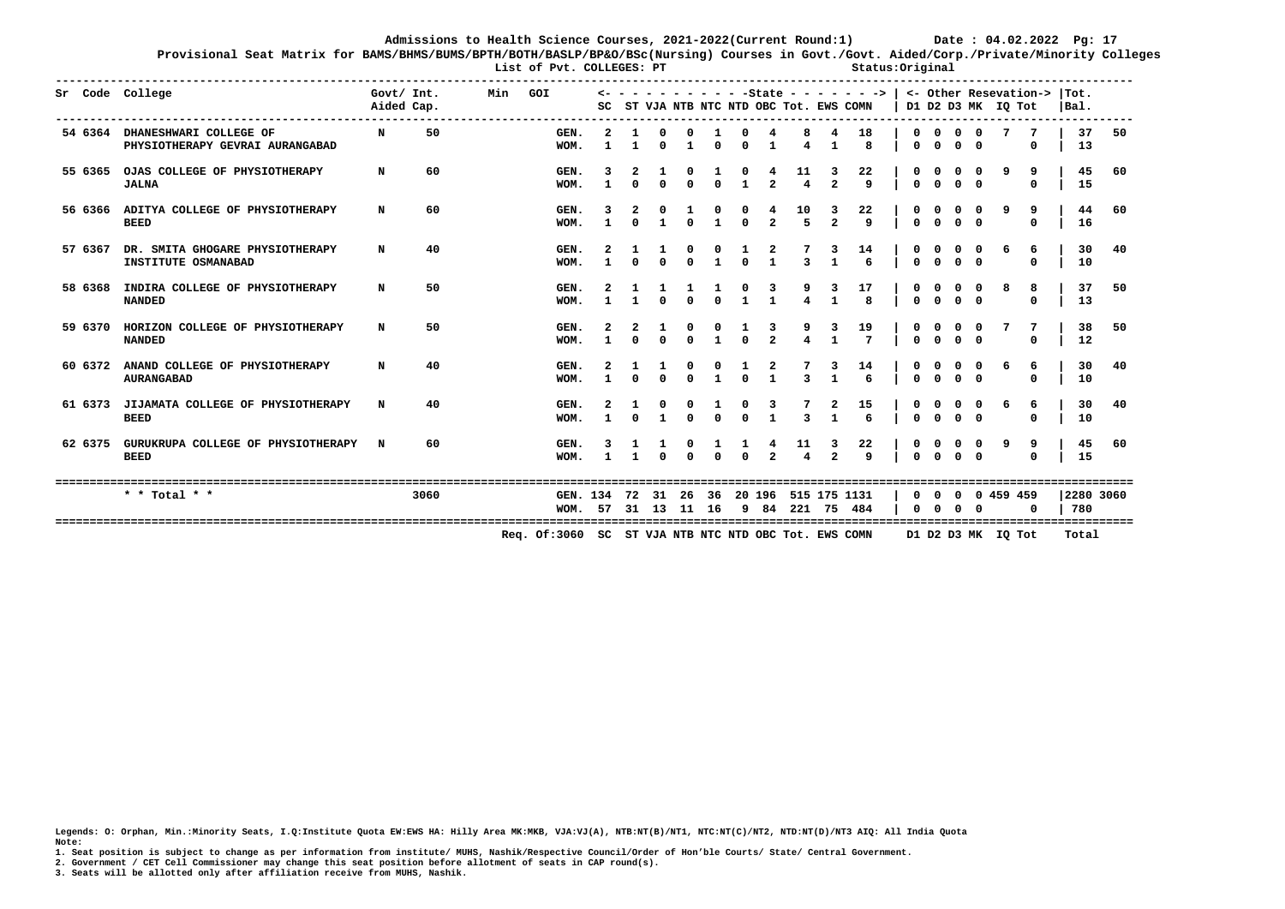**Provisional Seat Matrix for BAMS/BHMS/BUMS/BPTH/BOTH/BASLP/BP&O/BSc(Nursing) Courses in Govt./Govt. Aided/Corp./Private/Minority Colleges**

List of Pvt. COLLEGES: PT **Status:Original Status:Original** 

|         | Sr Code College                                                   | Govt/ Int.<br>Aided Cap. |      | Min | GOI                                                  | SC           |              |             |             |              |              |                   | ST VJA NTB NTC NTD OBC Tot. EWS COMN |                     | -State - - - - - - -> |                          |                          |                |          | D1 D2 D3 MK IQ Tot |               | <- Other Resevation->  Tot.<br> Bal. |              |
|---------|-------------------------------------------------------------------|--------------------------|------|-----|------------------------------------------------------|--------------|--------------|-------------|-------------|--------------|--------------|-------------------|--------------------------------------|---------------------|-----------------------|--------------------------|--------------------------|----------------|----------|--------------------|---------------|--------------------------------------|--------------|
|         | 54 6364 DHANESHWARI COLLEGE OF<br>PHYSIOTHERAPY GEVRAI AURANGABAD | N                        | 50   |     | GEN.<br>WOM.                                         |              | $\mathbf{1}$ | $\Omega$    | -1          | $\Omega$     | $\Omega$     | -1                | 4                                    | -1                  | 18<br>8               | $\Omega$                 | $\Omega$                 | $^{\circ}$     | $\Omega$ |                    | 0             | 37<br>13                             | 50           |
| 55 6365 | OJAS COLLEGE OF PHYSIOTHERAPY<br><b>JALNA</b>                     | N                        | 60   |     | GEN.<br>WOM.                                         | $\mathbf{1}$ |              |             |             | $\Omega$     | $\mathbf{1}$ | $\overline{2}$    | $\overline{4}$                       | $\overline{2}$      | 22<br>$\mathbf{q}$    | $\Omega$                 | $\Omega$                 |                |          |                    | 9<br>$\Omega$ | 45<br>15                             | 60           |
|         | 56 6366 ADITYA COLLEGE OF PHYSIOTHERAPY<br><b>BEED</b>            | N                        | 60   |     | GEN.<br>WOM.                                         |              |              |             |             |              | $\Omega$     | $\overline{a}$    | 10<br>$5^{\circ}$                    | 3<br>$\overline{2}$ | 22<br>$\mathsf{q}$    | $\Omega$                 |                          |                |          |                    | 9<br>$\Omega$ | 44<br>16                             | 60           |
| 57 6367 | DR. SMITA GHOGARE PHYSIOTHERAPY<br>INSTITUTE OSMANABAD            | N                        | 40   |     | GEN.<br>WOM.                                         |              |              |             | $\Omega$    |              | $\Omega$     | $\mathbf{1}$      | $\overline{\mathbf{3}}$              |                     | 14<br>6               | $\Omega$                 |                          |                |          |                    | 6<br>$\Omega$ | 30<br>10                             | 40           |
| 58 6368 | INDIRA COLLEGE OF PHYSIOTHERAPY<br><b>NANDED</b>                  | N                        | 50   |     | GEN.<br>WOM.                                         |              |              |             |             | $\Omega$     | $\mathbf{1}$ |                   |                                      |                     | 17<br>8               | $\Omega$                 |                          |                |          |                    | 8<br>$\Omega$ | 37<br>13                             | 50           |
| 59 6370 | HORIZON COLLEGE OF PHYSIOTHERAPY<br><b>NANDED</b>                 | N                        | 50   |     | GEN.<br>WOM.                                         | $\mathbf{1}$ | $\Omega$     | $\mathbf 0$ | $\mathbf 0$ | $\mathbf{1}$ | $\mathbf{0}$ | $\overline{a}$    |                                      |                     | 19<br>$\overline{7}$  | $\mathbf{0}$             | $\Omega$                 | 0 <sub>0</sub> |          |                    | $\mathbf 0$   | 38<br>12                             | 50           |
| 60 6372 | ANAND COLLEGE OF PHYSIOTHERAPY<br><b>AURANGABAD</b>               | N                        | 40   |     | GEN.<br>WOM.                                         |              | $\Omega$     | $\Omega$    | $\Omega$    |              | $\Omega$     | 2<br>$\mathbf{1}$ | $\overline{3}$                       |                     | 14<br>6               | $\Omega$                 |                          |                |          |                    | 6<br>$\Omega$ | 30<br>10                             | 40           |
| 61 6373 | JIJAMATA COLLEGE OF PHYSIOTHERAPY<br><b>BEED</b>                  |                          | 40   |     | GEN.<br>WOM.                                         |              |              |             | $\Omega$    | $\Omega$     | $^{\circ}$   |                   | $\overline{3}$                       |                     | 15<br>6               | $\Omega$                 |                          | $\Omega$       |          |                    | 6<br>$\Omega$ | 30<br>10                             | 40           |
| 62 6375 | GURUKRUPA COLLEGE OF PHYSIOTHERAPY<br><b>BEED</b>                 | N                        | 60   |     | GEN.<br>WOM.                                         | $\mathbf{1}$ | $\mathbf{1}$ | $\Omega$    |             | $\Omega$     | $\Omega$     | $\overline{2}$    | 11<br>$\overline{\mathbf{A}}$        | $\overline{2}$      | 22<br>$\mathbf{q}$    | $\Omega$                 |                          |                |          |                    | 9<br>$\Omega$ | 45<br>15                             | 60           |
|         | * * Total * *                                                     |                          | 3060 |     | GEN. 134 72 31 26 36 20 196 515 175 1131<br>WOM.     | 57           | 31           | 13          | 11          | 16           | -9           | 84                | 221                                  | 75                  | 484                   | <sup>0</sup><br>$\Omega$ | <sup>0</sup><br>$\Omega$ | 0<br>$\Omega$  | $\Omega$ | 0 459 459          | O             | 780                                  | 2280 3060    |
|         |                                                                   |                          |      |     | Req. Of:3060 SC ST VJA NTB NTC NTD OBC Tot. EWS COMN |              |              |             |             |              |              |                   |                                      |                     |                       |                          |                          |                |          | D1 D2 D3 MK IQ Tot |               | Total                                | ============ |

**Legends: O: Orphan, Min.:Minority Seats, I.Q:Institute Quota EW:EWS HA: Hilly Area MK:MKB, VJA:VJ(A), NTB:NT(B)/NT1, NTC:NT(C)/NT2, NTD:NT(D)/NT3 AIQ: All India Quota Note:** 

**1. Seat position is subject to change as per information from institute/ MUHS, Nashik/Respective Council/Order of Hon'ble Courts/ State/ Central Government.** 

**2. Government / CET Cell Commissioner may change this seat position before allotment of seats in CAP round(s).**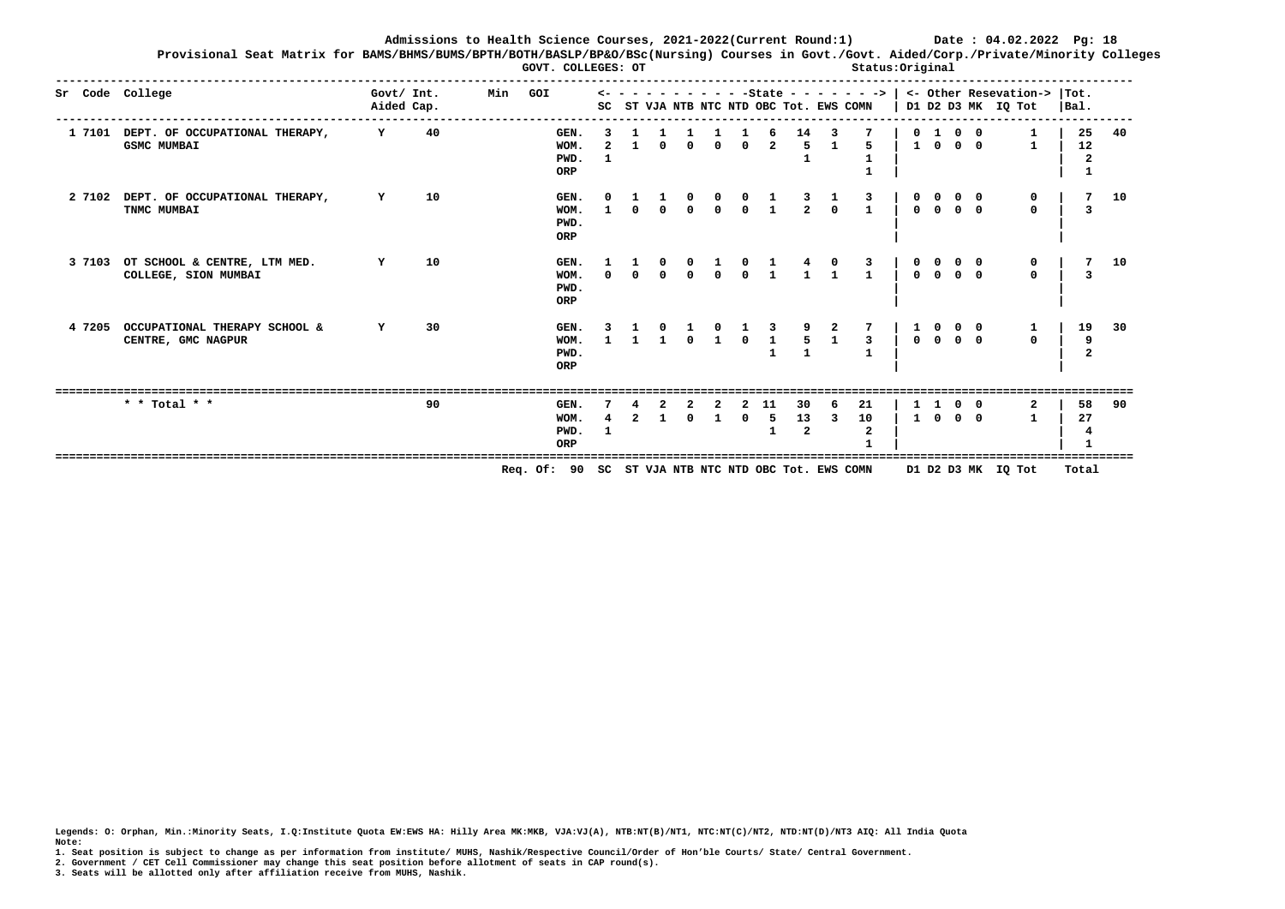**Provisional Seat Matrix for BAMS/BHMS/BUMS/BPTH/BOTH/BASLP/BP&O/BSc(Nursing) Courses in Govt./Govt. Aided/Corp./Private/Minority Colleges GOVT. COLLEGES: OT COLLEGES: OT Status:Original** 

|        | Sr Code College                                             | Govt/ Int.<br>Aided Cap. | Min<br>GOI                                          | $\leftarrow -$ |          |          |          |            |                                                     | SC ST VJA NTB NTC NTD OBC Tot. EWS COMN |              |                                                          |              |                |                          | - - - - - - - -State - - - - - - ->   <- 0ther Resevation-><br>D1 D2 D3 MK IQ Tot | $ $ Tot.<br>$ Ba1$ . |    |
|--------|-------------------------------------------------------------|--------------------------|-----------------------------------------------------|----------------|----------|----------|----------|------------|-----------------------------------------------------|-----------------------------------------|--------------|----------------------------------------------------------|--------------|----------------|--------------------------|-----------------------------------------------------------------------------------|----------------------|----|
|        | 1 7101 DEPT. OF OCCUPATIONAL THERAPY,<br><b>GSMC MUMBAI</b> | 40<br>Y                  | GEN.<br>WOM.<br>PWD.<br>ORP                         |                |          | $\Omega$ | $\Omega$ | $\Omega$   | $\overline{a}$                                      | 14<br>5                                 |              | 5.                                                       |              | $1 \quad 0$    | $0$ 1 0 0<br>$0\quad 0$  | 1                                                                                 | 25<br>12             | 40 |
|        | 2 7102 DEPT. OF OCCUPATIONAL THERAPY,<br>TNMC MUMBAI        | 10<br>Y                  | GEN.<br>WOM.<br>PWD.<br>ORP                         |                | $\Omega$ | $\Omega$ | $\Omega$ |            | $\begin{matrix} 0 & 0 & 1 \ 0 & 0 & 1 \end{matrix}$ |                                         |              | $\begin{array}{cccc} 3 & 1 & 3 \\ 2 & 0 & 1 \end{array}$ |              |                | $0\quad 0\quad 0\quad 0$ | $\Omega$                                                                          | 3                    | 10 |
| 3 7103 | OT SCHOOL & CENTRE, LTM MED.<br>COLLEGE, SION MUMBAI        | 10<br>Y                  | GEN.<br>WOM.<br>PWD.<br>ORP                         |                | $\Omega$ |          |          |            |                                                     |                                         |              | $\mathbf{1}$                                             |              | 0 <sub>0</sub> | 0 <sub>0</sub>           | $\Omega$                                                                          |                      | 10 |
| 4 7205 | OCCUPATIONAL THERAPY SCHOOL &<br>CENTRE, GMC NAGPUR         | 30<br>Y                  | GEN.<br>WOM.<br>PWD.<br>ORP                         |                |          |          |          | $\Omega$   | $\mathbf{1}$                                        | 5                                       | $\mathbf{1}$ | $\mathbf{3}$                                             |              |                | $0\quad 0\quad 0\quad 0$ | $\mathbf 0$                                                                       | 19<br>9              | 30 |
|        | * * Total * *                                               | 90                       | GEN.<br>WOM.<br>PWD.<br>ORP                         |                |          |          |          | $^{\circ}$ | -11<br>-5<br>$\mathbf{1}$                           | 30<br>13<br>$\overline{a}$              | 3            | 21<br>10<br>$\mathbf{2}$                                 | $\mathbf{1}$ | $^{\circ}$     | $0\quad 0$<br>$0\quad 0$ |                                                                                   | 58<br>27             | 90 |
|        |                                                             |                          | Req. Of: 90 SC ST VJA NTB NTC NTD OBC Tot. EWS COMN |                |          |          |          |            |                                                     |                                         |              |                                                          |              |                |                          | D1 D2 D3 MK IQ Tot                                                                | Total                |    |

**Legends: O: Orphan, Min.:Minority Seats, I.Q:Institute Quota EW:EWS HA: Hilly Area MK:MKB, VJA:VJ(A), NTB:NT(B)/NT1, NTC:NT(C)/NT2, NTD:NT(D)/NT3 AIQ: All India Quota Note:** 

**1. Seat position is subject to change as per information from institute/ MUHS, Nashik/Respective Council/Order of Hon'ble Courts/ State/ Central Government.** 

**2. Government / CET Cell Commissioner may change this seat position before allotment of seats in CAP round(s).**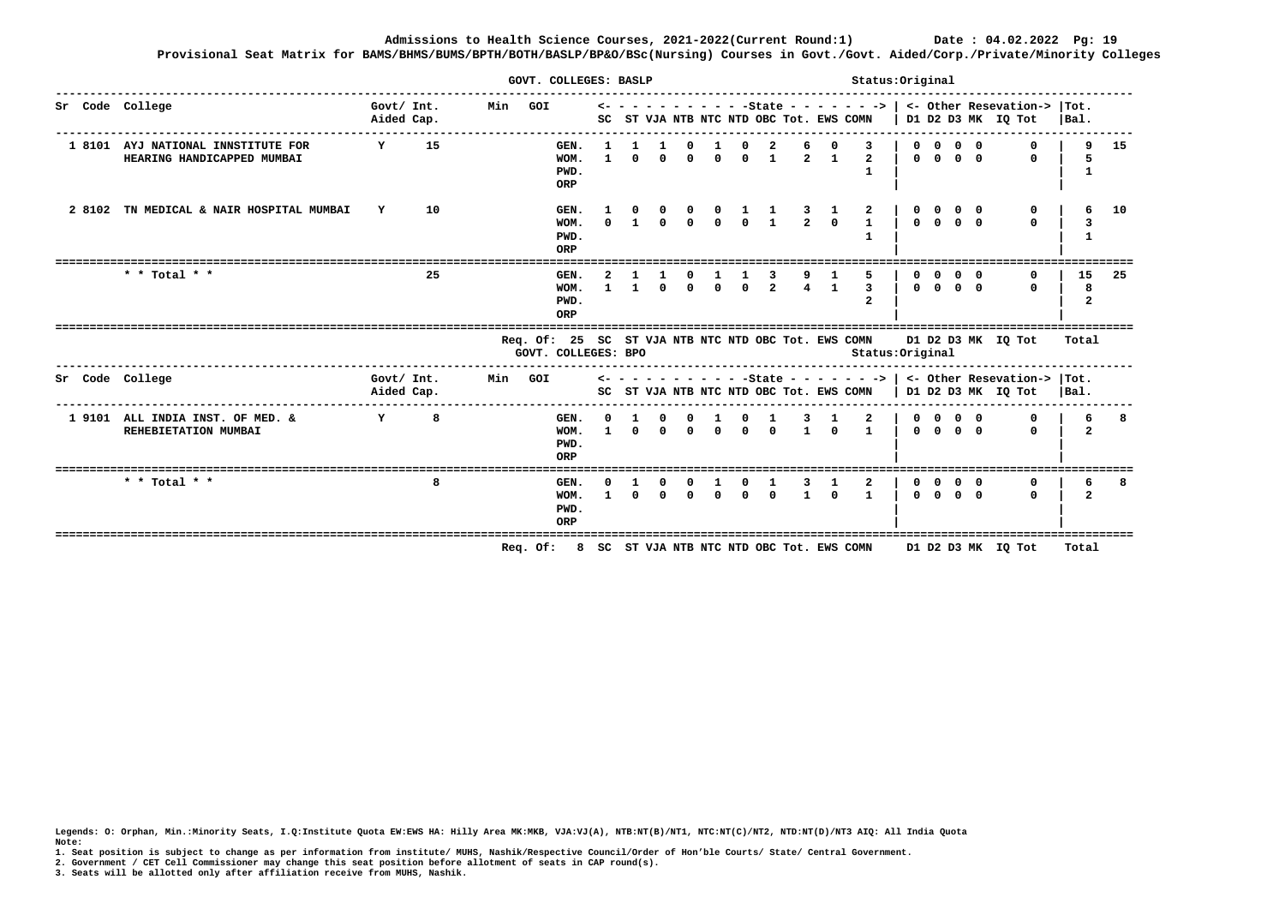**Admissions to Health Science Courses, 2021-2022(Current Round:1) Date : 04.02.2022 Pg: 19 Provisional Seat Matrix for BAMS/BHMS/BUMS/BPTH/BOTH/BASLP/BP&O/BSc(Nursing) Courses in Govt./Govt. Aided/Corp./Private/Minority Colleges**

|                                                                  |                          |    |         | GOVT. COLLEGES: BASLP                                                      |                              |              |          |          |          |            |                                                                                                   |   |                                                 | Status: Original                                             |          |            |                                                         |                |                                                                                                          |                         |    |
|------------------------------------------------------------------|--------------------------|----|---------|----------------------------------------------------------------------------|------------------------------|--------------|----------|----------|----------|------------|---------------------------------------------------------------------------------------------------|---|-------------------------------------------------|--------------------------------------------------------------|----------|------------|---------------------------------------------------------|----------------|----------------------------------------------------------------------------------------------------------|-------------------------|----|
| Sr Code College                                                  | Govt/ Int.<br>Aided Cap. |    | Min GOI |                                                                            |                              |              |          |          |          |            |                                                                                                   |   |                                                 | SC ST VJA NTB NTC NTD OBC Tot. EWS COMN                      |          |            |                                                         |                | $\leftarrow$ - - - - - - - - - -State - - - - - - ->   <- Other Resevation->  Tot.<br>D1 D2 D3 MK IQ Tot | $ Ba1$ .                |    |
| 1 8101 AYJ NATIONAL INNSTITUTE FOR<br>HEARING HANDICAPPED MUMBAI | Y                        | 15 |         | GEN.<br>WOM.<br>PWD.<br>ORP                                                | $\mathbf{1}$<br>$\mathbf{1}$ | $\Omega$     | $\Omega$ |          |          | $^{\circ}$ | $0 \quad 0 \quad 0 \quad 1$                                                                       | 6 | $2 \quad 1$                                     | $\overline{2}$                                               |          |            | $0\quad 0\quad 0\quad 0$<br>$0\quad 0\quad 0\quad 0$    |                | $\Omega$                                                                                                 | 9<br>5<br>$\mathbf{1}$  | 15 |
| 2 8102 TN MEDICAL & NAIR HOSPITAL MUMBAI                         | $\mathbf{Y}$             | 10 |         | GEN.<br>WOM.<br>PWD.<br>ORP                                                |                              |              |          |          |          |            | $\begin{array}{cccccccccccccc} 1 & 0 & 0 & 0 & 0 & 1 & 1 \ 0 & 1 & 0 & 0 & 0 & 0 & 1 \end{array}$ |   | $\begin{array}{ccc} 3 & 1 \\ 2 & 0 \end{array}$ | 2<br>$\mathbf{1}$                                            |          |            | $0 \quad 0 \quad 0 \quad 0$                             |                |                                                                                                          |                         | 10 |
| * * Total * *                                                    |                          | 25 |         | GEN.<br>WOM.<br>PWD.<br>ORP                                                |                              | $\mathbf{1}$ | $\Omega$ | $\Omega$ | $\Omega$ | $\Omega$   | $\overline{2}$                                                                                    |   |                                                 | 5.<br>$\mathbf{3}$<br>2                                      | $\Omega$ | $\Omega$   | $0 \quad 0 \quad 0 \quad 0$                             | 0 <sub>0</sub> | n                                                                                                        | 15<br>8<br>$\mathbf{z}$ | 25 |
|                                                                  |                          |    |         | Req. Of: 25 SC ST VJA NTB NTC NTD OBC Tot. EWS COMN<br>GOVT. COLLEGES: BPO |                              |              |          |          |          |            |                                                                                                   |   |                                                 | Status: Original                                             |          |            |                                                         |                | D1 D2 D3 MK IQ Tot                                                                                       | Total                   |    |
| Sr Code College                                                  | Govt/ Int.<br>Aided Cap. |    | Min GOI |                                                                            |                              |              |          |          |          |            |                                                                                                   |   |                                                 | SC ST VJA NTB NTC NTD OBC Tot. EWS COMN   D1 D2 D3 MK IQ Tot |          |            |                                                         |                | $\leftarrow$ - - - - - - - - - -State - - - - - - ->   <- Other Resevation->  Tot.                       | Bal.                    |    |
| 1 9101 ALL INDIA INST. OF MED. &<br>REHEBIETATION MUMBAI         | Y                        | 8  |         | GEN.<br>WOM.<br>PWD.<br>ORP                                                |                              | $\Omega$     | $\Omega$ |          |          |            | $0 \quad 0 \quad 0 \quad 0$                                                                       |   | $1 \quad \Omega$                                | $\mathbf{1}$                                                 |          |            | $0\quad 0\quad 0\quad 0$<br>$0 \quad 0 \quad 0 \quad 0$ |                | $\Omega$                                                                                                 | 6                       |    |
| * * Total * *                                                    |                          | 8  |         | GEN.<br>WOM.<br>PWD.<br>ORP                                                |                              | $\Omega$     | $\Omega$ | $\Omega$ |          |            | $0 \quad 0 \quad 0$                                                                               | 3 | $1 \Omega$                                      | $\overline{2}$<br>$\mathbf{1}$                               |          | $^{\circ}$ | $0 \quad 0 \quad 0 \quad 0$                             | $0\quad 0$     | $\Omega$                                                                                                 | 6<br>$\mathbf{2}$       | 8  |
|                                                                  |                          |    |         | Req. Of: 8 SC ST VJA NTB NTC NTD OBC Tot. EWS COMN                         |                              |              |          |          |          |            |                                                                                                   |   |                                                 |                                                              |          |            |                                                         |                | D1 D2 D3 MK IQ Tot                                                                                       | Total                   |    |

**Legends: O: Orphan, Min.:Minority Seats, I.Q:Institute Quota EW:EWS HA: Hilly Area MK:MKB, VJA:VJ(A), NTB:NT(B)/NT1, NTC:NT(C)/NT2, NTD:NT(D)/NT3 AIQ: All India Quota Note:** 

- **1. Seat position is subject to change as per information from institute/ MUHS, Nashik/Respective Council/Order of Hon'ble Courts/ State/ Central Government.**
- **2. Government / CET Cell Commissioner may change this seat position before allotment of seats in CAP round(s).**
- **3. Seats will be allotted only after affiliation receive from MUHS, Nashik.**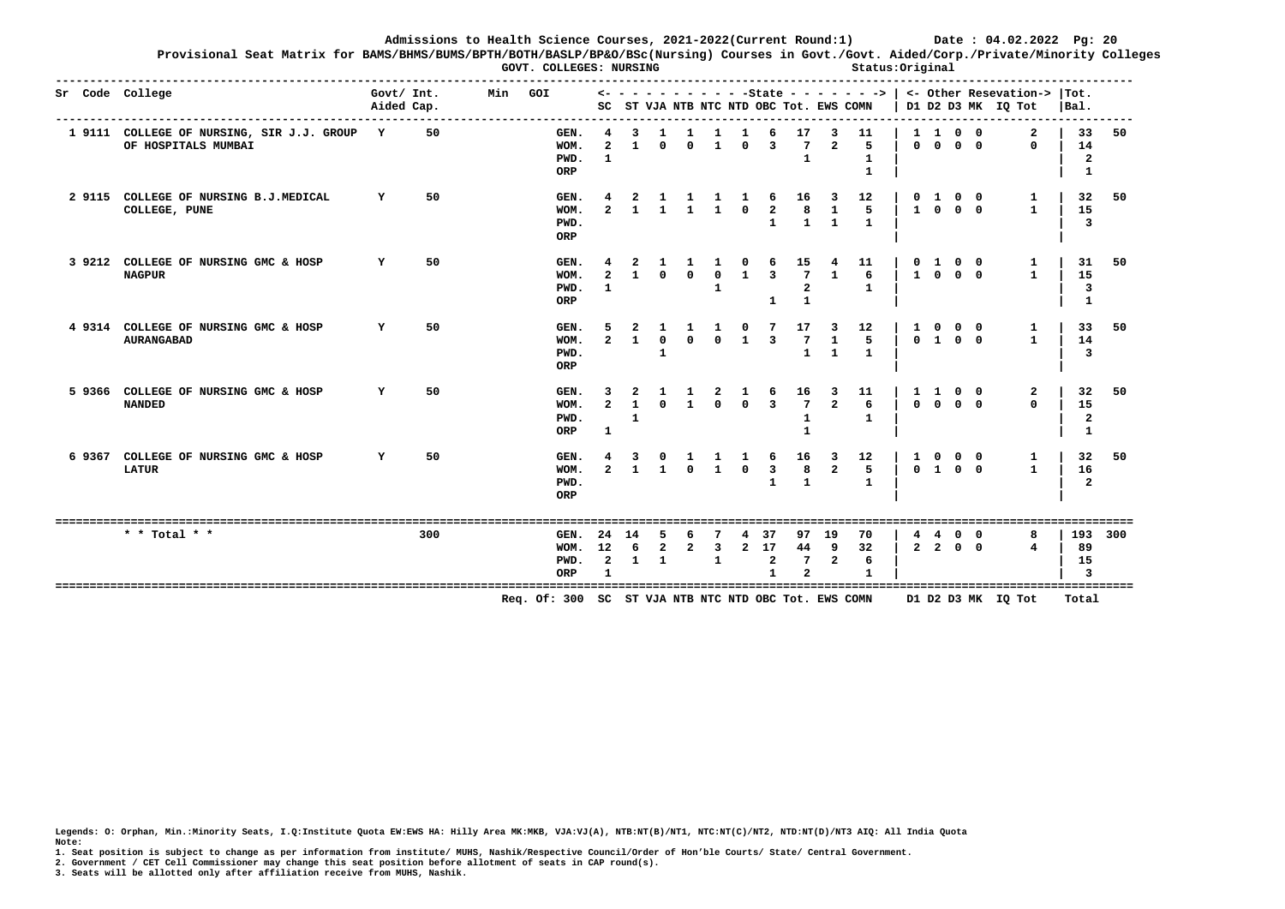**Provisional Seat Matrix for BAMS/BHMS/BUMS/BPTH/BOTH/BASLP/BP&O/BSc(Nursing) Courses in Govt./Govt. Aided/Corp./Private/Minority Colleges** GOVT. COLLEGES: NURSING **Status:Original Status:Original** 

|        | Sr Code College                                                    | Govt/ Int.<br>Aided Cap. |     | Min | GOI                                                  | <-<br>SC                         |              |                                   |              |                   |                |                                     | ST VJA NTB NTC NTD OBC Tot. EWS COMN |                                   | $- - - 5$ tate - - - - - - -> |                              |                            |                                        |   | <- Other Resevation->  Tot.<br>D1 D2 D3 MK IQ Tot | Bal.                                |     |
|--------|--------------------------------------------------------------------|--------------------------|-----|-----|------------------------------------------------------|----------------------------------|--------------|-----------------------------------|--------------|-------------------|----------------|-------------------------------------|--------------------------------------|-----------------------------------|-------------------------------|------------------------------|----------------------------|----------------------------------------|---|---------------------------------------------------|-------------------------------------|-----|
|        | 1 9111 COLLEGE OF NURSING, SIR J.J. GROUP Y<br>OF HOSPITALS MUMBAI |                          | 50  |     | GEN.<br>WOM.<br>PWD.<br>ORP                          | $\overline{a}$<br>$\mathbf{1}$   | 3<br>1       | U                                 | $\Omega$     | $\mathbf{1}$      | $\Omega$       | 6<br>3                              | 17<br>7                              | З<br>$\mathbf{c}$                 | 11<br>5<br>1<br>$\mathbf{1}$  | $\mathbf{1}$<br>$\mathbf{0}$ | $\mathbf{1}$<br>$^{\circ}$ | $0\quad 0$<br>$0\quad 0$               |   | $\mathbf{2}$<br>$\Omega$                          | 33<br>14<br>2<br>-1                 | 50  |
| 2 9115 | COLLEGE OF NURSING B.J.MEDICAL<br>COLLEGE, PUNE                    | Y                        | 50  |     | GEN.<br>WOM.<br>PWD.<br>ORP                          |                                  |              |                                   |              |                   | $\Omega$       | 6<br>$\overline{a}$<br>1            | 16<br>8                              | 3<br>$\mathbf{1}$<br>$\mathbf{1}$ | 12<br>5.<br>$\mathbf{1}$      | 0<br>$\mathbf{1}$            | $\mathbf{1}$<br>$^{\circ}$ | $0\quad 0$<br>$0\quad 0$               |   | 1<br>1.                                           | 32<br>15<br>3                       | 50  |
|        | 3 9212 COLLEGE OF NURSING GMC & HOSP<br><b>NAGPUR</b>              | Y                        | 50  |     | GEN.<br>WOM.<br>PWD.<br>ORP                          | $\mathbf{z}$<br>$\mathbf{1}$     | $\mathbf{1}$ | $\Omega$                          | $\Omega$     | $\Omega$<br>-1    | $\mathbf{1}$   | 6<br>$\overline{3}$<br>$\mathbf{1}$ | 15<br>7<br>2                         | $\mathbf{1}$                      | 11<br>6<br>1                  | $^{\circ}$                   | $\mathbf{1}$               | $0\quad 0$<br>1 0 0 0                  |   | 1<br>$\mathbf{1}$                                 | 31<br>15<br>3                       | 50  |
|        | 4 9314 COLLEGE OF NURSING GMC & HOSP<br><b>AURANGABAD</b>          | Y                        | 50  |     | GEN.<br>WOM.<br>PWD.<br>ORP                          | 5<br>$\overline{a}$              | $\mathbf{1}$ | $\mathbf{0}$                      |              |                   |                | 7<br>$\overline{3}$                 | 17<br>7<br>$\mathbf{1}$              | 3<br>1<br>$\mathbf{1}$            | 12<br>5<br>$\mathbf{1}$       | 1<br>$^{\circ}$              |                            | $0\quad 0$<br>1 0 0                    |   | 1<br>1                                            | 33<br>14<br>3                       | 50  |
| 5 9366 | COLLEGE OF NURSING GMC & HOSP<br><b>NANDED</b>                     | Y                        | 50  |     | GEN.<br>WOM.<br>PWD.<br>ORP                          | 3<br>$\overline{a}$<br>1         | 2<br>1<br>1  |                                   |              |                   |                | 6<br>$\overline{3}$                 | 16<br>7<br>1                         | 3<br>$\mathbf{r}$                 | 11<br>6<br>1                  | 1                            | $\mathbf{1}$               | $0\quad 0$<br>$0\quad 0\quad 0\quad 0$ |   | 2<br>0                                            | 32<br>15<br>2<br>$\mathbf{1}$       | 50  |
| 69367  | COLLEGE OF NURSING GMC & HOSP<br><b>LATUR</b>                      | Y                        | 50  |     | GEN.<br>WOM.<br>PWD.<br>ORP                          | $\mathbf{r}$                     | ર            |                                   |              | $\mathbf{1}$      | $\Omega$       | 6<br>3<br>$\mathbf{1}$              | 16<br>8                              | 3<br>$\mathbf{2}$                 | 12<br>5<br>$\mathbf{1}$       |                              |                            | $0\quad 0$<br>0100                     |   | 1<br>1.                                           | 32<br>16<br>$\overline{\mathbf{c}}$ | 50  |
|        |                                                                    |                          |     |     |                                                      |                                  |              |                                   |              |                   |                |                                     |                                      |                                   |                               |                              |                            |                                        |   |                                                   |                                     |     |
|        | * * Total * *                                                      |                          | 300 |     | GEN.<br>WOM.<br>PWD.<br>ORP                          | 24<br>12<br>$\overline{a}$<br>-1 | 14<br>6<br>1 | 5<br>$\mathbf{2}$<br>$\mathbf{1}$ | $\mathbf{2}$ | 3<br>$\mathbf{1}$ | $\overline{a}$ | 37<br>17<br>$\mathbf{2}$            | 97<br>44<br>7                        | 19<br>9<br>$\boldsymbol{2}$       | 70<br>32<br>6<br>1            |                              |                            | 0<br>2 2 0 0                           | 0 | 8<br>4                                            | 193<br>89<br>15<br>ิว               | 300 |
|        |                                                                    |                          |     |     | Req. Of: 300 SC ST VJA NTB NTC NTD OBC Tot. EWS COMN |                                  |              |                                   |              |                   |                |                                     |                                      |                                   |                               |                              |                            |                                        |   | D1 D2 D3 MK IQ Tot                                | Total                               |     |

**Legends: O: Orphan, Min.:Minority Seats, I.Q:Institute Quota EW:EWS HA: Hilly Area MK:MKB, VJA:VJ(A), NTB:NT(B)/NT1, NTC:NT(C)/NT2, NTD:NT(D)/NT3 AIQ: All India Quota Note:** 

**1. Seat position is subject to change as per information from institute/ MUHS, Nashik/Respective Council/Order of Hon'ble Courts/ State/ Central Government.** 

**2. Government / CET Cell Commissioner may change this seat position before allotment of seats in CAP round(s).**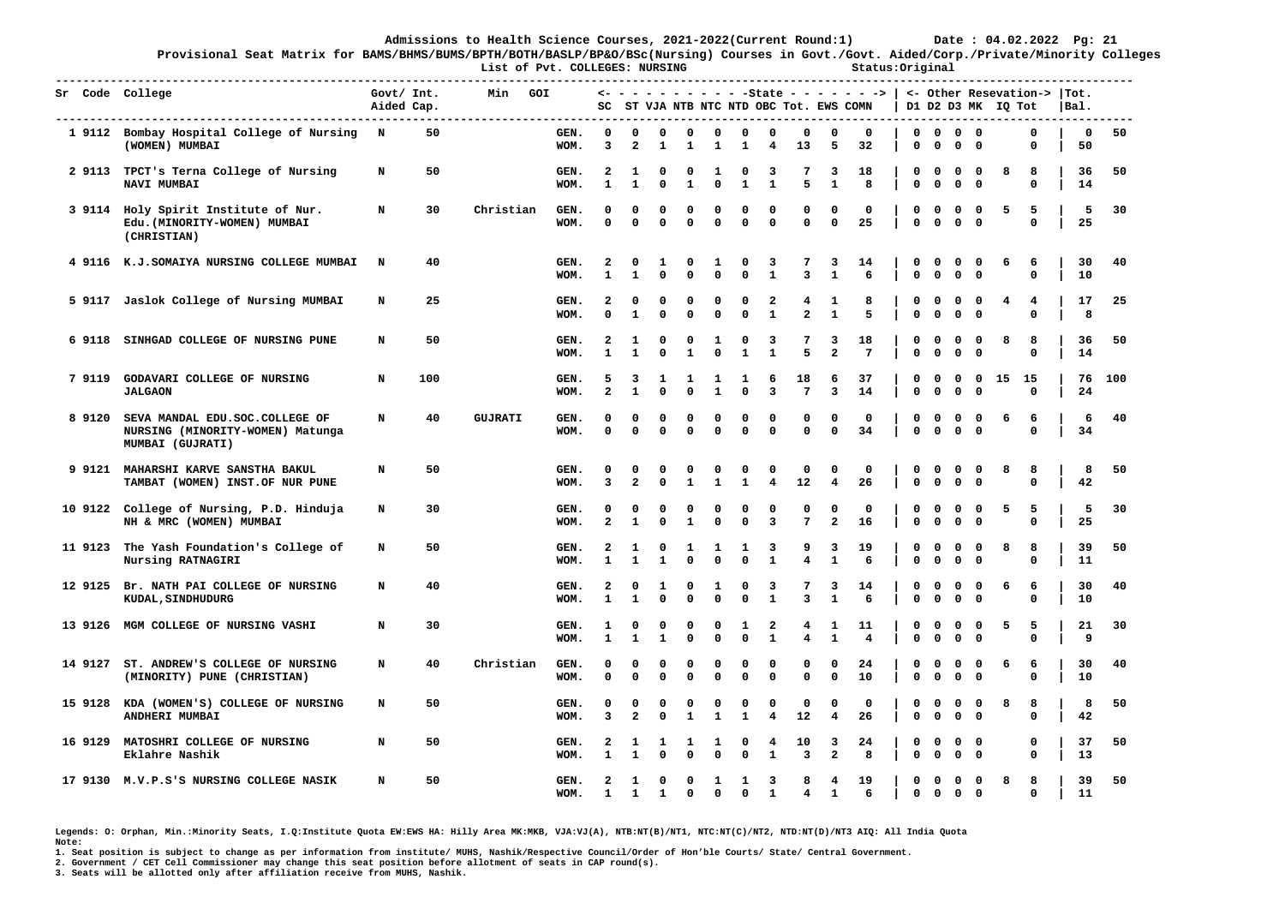**Provisional Seat Matrix for BAMS/BHMS/BUMS/BPTH/BOTH/BASLP/BP&O/BSc(Nursing) Courses in Govt./Govt. Aided/Corp./Private/Minority Colleges List of Pvt. COLLEGES: NURSING Status:Original** 

|           | -----------------------------<br>Sr Code College                                       | Govt/ Int.<br>Aided Cap. |     | Min            | GOI          |                                         |                              |                   |                         |                   |                             |                              |                              |                     | $\leftarrow$ - - - - - - - - - -State - - - - - - - >   <- Other Resevation->  Tot.<br>SC ST VJA NTB NTC NTD OBC Tot. EWS COMN |                            |                            |                             |                                        | D1 D2 D3 MK IQ Tot |                  | IBal.              |     |
|-----------|----------------------------------------------------------------------------------------|--------------------------|-----|----------------|--------------|-----------------------------------------|------------------------------|-------------------|-------------------------|-------------------|-----------------------------|------------------------------|------------------------------|---------------------|--------------------------------------------------------------------------------------------------------------------------------|----------------------------|----------------------------|-----------------------------|----------------------------------------|--------------------|------------------|--------------------|-----|
|           | 1 9112 Bombay Hospital College of Nursing N<br>(WOMEN) MUMBAI                          |                          | 50  |                | GEN.<br>WOM. | 0<br>3                                  | 0<br>$\overline{\mathbf{2}}$ | 0<br>1            | $\mathbf{o}$<br>1       | 0<br>1            | 0<br>1                      | 0<br>4                       | 0<br>13                      | 0<br>5              | 0<br>32                                                                                                                        | 0<br>0                     | $\Omega$<br>$\mathbf 0$    | $0\quad 0$<br>$\mathbf 0$   | $\mathbf 0$                            |                    | 0<br>0           | $\mathbf{o}$<br>50 | 50  |
|           | 2 9113 TPCT's Terna College of Nursing<br>NAVI MUMBAI                                  | N                        | 50  |                | GEN.<br>WOM. | 2<br>$\mathbf{1}$                       | 1<br>$\mathbf{1}$            | 0<br>$\mathbf 0$  | 0<br>$\mathbf{1}$       | 1<br>$\mathbf 0$  | 0<br>$\mathbf{1}$           | 3<br>$\mathbf{1}$            | 7<br>5                       | 3<br>$\mathbf{1}$   | 18<br>8                                                                                                                        | 0<br>$\mathbf 0$           | 0<br>$\mathbf 0$           | $\Omega$<br>$\mathbf 0$     | $\Omega$<br>$\mathbf 0$                | 8                  | 8<br>0           | 36<br>14           | 50  |
|           | 3 9114 Holy Spirit Institute of Nur.<br>Edu. (MINORITY-WOMEN) MUMBAI<br>(CHRISTIAN)    | N                        | 30  | Christian      | GEN.<br>WOM. | 0<br>$\Omega$                           | 0<br>$\mathbf 0$             | 0<br>$\mathbf 0$  | 0<br>$\mathbf 0$        | 0<br>$\mathbf{0}$ | $\Omega$<br>$\mathbf 0$     | 0<br>$\mathbf 0$             | 0<br>$\mathbf{0}$            | 0<br>$\mathbf 0$    | 0<br>25                                                                                                                        | 0<br>$\mathbf 0$           | 0<br>$\mathbf 0$           | 0<br>$\mathbf{0}$           | 0<br>$\mathbf 0$                       | 5                  | 5<br>0           | 5<br>25            | 30  |
|           | 4 9116 K.J. SOMAIYA NURSING COLLEGE MUMBAI                                             | N                        | 40  |                | GEN.<br>WOM. | $\overline{\mathbf{2}}$<br>1            | 0<br>1                       | 1<br>$\Omega$     | 0<br>0                  | 1<br>$\mathbf 0$  | 0<br>$\mathbf 0$            | 3<br>$\mathbf{1}$            | 7<br>$\overline{\mathbf{3}}$ | 3<br>$\mathbf{1}$   | 14<br>6                                                                                                                        | 0<br>$\mathbf 0$           | 0<br>$\mathbf 0$           | $\mathbf{o}$<br>$\mathbf 0$ | $\mathbf{o}$<br>$\mathbf 0$            | 6                  | 6<br>0           | 30<br>10           | 40  |
|           | 5 9117 Jaslok College of Nursing MUMBAI                                                | N                        | 25  |                | GEN.<br>WOM. | $\overline{\mathbf{2}}$<br>$\Omega$     | 0<br>$\mathbf{1}$            | 0<br>$\Omega$     | 0<br>0                  | 0<br>$\mathbf 0$  | 0<br>$\mathbf 0$            | 2<br>$\mathbf{1}$            | 4<br>$\mathbf{2}$            | 1<br>$\mathbf{1}$   | 8<br>5                                                                                                                         | 0<br>$\mathbf 0$           | 0<br>$\mathbf 0$           | 0<br>0                      | 0<br>$\mathbf 0$                       | 4                  | 4<br>$\Omega$    | 17<br>8            | 25  |
| 6 9118    | SINHGAD COLLEGE OF NURSING PUNE                                                        | N                        | 50  |                | GEN.<br>WOM. | $\overline{\mathbf{2}}$<br>$\mathbf{1}$ | 1<br>$\mathbf{1}$            | 0<br>$\Omega$     | 0<br>$\mathbf{1}$       | 1<br>$\mathbf 0$  | 0<br>${\bf 1}$              | 3<br>$\mathbf{1}$            | 7<br>5                       | 3<br>$\mathbf{2}$   | 18<br>$7\phantom{.0}$                                                                                                          | 0<br>$\mathbf 0$           | 0<br>$\mathbf 0$           | $\mathbf{o}$<br>$\mathbf 0$ | 0<br>$\mathbf 0$                       | 8                  | 8<br>$\Omega$    | 36<br>14           | 50  |
| 79119     | GODAVARI COLLEGE OF NURSING<br><b>JALGAON</b>                                          | N                        | 100 |                | GEN.<br>WOM. | 5<br>$\overline{2}$                     | 3<br>$\mathbf{1}$            | 1<br>0            | 1<br>$\mathbf 0$        | 1<br>$\mathbf{1}$ | 1<br>$\mathbf 0$            | 6<br>3                       | 18<br>$7^{\circ}$            | 6<br>3              | 37<br>14                                                                                                                       | 0<br>$\mathbf{0}$          | $\mathbf 0$<br>$\mathbf 0$ | $\mathbf 0$<br>$\mathbf 0$  | $\overline{\mathbf{0}}$<br>$\mathbf 0$ | 15                 | - 15<br>0        | 76<br>24           | 100 |
| 8 9120    | SEVA MANDAL EDU.SOC.COLLEGE OF<br>NURSING (MINORITY-WOMEN) Matunga<br>MUMBAI (GUJRATI) | N                        | 40  | <b>GUJRATI</b> | GEN.<br>WOM. | 0<br>$\mathbf 0$                        | 0<br>$\mathbf 0$             | 0<br>0            | 0<br>$\mathbf 0$        | 0<br>$\mathbf 0$  | 0<br>$\mathbf 0$            | 0<br>0                       | 0<br>$\mathbf 0$             | 0<br>$\mathbf 0$    | 0<br>34                                                                                                                        | $\mathbf 0$<br>$\mathbf 0$ | $\mathbf 0$<br>0           | 0<br>$\mathbf 0$            | $\mathbf 0$<br>$\mathbf 0$             | 6                  | 6<br>0           | 6<br>34            | 40  |
| 9 9 1 2 1 | <b>MAHARSHI KARVE SANSTHA BAKUL</b><br>TAMBAT (WOMEN) INST.OF NUR PUNE                 | N                        | 50  |                | GEN.<br>WOM. | 0<br>3                                  | 0<br>$\mathbf{z}$            | 0<br>0            | 0<br>$\mathbf{1}$       | 0<br>$\mathbf{1}$ | $\mathbf 0$<br>$\mathbf{1}$ | 0<br>$\overline{\mathbf{4}}$ | 0<br>12                      | 0<br>4              | 0<br>26                                                                                                                        | 0<br>$\mathbf 0$           | $\mathbf 0$<br>$\mathbf 0$ | 0<br>0                      | 0<br>$\mathbf 0$                       | 8                  | 8<br>0           | 8<br>42            | 50  |
| 10 9122   | College of Nursing, P.D. Hinduja<br>NH & MRC (WOMEN) MUMBAI                            | N                        | 30  |                | GEN.<br>WOM. | 0<br>$\mathbf{2}$                       | 0<br>$\mathbf{1}$            | 0<br>0            | 0<br>1                  | 0<br>0            | 0<br>$\mathbf 0$            | 0<br>3                       | 0<br>7                       | 0<br>$\overline{a}$ | 0<br>16                                                                                                                        | 0<br>0                     | 0<br>$\mathbf 0$           | 0<br>0                      | $\mathbf{o}$<br>$\mathbf 0$            | 5                  | 5<br>0           | -5<br>25           | 30  |
| 11 9123   | The Yash Foundation's College of<br>Nursing RATNAGIRI                                  | N                        | 50  |                | GEN.<br>WOM. | 2<br>${\bf 1}$                          | 1<br>$\mathbf{1}$            | 0<br>$\mathbf{1}$ | 1<br>$\Omega$           | 1<br>$\Omega$     | 1<br>$\mathbf 0$            | 3<br>$\mathbf 1$             | 9<br>4                       | 3<br>$\mathbf 1$    | 19<br>6                                                                                                                        | 0<br>0                     | 0<br>$\mathbf 0$           | 0<br>$\mathbf 0$            | 0<br>$\mathbf 0$                       | 8                  | 8<br>$\Omega$    | 39<br>11           | 50  |
| 12 9125   | Br. NATH PAI COLLEGE OF NURSING<br>KUDAL, SINDHUDURG                                   | N                        | 40  |                | GEN.<br>WOM. | $\overline{\mathbf{2}}$<br>$\mathbf{1}$ | 0<br>$\mathbf{1}$            | 1<br>0            | 0<br>0                  | 1<br>$\Omega$     | $\Omega$<br>$\mathbf 0$     | 3<br>$\mathbf{1}$            | 7<br>3                       | 3<br>$\mathbf{1}$   | 14<br>6                                                                                                                        | 0<br>0                     | 0<br>$\mathbf 0$           | 0<br>$\mathbf 0$            | 0<br>$\mathbf 0$                       | 6                  | 6<br>0           | 30<br>10           | 40  |
| 13 9126   | MGM COLLEGE OF NURSING VASHI                                                           | N                        | 30  |                | GEN.<br>WOM. | 1<br>1                                  | 0<br>1                       | 0<br>1            | 0<br>0                  | 0<br>0            | 1<br>0                      | 2<br>1                       | 4<br>4                       | -1<br>1             | 11<br>4                                                                                                                        | 0<br>0                     | 0<br>0                     | 0<br>0                      | $\mathbf{o}$<br>0                      | 5                  | 5<br>0           | 21<br>9            | 30  |
| 14 9127   | ST. ANDREW'S COLLEGE OF NURSING<br>(MINORITY) PUNE (CHRISTIAN)                         | N                        | 40  | Christian      | GEN.<br>WOM. | 0<br>$\Omega$                           | $^{\circ}$<br>$\Omega$       | $\Omega$<br>0     | $\Omega$<br>0           | $\Omega$<br>0     | $^{\circ}$<br>0             | 0<br>0                       | $^{\circ}$<br>0              | 0<br>$\mathbf 0$    | 24<br>10                                                                                                                       | 0<br>0                     | $\Omega$<br>0              | 0<br>0                      | $\mathbf 0$<br>$\mathbf 0$             | 6                  | 6<br>0           | 30<br>10           | 40  |
|           | 15 9128 KDA (WOMEN'S) COLLEGE OF NURSING<br>ANDHERI MUMBAI                             | N                        | 50  |                | GEN.<br>WOM. | 0<br>3                                  | 0<br>$\overline{a}$          | 0<br>0            | 0<br>1                  | 0<br>1            | 0<br>1                      | 0<br>4                       | 0<br>12                      | 0<br>4              | 0<br>26                                                                                                                        | 0<br>0                     | 0<br>$\mathbf 0$           | $\mathbf{o}$<br>$0\quad 0$  | $\mathbf 0$                            | 8                  | 8<br>0           | 8<br>42            | 50  |
|           | 16 9129 MATOSHRI COLLEGE OF NURSING<br>Eklahre Nashik                                  | N                        | 50  |                | GEN.<br>WOM. | 2<br>$\mathbf{1}$                       | 1<br>$\mathbf{1}$            | 1<br>0            | 1<br>$\mathbf 0$        | 1<br>$\mathbf 0$  | 0<br>$\mathbf 0$            | 4<br>$\mathbf{1}$            | 10<br>3                      | 3<br>$\overline{a}$ | 24<br>8                                                                                                                        | 0<br>$\mathbf 0$           | 0<br>$\mathbf 0$           | $0\quad 0$<br>$0\quad 0$    |                                        |                    | 0<br>$\mathbf 0$ | 37<br>13           | 50  |
|           | 17 9130 M.V.P.S'S NURSING COLLEGE NASIK                                                | N                        | 50  |                | GEN.<br>WOM. | $\mathbf{2}$<br>1                       | 1<br>$\mathbf{1}$            | $\mathbf 0$<br>1  | $\mathbf 0$<br>$\Omega$ | 1<br>$\Omega$     | 1<br>0                      | 3<br>$\mathbf{1}$            | 8<br>$\overline{4}$          | $\overline{4}$<br>1 | 19<br>6                                                                                                                        | 0<br>$^{\circ}$            | $^{\circ}$<br>$\mathbf 0$  | $\mathbf 0$<br>$\mathbf 0$  | $\overline{\mathbf{0}}$<br>$^{\circ}$  | 8                  | 8<br>0           | 39<br>11           | 50  |

**Legends: O: Orphan, Min.:Minority Seats, I.Q:Institute Quota EW:EWS HA: Hilly Area MK:MKB, VJA:VJ(A), NTB:NT(B)/NT1, NTC:NT(C)/NT2, NTD:NT(D)/NT3 AIQ: All India Quota Note:** 

**1. Seat position is subject to change as per information from institute/ MUHS, Nashik/Respective Council/Order of Hon'ble Courts/ State/ Central Government.** 

**2. Government / CET Cell Commissioner may change this seat position before allotment of seats in CAP round(s).**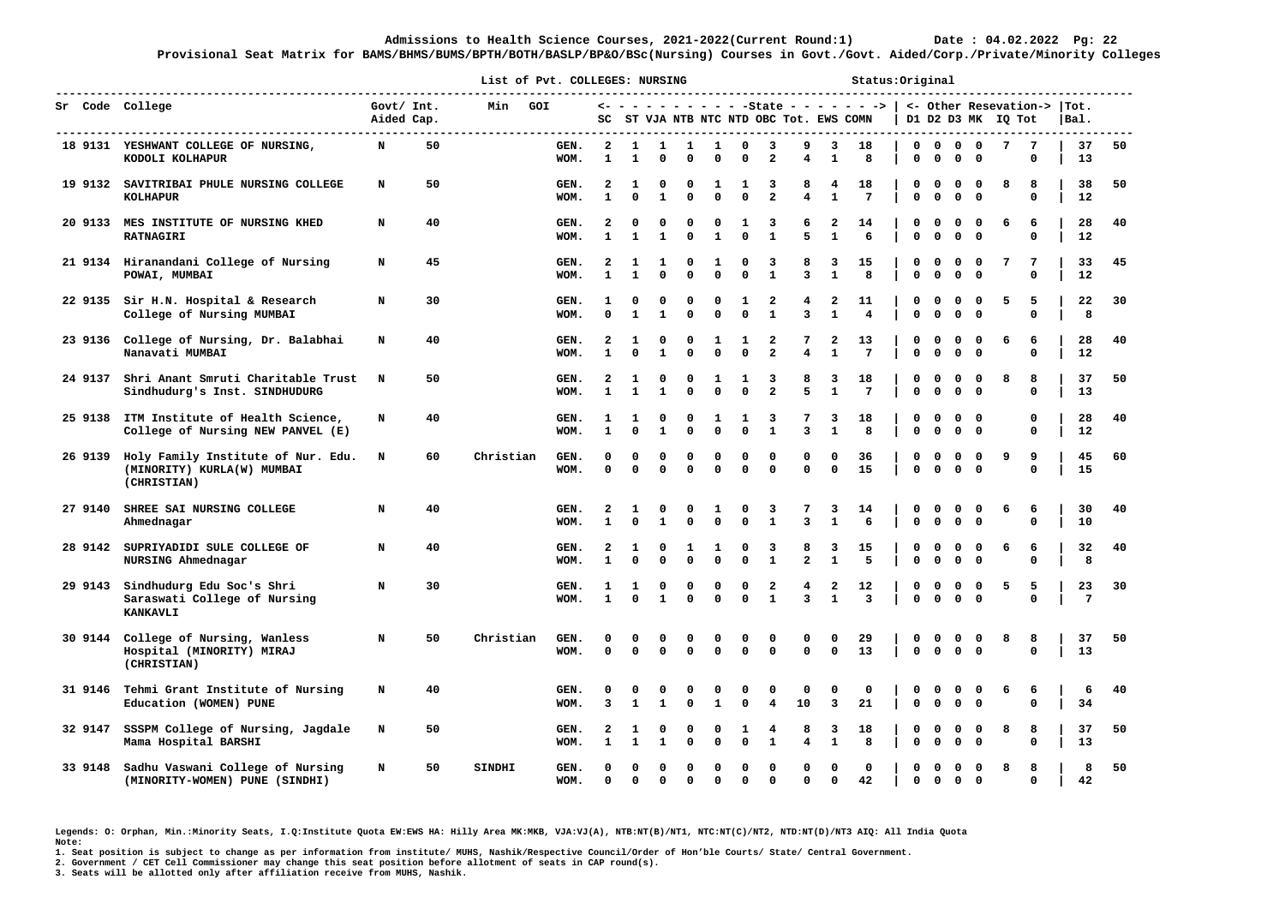**Provisional Seat Matrix for BAMS/BHMS/BUMS/BPTH/BOTH/BASLP/BP&O/BSc(Nursing) Courses in Govt./Govt. Aided/Corp./Private/Minority Colleges**

|         |                                                                                 |                          |    |               | List of Pvt. COLLEGES: NURSING |                                         |                          |                   |                  |                   |                      |                                           |                                      |                              | Status: Original                           |                            |                            |                                        |                                      |                    |               |                                         |    |
|---------|---------------------------------------------------------------------------------|--------------------------|----|---------------|--------------------------------|-----------------------------------------|--------------------------|-------------------|------------------|-------------------|----------------------|-------------------------------------------|--------------------------------------|------------------------------|--------------------------------------------|----------------------------|----------------------------|----------------------------------------|--------------------------------------|--------------------|---------------|-----------------------------------------|----|
|         | Sr Code College<br>--------------------------------------                       | Govt/ Int.<br>Aided Cap. |    | Min           | GOI                            | SC                                      |                          |                   |                  |                   |                      |                                           | ST VJA NTB NTC NTD OBC Tot. EWS COMN |                              | <- - - - - - - - - - -State - - - - - - -> |                            |                            |                                        |                                      | D1 D2 D3 MK IQ Tot |               | <- Other Resevation->  Tot.<br>$ $ Bal. |    |
|         | 18 9131 YESHWANT COLLEGE OF NURSING,<br>KODOLI KOLHAPUR                         | N                        | 50 |               | GEN.<br>WOM.                   | $\mathbf{2}$<br>$\mathbf{1}$            | 1<br>$\mathbf{1}$        | 1<br>0            | 1<br>$\mathbf 0$ | 1<br>$\mathbf 0$  | 0<br>$\mathbf 0$     | 3<br>$\mathbf{2}$                         | 9<br>$\overline{\mathbf{4}}$         | 3<br>$\mathbf{1}$            | 18<br>8                                    | $\mathbf 0$<br>0           | $\mathbf 0$<br>$\mathbf 0$ | $\overline{\mathbf{0}}$<br>$\mathbf 0$ | $\mathbf 0$<br>0                     | 7                  | 7<br>0        | 37<br>13                                | 50 |
|         | 19 9132 SAVITRIBAI PHULE NURSING COLLEGE<br><b>KOLHAPUR</b>                     | N                        | 50 |               | GEN.<br>WOM.                   | 2<br>1                                  | 1<br>$\Omega$            | 0<br>$\mathbf{1}$ | 0<br>$\mathbf 0$ | 1<br>$\mathbf 0$  | 1<br>$\mathbf{0}$    | 3<br>$\overline{a}$                       | 8<br>$\overline{4}$                  | 4<br>$\mathbf{1}$            | 18<br>7                                    | 0<br>$\mathbf{0}$          | 0<br>$\mathbf 0$           | 0<br>$\mathbf{0}$                      | $\Omega$<br>$^{\circ}$               | 8                  | 8<br>0        | 38<br>12                                | 50 |
| 20 9133 | <b>MES INSTITUTE OF NURSING KHED</b><br><b>RATNAGIRI</b>                        | N                        | 40 |               | GEN.<br>WOM.                   | 2<br>1                                  | 1                        | 0<br>$\mathbf{1}$ | 0<br>$\mathbf 0$ | 0<br>$\mathbf{1}$ | 1<br>$\mathbf{0}$    | 3<br>$\mathbf{1}$                         | 6<br>5                               | 2<br>$\mathbf{1}$            | 14<br>6                                    | 0<br>$\mathbf 0$           | 0<br>$\mathbf 0$           | 0<br>$\mathbf{0}$                      | 0<br>$^{\circ}$                      | 6                  | 6<br>0        | 28<br>12                                | 40 |
|         | 21 9134 Hiranandani College of Nursing<br>POWAI, MUMBAI                         | N                        | 45 |               | GEN.<br>WOM.                   | 2<br>$\mathbf{1}$                       | 1<br>$\mathbf{1}$        | 1<br>0            | 0<br>$\mathbf 0$ | 1<br>$\mathbf 0$  | 0<br>$\mathbf 0$     | 3<br>$\mathbf{1}$                         | 8<br>3                               | 3<br>$\mathbf{1}$            | 15<br>8                                    | $\mathbf 0$<br>$\mathbf 0$ | $\mathbf 0$<br>$\mathbf 0$ | 0<br>0                                 | $\Omega$<br>$\mathbf 0$              | 7                  | 7<br>0        | 33<br>12                                | 45 |
| 22 9135 | Sir H.N. Hospital & Research<br>College of Nursing MUMBAI                       | N                        | 30 |               | GEN.<br>WOM.                   | 1<br>0                                  | 0<br>$\mathbf{1}$        | 0<br>$\mathbf{1}$ | 0<br>$\Omega$    | 0<br>$\mathbf 0$  | 1<br>$\mathbf 0$     | 2<br>${\bf 1}$                            | 4<br>3                               | 2<br>$\mathbf{1}$            | 11<br>$\overline{4}$                       | 0<br>$\mathbf 0$           | 0<br>$\Omega$              | O<br>0                                 | 0<br>$\mathbf 0$                     | 5                  | 5<br>0        | 22<br>8                                 | 30 |
| 23 9136 | College of Nursing, Dr. Balabhai<br>Nanavati MUMBAI                             | N                        | 40 |               | GEN.<br>WOM.                   | $\overline{\mathbf{2}}$<br>$\mathbf{1}$ | 1<br>$\Omega$            | 0<br>$\mathbf{1}$ | 0<br>$\Omega$    | 1<br>$\mathbf 0$  | 1<br>$\mathbf 0$     | $\overline{\mathbf{2}}$<br>$\overline{a}$ | 7<br>4                               | 2<br>$\mathbf{1}$            | 13<br>$7\phantom{.0}$                      | O<br>$\mathbf 0$           | $\Omega$<br>$\mathbf 0$    | O<br>$\Omega$                          | 0<br>$\Omega$                        | 6                  | 6<br>0        | 28<br>12                                | 40 |
| 24 9137 | Shri Anant Smruti Charitable Trust<br>Sindhudurg's Inst. SINDHUDURG             | N                        | 50 |               | GEN.<br>WOM.                   | 2<br>$\mathbf{1}$                       | 1<br>1                   | 0<br>$\mathbf{1}$ | 0<br>$\mathbf 0$ | 1<br>$\mathbf 0$  | 1<br>$\mathbf 0$     | 3<br>$\overline{a}$                       | 8<br>5                               | 3<br>$\mathbf{1}$            | 18<br>$7\phantom{.0}$                      | O<br>0                     | $\Omega$<br>$\mathbf 0$    | O<br>0                                 | $\Omega$<br>0                        | 8                  | 8<br>0        | 37<br>13                                | 50 |
| 25 9138 | ITM Institute of Health Science,<br>College of Nursing NEW PANVEL (E)           | N                        | 40 |               | GEN.<br>WOM.                   | 1<br>$\mathbf{1}$                       | 1<br>$\Omega$            | 0<br>$\mathbf{1}$ | 0<br>$\mathbf 0$ | 1<br>$\mathbf 0$  | 1<br>$\mathbf 0$     | 3<br>$\mathbf{1}$                         | 7<br>3                               | 3<br>$\mathbf{1}$            | 18<br>8                                    | 0<br>0                     | $\mathbf 0$<br>$\mathbf 0$ | 0<br>$\mathbf 0$                       | $\Omega$<br>$\overline{\phantom{0}}$ |                    | 0<br>0        | 28<br>12                                | 40 |
| 26 9139 | Holy Family Institute of Nur. Edu.<br>(MINORITY) KURLA(W) MUMBAI<br>(CHRISTIAN) | N                        | 60 | Christian     | GEN.<br>WOM.                   | 0<br>$\Omega$                           | 0<br>$\Omega$            | 0<br>0            | 0<br>$\mathbf 0$ | 0<br>$\mathbf 0$  | 0<br>$\Omega$        | 0<br>$\mathbf{0}$                         | 0<br>$\Omega$                        | 0<br>$\mathbf{0}$            | 36<br>15                                   | 0<br>$\mathbf 0$           | 0<br>$\mathbf{0}$          | 0<br>$\mathbf{0}$                      | 0<br>$\Omega$                        | 9                  | 9<br>$\Omega$ | 45<br>15                                | 60 |
| 27 9140 | SHREE SAI NURSING COLLEGE<br>Ahmednagar                                         | N                        | 40 |               | GEN.<br>WOM.                   | $\mathbf{2}$<br>1                       | 1<br>$\Omega$            | 0<br>1            | 0<br>$\mathbf 0$ | 1<br>$\mathbf 0$  | 0<br>$\Omega$        | 3<br>$\mathbf{1}$                         | 7<br>3                               | 3<br>$\mathbf{1}$            | 14<br>6                                    | 0<br>$\mathbf{0}$          | 0<br>$\mathbf 0$           | 0<br>0                                 | 0<br>$\mathbf 0$                     | 6                  | 6<br>0        | 30<br>10                                | 40 |
| 28 9142 | SUPRIYADIDI SULE COLLEGE OF<br>NURSING Ahmednagar                               | N                        | 40 |               | GEN.<br>WOM.                   | $\overline{\mathbf{2}}$<br>$\mathbf{1}$ | 1<br>$\Omega$            | 0<br>0            | 1<br>$\Omega$    | 1<br>$\mathbf 0$  | 0<br>$\mathbf 0$     | 3<br>$\mathbf{1}$                         | 8<br>$\overline{a}$                  | 3<br>$\mathbf{1}$            | 15<br>5                                    | 0<br>$\mathbf 0$           | $\mathbf 0$<br>$\mathbf 0$ | 0<br>0                                 | $\mathbf 0$<br>$\mathbf 0$           | 6                  | 6<br>0        | 32<br>8                                 | 40 |
| 29 9143 | Sindhudurg Edu Soc's Shri<br>Saraswati College of Nursing<br>KANKAVLI           | N                        | 30 |               | GEN.<br>WOM.                   | 1<br>$\mathbf{1}$                       | 1<br>$\Omega$            | 0<br>$\mathbf{1}$ | 0<br>$\mathbf 0$ | 0<br>$\mathbf 0$  | 0<br>$\mathbf 0$     | 2<br>$\mathbf{1}$                         | 4<br>3                               | 2<br>$\mathbf{1}$            | 12<br>3                                    | 0<br>$\Omega$              | 0<br>$\mathbf 0$           | 0<br>$\Omega$                          | 0<br>$\Omega$                        | 5                  | 5<br>$\Omega$ | 23<br>7                                 | 30 |
| 30 9144 | College of Nursing, Wanless<br>Hospital (MINORITY) MIRAJ<br>(CHRISTIAN)         | N                        | 50 | Christian     | GEN.<br>WOM.                   | O<br>$\Omega$                           | n<br>$\mathbf 0$         | 0<br>0            | 0<br>0           | 0<br>$\Omega$     | 0<br>$\mathbf{0}$    | 0<br>$\mathbf{0}$                         | 0<br>$\mathbf{0}$                    | 0<br>$\mathbf 0$             | 29<br>13                                   | 0<br>$\mathbf 0$           | 0<br>$\mathbf 0$           | 0<br>$\mathbf{0}$                      | 0<br>$\mathbf 0$                     | 8                  | 8<br>0        | 37<br>13                                | 50 |
| 31 9146 | Tehmi Grant Institute of Nursing<br>Education (WOMEN) PUNE                      | N                        | 40 |               | GEN.<br>WOM.                   | 0<br>3                                  | $\Omega$<br>$\mathbf{1}$ | 0<br>$\mathbf{1}$ | 0<br>$\mathbf 0$ | $\mathbf 0$<br>1  | 0<br>$\mathbf 0$     | 0<br>4                                    | 0<br>10                              | 0<br>$\overline{\mathbf{3}}$ | $\mathbf 0$<br>21                          | 0<br>0                     | $\mathbf 0$<br>$\mathbf 0$ | 0<br>$\mathbf 0$                       | $\mathbf 0$<br>$\mathbf 0$           | 6                  | 6<br>0        | 6<br>34                                 | 40 |
| 32 9147 | SSSPM College of Nursing, Jagdale<br>Mama Hospital BARSHI                       | N                        | 50 |               | GEN.<br>WOM.                   | 2<br>$\mathbf{1}$                       | 1<br>$\mathbf{1}$        | 0<br>$\mathbf{1}$ | 0<br>0           | 0<br>$\mathbf 0$  | 1<br>$\mathbf{0}$    | 4<br>$\mathbf{1}$                         | 8<br>4                               | 3<br>$\mathbf{1}$            | 18<br>8                                    | $\mathbf 0$<br>$\mathbf 0$ | 0<br>$\mathbf{0}$          | 0<br>$\mathbf{0}$                      | 0<br>$\mathbf 0$                     | 8                  | 8<br>0        | 37<br>13                                | 50 |
| 33 9148 | Sadhu Vaswani College of Nursing<br>(MINORITY-WOMEN) PUNE (SINDHI)              | N                        | 50 | <b>SINDHI</b> | GEN.<br>WOM.                   | O<br>$\Omega$                           | $\Omega$<br>$\Omega$     | 0<br>0            | 0<br>$\mathbf 0$ | O<br>$\mathbf 0$  | $\Omega$<br>$\Omega$ | 0<br>$\mathbf 0$                          | 0<br>$\mathbf{0}$                    | 0<br>$\mathbf{0}$            | 0<br>42                                    | 0<br>0                     | 0<br>$\mathbf{o}$          | $\Omega$<br>$\Omega$                   | 0<br>$\Omega$                        | 8                  | 8<br>0        | 8<br>42                                 | 50 |

**Legends: O: Orphan, Min.:Minority Seats, I.Q:Institute Quota EW:EWS HA: Hilly Area MK:MKB, VJA:VJ(A), NTB:NT(B)/NT1, NTC:NT(C)/NT2, NTD:NT(D)/NT3 AIQ: All India Quota Note:** 

**1. Seat position is subject to change as per information from institute/ MUHS, Nashik/Respective Council/Order of Hon'ble Courts/ State/ Central Government.** 

**2. Government / CET Cell Commissioner may change this seat position before allotment of seats in CAP round(s).**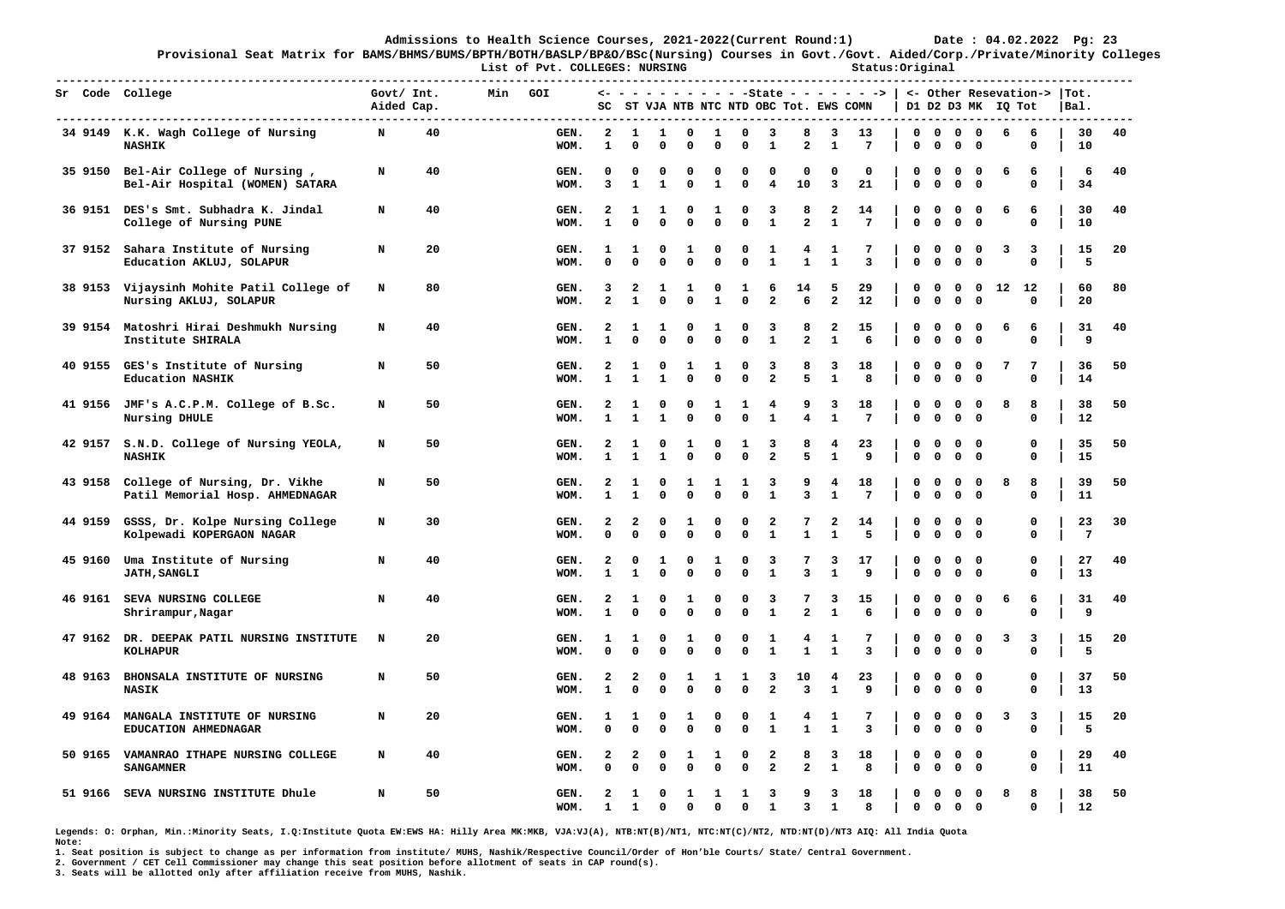**-------------------------------------------------------------------------------------------------------------------------------------------------------------** 

**Provisional Seat Matrix for BAMS/BHMS/BUMS/BPTH/BOTH/BASLP/BP&O/BSc(Nursing) Courses in Govt./Govt. Aided/Corp./Private/Minority Colleges List of Pvt. COLLEGES: NURSING Status:Original** 

|         | Sr Code College                                                  | Govt/ Int.<br>Aided Cap. |    | Min | GOI          | SC                  |                   |                   |                  |                      |                   |                                                    |                              |                                         | $\leftarrow$ - - - - - - - - - -State - - - - - -><br>ST VJA NTB NTC NTD OBC Tot. EWS COMN |                  |                  |                            |                             | D1 D2 D3 MK IQ Tot | <- Other Resevation-> | $ $ Tot.<br> Bal.    |    |
|---------|------------------------------------------------------------------|--------------------------|----|-----|--------------|---------------------|-------------------|-------------------|------------------|----------------------|-------------------|----------------------------------------------------|------------------------------|-----------------------------------------|--------------------------------------------------------------------------------------------|------------------|------------------|----------------------------|-----------------------------|--------------------|-----------------------|----------------------|----|
|         | 34 9149 K.K. Wagh College of Nursing<br><b>NASHIK</b>            | N                        | 40 |     | GEN.<br>WOM. | 2<br>$\mathbf{1}$   | 1<br>0            | 1<br>0            | 0<br>0           | 1<br>$\Omega$        | 0<br>0            | 3<br>$\mathbf{1}$                                  | 8<br>$\overline{a}$          | 3<br>$\mathbf{1}$                       | 13<br>$7\phantom{.0}$                                                                      | 0<br>$\mathbf 0$ | 0<br>$\mathbf 0$ | 0<br>$\mathbf 0$           | $\Omega$<br>$\mathbf{o}$    | 6                  | 6<br>$\mathbf 0$      | 30<br>10             | 40 |
| 35 9150 | Bel-Air College of Nursing,<br>Bel-Air Hospital (WOMEN) SATARA   | N                        | 40 |     | GEN.<br>WOM. | 0<br>$\overline{3}$ | 0<br>$\mathbf{1}$ | 0<br>$\mathbf{1}$ | 0<br>0           | 0<br>$\mathbf{1}$    | 0<br>0            | 0<br>4                                             | 0<br>10                      | 0<br>3                                  | 0<br>21                                                                                    | 0<br>$\mathbf 0$ | 0<br>0           | 0<br>$\mathbf 0$           | 0<br>$\mathbf 0$            | 6                  | 6<br>$\Omega$         | 6<br>34              | 40 |
| 36 9151 | DES's Smt. Subhadra K. Jindal<br>College of Nursing PUNE         | N                        | 40 |     | GEN.<br>WOM. | 2<br>$\mathbf{1}$   | 1<br>$\Omega$     | 1<br>$\Omega$     | 0<br>0           | 1<br>$\Omega$        | 0<br>0            | 3<br>1                                             | 8<br>$\overline{\mathbf{2}}$ | 2<br>$\mathbf{1}$                       | 14<br>7                                                                                    | 0<br>$\mathbf 0$ | 0<br>$\mathbf 0$ | $\mathbf 0$<br>$\mathbf 0$ | 0<br>$\mathbf 0$            | 6                  | 6<br>$\mathbf 0$      | 30<br>10             | 40 |
| 37 9152 | Sahara Institute of Nursing<br>Education AKLUJ, SOLAPUR          | N                        | 20 |     | GEN.<br>WOM. | 1<br>$\mathbf 0$    | 1<br>$\Omega$     | 0<br>$\Omega$     | 1<br>0           | $\Omega$<br>$\Omega$ | 0<br>0            | 1<br>$\mathbf{1}$                                  | 4<br>$\mathbf{1}$            | 1<br>$\mathbf{1}$                       | 7<br>3                                                                                     | 0<br>$\mathbf 0$ | 0<br>$\mathbf 0$ | $\mathbf 0$<br>$\mathbf 0$ | 0<br>$\mathbf 0$            | з                  | 3<br>$\Omega$         | 15<br>5              | 20 |
| 38 9153 | Vijaysinh Mohite Patil College of<br>Nursing AKLUJ, SOLAPUR      | N                        | 80 |     | GEN.<br>WOM. | 3<br>$\overline{a}$ | 2<br>$\mathbf{1}$ | 1<br>$\Omega$     | 1<br>0           | 0<br>$\mathbf{1}$    | 1<br>0            | 6<br>$\overline{a}$                                | 14<br>6                      | 5<br>$\overline{a}$                     | 29<br>12                                                                                   | 0<br>$\mathbf 0$ | 0<br>0           | $\mathbf 0$<br>$\mathbf 0$ | 0<br>$\mathbf 0$            | $12 \overline{ }$  | 12<br>$\mathbf 0$     | 60<br>20             | 80 |
| 39 9154 | Matoshri Hirai Deshmukh Nursing<br>Institute SHIRALA             | N                        | 40 |     | GEN.<br>WOM. | 2<br>$\mathbf{1}$   | 1<br>$\Omega$     | 1<br>$\Omega$     | 0<br>0           | 1<br>$\Omega$        | 0<br>0            | 3<br>1                                             | 8<br>$\overline{\mathbf{2}}$ | 2<br>$\mathbf 1$                        | 15<br>6                                                                                    | 0<br>$\mathbf 0$ | $\Omega$<br>0    | $\mathbf 0$<br>$\mathbf 0$ | 0<br>$\mathbf 0$            | 6                  | 6<br>$\Omega$         | 31<br>9              | 40 |
| 40 9155 | GES's Institute of Nursing<br><b>Education NASHIK</b>            | N                        | 50 |     | GEN.<br>WOM. | 2<br>$\mathbf{1}$   | 1<br>1            | 0                 | 1<br>$\Omega$    | 1<br>$\Omega$        | 0<br>0            | 3<br>$\overline{2}$                                | 8<br>5                       | 3<br>$\mathbf{1}$                       | 18<br>8                                                                                    | 0<br>$\mathbf 0$ | 0<br>0           | $\mathbf 0$<br>$\mathbf 0$ | 0<br>$\mathbf 0$            | 7                  | 7<br>$\mathbf 0$      | 36<br>14             | 50 |
| 41 9156 | JMF's A.C.P.M. College of B.Sc.<br>Nursing DHULE                 | N                        | 50 |     | GEN.<br>WOM. | 2<br>$\mathbf{1}$   | 1<br>1            | 0                 | 0<br>$\Omega$    | 1<br>$\Omega$        | 1<br>0            | 4<br>$\mathbf{1}$                                  | 9<br>4                       | 3<br>$\mathbf{1}$                       | 18<br>7                                                                                    | 0<br>$\Omega$    | $\Omega$<br>0    | $\mathbf 0$<br>$\mathbf 0$ | $\Omega$<br>$\mathbf 0$     | 8                  | 8<br>$\mathbf 0$      | 38<br>12             | 50 |
| 42 9157 | S.N.D. College of Nursing YEOLA,<br><b>NASHIK</b>                | N                        | 50 |     | GEN.<br>WOM. | 2<br>$\mathbf{1}$   | 1<br>1            | 0<br>1            | 1<br>$\Omega$    | $\Omega$<br>$\Omega$ | 1<br>0            | 3<br>$\overline{a}$                                | 8<br>5                       | 4<br>$\mathbf{1}$                       | 23<br>9                                                                                    | 0<br>$\mathbf 0$ | 0<br>0           | 0<br>$\mathbf 0$           | 0<br>$\mathbf 0$            |                    | 0<br>$\mathbf 0$      | 35<br>15             | 50 |
| 43 9158 | College of Nursing, Dr. Vikhe<br>Patil Memorial Hosp. AHMEDNAGAR | N                        | 50 |     | GEN.<br>WOM. | 2<br>$\mathbf{1}$   | 1<br>1            | 0<br>$\Omega$     | 1<br>$\Omega$    | 1<br>$\Omega$        | 1<br>0            | 3<br>1                                             | 9<br>3                       | 4<br>$\mathbf{1}$                       | 18<br>7                                                                                    | 0<br>$\Omega$    | 0<br>0           | $\mathbf 0$<br>$\mathbf 0$ | $\Omega$<br>$\mathbf 0$     | 8                  | 8<br>$\mathbf 0$      | 39<br>11             | 50 |
| 44 9159 | GSSS, Dr. Kolpe Nursing College<br>Kolpewadi KOPERGAON NAGAR     | N                        | 30 |     | GEN.<br>WOM. | 2<br>$\Omega$       | 2<br>$\Omega$     | 0<br>$\Omega$     | 1<br>$\Omega$    | $\Omega$<br>$\Omega$ | 0<br>0            | $\overline{\mathbf{2}}$<br>1                       | 7<br>$\mathbf{1}$            | 2<br>$\mathbf{1}$                       | 14<br>5                                                                                    | 0<br>$\mathbf 0$ | 0<br>0           | 0<br>$\mathbf 0$           | 0<br>$\mathbf 0$            |                    | $\Omega$<br>$\Omega$  | 23<br>$\overline{7}$ | 30 |
| 45 9160 | Uma Institute of Nursing<br><b>JATH, SANGLI</b>                  | N                        | 40 |     | GEN.<br>WOM. | 2<br>$\mathbf{1}$   | 0<br>1            | 1<br>$\Omega$     | 0<br>0           | 1<br>$\Omega$        | 0<br>0            | 3<br>1                                             | 7<br>3                       | 3<br>$\mathbf{1}$                       | 17<br>9                                                                                    | 0<br>$\mathbf 0$ | 0<br>$\mathbf 0$ | 0<br>$\mathbf 0$           | 0<br>$\mathbf 0$            |                    | 0<br>$\mathbf 0$      | 27<br>13             | 40 |
| 46 9161 | SEVA NURSING COLLEGE<br>Shrirampur, Nagar                        | N                        | 40 |     | GEN.<br>WOM. | 2<br>$\mathbf{1}$   | 1<br>$\Omega$     | 0<br>$\Omega$     | 1<br>0           | $\Omega$<br>$\Omega$ | 0<br>0            | 3<br>1                                             | 7<br>$\overline{\mathbf{2}}$ | 3<br>$\mathbf{1}$                       | 15<br>6                                                                                    | 0<br>$\mathbf 0$ | 0<br>$\mathbf 0$ | $\mathbf 0$<br>$\mathbf 0$ | 0<br>$\mathbf 0$            | 6                  | 6<br>$\Omega$         | 31<br>9              | 40 |
| 47 9162 | DR. DEEPAK PATIL NURSING INSTITUTE<br><b>KOLHAPUR</b>            | N                        | 20 |     | GEN.<br>WOM. | 1<br>$\mathbf 0$    | 1<br>$\Omega$     | 0<br>$\Omega$     | 1<br>0           | $\Omega$<br>$\Omega$ | 0<br>0            | 1<br>$\mathbf{1}$                                  | 4<br>$\mathbf{1}$            | 1<br>$\mathbf{1}$                       | 7<br>3                                                                                     | 0<br>$\mathbf 0$ | 0<br>$\mathbf 0$ | $\mathbf 0$<br>$\mathbf 0$ | 0<br>$\mathbf{o}$           | 3                  | 3<br>$\Omega$         | 15<br>5              | 20 |
| 48 9163 | BHONSALA INSTITUTE OF NURSING<br><b>NASIK</b>                    | N                        | 50 |     | GEN.<br>WOM. | 2<br>$\mathbf{1}$   | 2<br>$\Omega$     | 0<br>$\Omega$     | 1<br>$\Omega$    | 1<br>$\Omega$        | 1<br>0            | 3<br>$\overline{a}$                                | 10<br>3                      | $\overline{\mathbf{4}}$<br>$\mathbf{1}$ | 23<br>9                                                                                    | 0<br>$\mathbf 0$ | 0<br>$\mathbf 0$ | 0<br>$\mathbf 0$           | 0<br>$\mathbf 0$            |                    | 0<br>$\mathbf 0$      | 37<br>13             | 50 |
| 49 9164 | MANGALA INSTITUTE OF NURSING<br>EDUCATION AHMEDNAGAR             | N                        | 20 |     | GEN.<br>WOM. | 1<br>$\mathbf 0$    | 1<br>$\Omega$     | 0<br>$\Omega$     | 1<br>0           | 0<br>$\Omega$        | 0<br>0            | 1<br>$\mathbf{1}$                                  | 4<br>$\mathbf{1}$            | 1<br>$\mathbf{1}$                       | 7<br>3                                                                                     | 0<br>$\mathbf 0$ | 0<br>$\mathbf 0$ | 0<br>$\mathbf 0$           | $\mathbf 0$<br>$\mathbf{o}$ | 3                  | 3<br>$\mathbf 0$      | 15<br>5              | 20 |
| 50 9165 | VAMANRAO ITHAPE NURSING COLLEGE<br><b>SANGAMNER</b>              | N                        | 40 |     | GEN.<br>WOM. | 2<br>$\mathbf 0$    | 2<br>$\Omega$     | 0<br>$\Omega$     | 1<br>0           | 1<br>$\Omega$        | 0<br>0            | $\overline{\mathbf{2}}$<br>$\overline{\mathbf{2}}$ | 8<br>$\overline{a}$          | 3<br>$\mathbf{1}$                       | 18<br>8                                                                                    | 0<br>$\mathbf 0$ | 0<br>$\mathbf 0$ | 0<br>$\mathbf 0$           | 0<br>$\mathbf 0$            |                    | 0<br>$\mathbf 0$      | 29<br>11             | 40 |
| 51 9166 | SEVA NURSING INSTITUTE Dhule                                     | N                        | 50 |     | GEN.<br>WOM. | 2<br>$\mathbf{1}$   | 1<br>$\mathbf{1}$ | 0<br>$\Omega$     | 1<br>$\mathbf 0$ | 1<br>$\Omega$        | 1<br>$\mathbf{0}$ | 3<br>$\mathbf{1}$                                  | 9<br>$\overline{3}$          | 3<br>$\mathbf{1}$                       | 18<br>8                                                                                    | O<br>$\mathbf 0$ | 0<br>$\mathbf 0$ | 0<br>$\mathbf 0$           | 0<br>$\Omega$               | 8                  | 8<br>$\mathbf 0$      | 38<br>12             | 50 |

**Legends: O: Orphan, Min.:Minority Seats, I.Q:Institute Quota EW:EWS HA: Hilly Area MK:MKB, VJA:VJ(A), NTB:NT(B)/NT1, NTC:NT(C)/NT2, NTD:NT(D)/NT3 AIQ: All India Quota Note:** 

**1. Seat position is subject to change as per information from institute/ MUHS, Nashik/Respective Council/Order of Hon'ble Courts/ State/ Central Government.** 

**2. Government / CET Cell Commissioner may change this seat position before allotment of seats in CAP round(s).**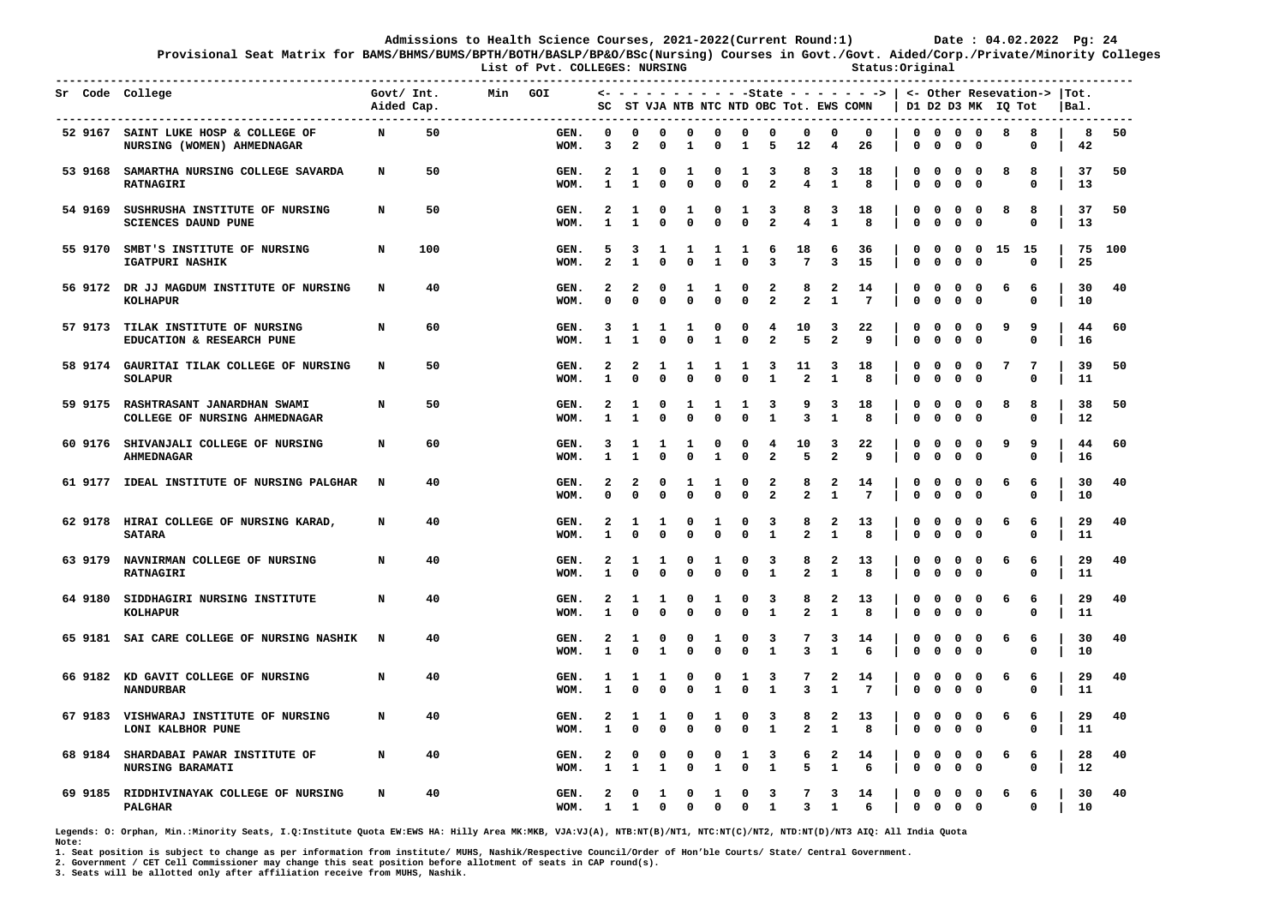**Provisional Seat Matrix for BAMS/BHMS/BUMS/BPTH/BOTH/BASLP/BP&O/BSc(Nursing) Courses in Govt./Govt. Aided/Corp./Private/Minority Colleges List of Pvt. COLLEGES: NURSING Status:Original** 

|  | Sr Code College                                                                                      | Govt/ Int.<br>Aided Cap. |     | Min | GOI          |               |                                        |                              |                              |                              |                             |                                         |                              |                                         | $\leftarrow$ - - - - - - - - - - State - - - - - - >   <- Other Resevation->  Tot.<br>SC ST VJA NTB NTC NTD OBC Tot. EWS COMN |                             |                             |                                  |                                        | D1 D2 D3 MK IQ Tot |                  | Bal.     |     |
|--|------------------------------------------------------------------------------------------------------|--------------------------|-----|-----|--------------|---------------|----------------------------------------|------------------------------|------------------------------|------------------------------|-----------------------------|-----------------------------------------|------------------------------|-----------------------------------------|-------------------------------------------------------------------------------------------------------------------------------|-----------------------------|-----------------------------|----------------------------------|----------------------------------------|--------------------|------------------|----------|-----|
|  | ------------------------------<br>52 9167 SAINT LUKE HOSP & COLLEGE OF<br>NURSING (WOMEN) AHMEDNAGAR | N                        | 50  |     | GEN.<br>WOM. | $\Omega$<br>3 | $\mathbf 0$<br>$\overline{\mathbf{2}}$ | $\Omega$<br>O                | $^{\circ}$<br>1              | $\mathbf 0$<br>0             | $\mathbf 0$<br>1            | $\mathbf{o}$<br>5                       | $\mathbf 0$<br>12            | $\mathbf 0$<br>4                        | $\mathbf 0$<br>26                                                                                                             | $\mathbf 0$<br>0            | $\mathbf 0$                 | $0\quad 0\quad 0$<br>$\mathbf 0$ | $\mathbf 0$                            | 8                  | 8<br>0           | 8<br>42  | 50  |
|  | 53 9168 SAMARTHA NURSING COLLEGE SAVARDA<br><b>RATNAGIRI</b>                                         | N                        | 50  |     | GEN.<br>WOM. | 2<br>1        | 1<br>$\mathbf{1}$                      | $\mathbf{o}$<br>$\Omega$     | $\mathbf{1}$<br>0            | $^{\circ}$<br>$\mathbf{0}$   | 1<br>$\mathbf 0$            | -3<br>$\overline{a}$                    | 8<br>4                       | 3<br>1                                  | 18<br>8                                                                                                                       | 0<br>$\mathbf 0$            | $\mathbf 0$<br>0            | $^{\circ}$<br>$\mathbf 0$        | $\mathbf{0}$<br>$\mathbf 0$            | 8                  | 8<br>0           | 37<br>13 | 50  |
|  | 54 9169 SUSHRUSHA INSTITUTE OF NURSING<br>SCIENCES DAUND PUNE                                        | N                        | 50  |     | GEN.<br>WOM. | 2             | 1<br>$\mathbf{1}$                      | $\mathbf{o}$<br>$\Omega$     | 1<br>$\Omega$                | 0<br>$\mathbf 0$             | 1<br>$\mathbf 0$            | 3<br>$\overline{a}$                     | 8<br>$\overline{\mathbf{4}}$ | 3<br>$\mathbf{1}$                       | 18<br>8                                                                                                                       | 0<br>$\mathbf 0$            | $\mathbf 0$<br>$\mathbf 0$  | $\mathbf{o}$<br>$\Omega$         | $\mathbf 0$<br>$\mathbf{0}$            | 8                  | 8<br>$\mathbf 0$ | 37<br>13 | 50  |
|  | 55 9170 SMBT'S INSTITUTE OF NURSING<br>IGATPURI NASHIK                                               | N                        | 100 |     | GEN.<br>WOM. | 5             | 3<br>$\mathbf{1}$                      | 1<br>$\Omega$                | 1<br>0                       | $\mathbf{1}$<br>$\mathbf{1}$ | 1<br>$\mathbf 0$            | 6<br>3                                  | 18<br>$7\phantom{.0}$        | 6<br>3                                  | 36<br>15                                                                                                                      | 0<br>0                      | $\mathbf 0$<br>$\mathbf 0$  | $\mathbf 0$                      | $0\quad 0$<br>$\mathbf 0$              | 15                 | - 15<br>0        | 75<br>25 | 100 |
|  | 56 9172 DR JJ MAGDUM INSTITUTE OF NURSING<br><b>KOLHAPUR</b>                                         | N                        | 40  |     | GEN.<br>WOM. |               | 2<br>$\Omega$                          | 0<br>$\Omega$                | 1<br>$\mathbf 0$             | 1<br>$\mathbf{0}$            | 0<br>$\mathbf 0$            | 2<br>$\overline{a}$                     | 8<br>$\mathbf{z}$            | $\mathbf{2}$<br>$\mathbf{1}$            | 14<br>$7\phantom{.0}$                                                                                                         | $\mathbf{o}$<br>$\mathbf 0$ | $\mathbf 0$<br>$\mathbf 0$  | $\mathbf 0$<br>$\mathbf 0$       | $\mathbf{o}$<br>$\mathbf{o}$           | 6                  | 6<br>0           | 30<br>10 | 40  |
|  | 57 9173 TILAK INSTITUTE OF NURSING<br>EDUCATION & RESEARCH PUNE                                      | N                        | 60  |     | GEN.<br>WOM. | 3             | 1                                      | 1<br>$\Omega$                | 1<br>0                       | 0<br>$\mathbf{1}$            | $\mathbf{o}$<br>0           | 4<br>$\overline{\mathbf{2}}$            | 10<br>5                      | 3<br>$\overline{2}$                     | 22<br>9                                                                                                                       | 0<br>0                      | $\mathbf 0$<br>$\mathbf 0$  | $\mathbf 0$<br>$\mathbf 0$       | $\mathbf 0$<br>$\mathbf 0$             | 9                  | 9<br>0           | 44<br>16 | 60  |
|  | 58 9174 GAURITAI TILAK COLLEGE OF NURSING<br><b>SOLAPUR</b>                                          | N                        | 50  |     | GEN.<br>WOM. | 2             | 2<br>$\Omega$                          | $\mathbf{1}$<br>$\Omega$     | $\mathbf{1}$<br>0            | 1<br>$\mathbf 0$             | 1<br>$\mathbf 0$            | 3<br>$\mathbf 1$                        | 11<br>$\overline{a}$         | 3<br>$\mathbf{1}$                       | 18<br>8                                                                                                                       | $\mathbf{o}$<br>$\mathbf 0$ | $\mathbf 0$<br>$\mathbf 0$  | $\mathbf 0$                      | $0\quad 0$<br>$\mathbf 0$              | 7                  | 7<br>$\Omega$    | 39<br>11 | 50  |
|  | 59 9175 RASHTRASANT JANARDHAN SWAMI<br>COLLEGE OF NURSING AHMEDNAGAR                                 | N                        | 50  |     | GEN.<br>WOM. | 2             | 1<br>$\mathbf{1}$                      | 0<br>$\Omega$                | 1<br>$\mathbf{0}$            | 1<br>$\mathbf{0}$            | 1<br>$\mathbf 0$            | 3<br>$\mathbf{1}$                       | 9<br>$\overline{3}$          | 3<br>$\mathbf{1}$                       | 18<br>8                                                                                                                       | 0<br>$\mathbf 0$            | $\mathbf 0$<br>$\mathbf 0$  | $\mathbf 0$<br>$\mathbf 0$       | $\mathbf 0$<br>$\Omega$                | 8                  | 8<br>$\Omega$    | 38<br>12 | 50  |
|  | 60 9176 SHIVANJALI COLLEGE OF NURSING<br><b>AHMEDNAGAR</b>                                           | N                        | 60  |     | GEN.<br>WOM. | 3             | ı<br>1                                 | 1<br>$\Omega$                | 1<br>0                       | $\mathbf{o}$<br>$\mathbf{1}$ | $\mathbf{o}$<br>$\mathbf 0$ | 4<br>$\overline{a}$                     | 10<br>5                      | 3<br>$\overline{2}$                     | 22<br>9                                                                                                                       | 0<br>$\mathbf 0$            | $\mathbf 0$<br>$\mathbf 0$  | $\mathbf 0$<br>$\mathbf 0$       | $\overline{\mathbf{0}}$<br>$\mathbf 0$ | 9                  | 9<br>0           | 44<br>16 | 60  |
|  | 61 9177 IDEAL INSTITUTE OF NURSING PALGHAR                                                           | N                        | 40  |     | GEN.<br>WOM. | 2             | 2<br>$\Omega$                          | 0<br>$\mathbf{0}$            | 1<br>$\mathbf 0$             | 1<br>$\mathbf 0$             | $\mathbf{o}$<br>$\mathbf 0$ | 2<br>$\overline{a}$                     | 8<br>$\overline{a}$          | $\mathbf{2}$<br>$\mathbf{1}$            | 14<br>$7\phantom{.0}$                                                                                                         | 0<br>$\mathbf 0$            | $\mathbf 0$<br>$\mathbf 0$  | $\mathbf 0$                      | $0\quad 0$<br>$\mathbf 0$              | 6                  | 6<br>$\Omega$    | 30<br>10 | 40  |
|  | 62 9178 HIRAI COLLEGE OF NURSING KARAD,<br><b>SATARA</b>                                             | N                        | 40  |     | GEN.<br>WOM. | 2             | 1<br>$\Omega$                          | 1<br>$\mathbf 0$             | 0<br>0                       | 1<br>$\mathbf 0$             | 0<br>$\mathbf 0$            | 3<br>1                                  | 8<br>$\overline{a}$          | $\mathbf{2}$<br>1                       | 13<br>8                                                                                                                       | 0<br>$\mathbf 0$            | $\mathbf 0$<br>$\mathbf 0$  | $\mathbf 0$                      | $0\quad 0$<br>$\mathbf 0$              | 6                  | 6<br>0           | 29<br>11 | 40  |
|  | 63 9179 NAVNIRMAN COLLEGE OF NURSING<br><b>RATNAGIRI</b>                                             | N                        | 40  |     | GEN.<br>WOM. | 2             | 1<br>$\Omega$                          | $\mathbf{1}$<br>$\mathbf{0}$ | 0<br>$\mathbf{0}$            | 1<br>$\Omega$                | 0<br>$\mathbf{o}$           | 3<br>1                                  | 8<br>$\overline{a}$          | $\mathbf{2}$<br>1                       | 13<br>8                                                                                                                       | 0<br>$\mathbf 0$            | $\mathbf{o}$<br>$\mathbf 0$ |                                  | $0\quad 0$<br>$0\quad 0$               | 6                  | 6<br>$\mathbf 0$ | 29<br>11 | 40  |
|  | 64 9180 SIDDHAGIRI NURSING INSTITUTE<br><b>KOLHAPUR</b>                                              | N                        | 40  |     | GEN.<br>WOM. | 2             | 1<br>$\Omega$                          | 1<br>$\mathbf{0}$            | 0<br>$\mathbf{0}$            | 1<br>$\mathbf 0$             | 0<br>$\mathbf 0$            | 3<br>$\mathbf{1}$                       | 8<br>$\overline{a}$          | $\mathbf{2}$<br>$\mathbf{1}$            | 13<br>8                                                                                                                       | 0<br>$\mathbf 0$            | $\mathbf 0$<br>$\mathbf 0$  |                                  | $0\quad 0$<br>$0 \quad 0$              | 6                  | 6<br>$\Omega$    | 29<br>11 | 40  |
|  | 65 9181 SAI CARE COLLEGE OF NURSING NASHIK                                                           | $\mathbf N$              | 40  |     | GEN.<br>WOM. | 2             | 1<br>0                                 | $\mathbf{o}$<br>1            | 0<br>0                       | 1<br>$\mathbf 0$             | 0<br>$\mathbf 0$            | 3<br>$\mathbf{1}$                       | 7<br>3                       | 3<br>1                                  | 14<br>6                                                                                                                       | 0<br>$\mathbf 0$            | $^{\circ}$<br>$\mathbf 0$   |                                  | $0\quad 0$<br>$0\quad 0$               | 6                  | 6<br>0           | 30<br>10 | 40  |
|  | 66 9182 KD GAVIT COLLEGE OF NURSING<br><b>NANDURBAR</b>                                              | N                        | 40  |     | GEN.<br>WOM. | 1             | 1<br>$\Omega$                          | 1<br>$\mathbf 0$             | 0<br>$\mathbf{0}$            | 0<br>$\mathbf{1}$            | 1<br>$\mathbf 0$            | 3<br>1                                  | 7<br>3                       | $\mathbf{2}$<br>1                       | 14<br>$7\phantom{.0}$                                                                                                         | 0<br>$\mathbf 0$            | $\mathbf 0$<br>$\mathbf 0$  |                                  | $0\quad 0$<br>$0\quad 0$               | 6                  | 6<br>$\mathbf 0$ | 29<br>11 | 40  |
|  | 67 9183 VISHWARAJ INSTITUTE OF NURSING<br>LONI KALBHOR PUNE                                          | N                        | 40  |     | GEN.<br>WOM. | 2             | 1<br>$\Omega$                          | 1<br>0                       | 0<br>0                       | 1<br>$\mathbf 0$             | 0<br>$\mathbf 0$            | 3<br>$\mathbf{1}$                       | 8<br>2                       | $\mathbf{2}$<br>1                       | 13<br>8                                                                                                                       | 0<br>$\mathbf 0$            | $\mathbf 0$<br>$\mathbf 0$  |                                  | $0\quad 0$<br>$0\quad 0$               | 6                  | 6<br>0           | 29<br>11 | 40  |
|  | 68 9184 SHARDABAI PAWAR INSTITUTE OF<br>NURSING BARAMATI                                             | N                        | 40  |     | GEN.<br>WOM. | 2<br>1        | 0<br>1                                 | $\mathbf{o}$<br>1            | 0<br>0                       | $\mathbf{o}$<br>1            | 1<br>$\mathbf 0$            | 3<br>1                                  | 6<br>5                       | $\mathbf{2}$<br>1                       | 14<br>6                                                                                                                       | 0<br>$\mathbf 0$            | $\mathbf 0$<br>$\mathbf 0$  |                                  | $0\quad 0$<br>$0\quad 0$               | 6                  | 6<br>0           | 28<br>12 | 40  |
|  | 69 9185 RIDDHIVINAYAK COLLEGE OF NURSING<br>PALGHAR                                                  | N                        | 40  |     | GEN.<br>WOM. | 2<br>1        | 0<br>1                                 | 1<br>$\mathbf 0$             | $\mathbf{o}$<br>$\mathbf{0}$ | 1<br>$\Omega$                | $\mathbf 0$<br>$\mathbf 0$  | $\overline{\mathbf{3}}$<br>$\mathbf{1}$ | 7<br>3                       | $\overline{\mathbf{3}}$<br>$\mathbf{1}$ | 14<br>6                                                                                                                       | $\mathbf 0$<br>$\mathbf 0$  | $\circ$                     | $0\quad 0\quad 0$                | $0\quad 0$                             | 6                  | 6<br>$\mathbf 0$ | 30<br>10 | 40  |

**Legends: O: Orphan, Min.:Minority Seats, I.Q:Institute Quota EW:EWS HA: Hilly Area MK:MKB, VJA:VJ(A), NTB:NT(B)/NT1, NTC:NT(C)/NT2, NTD:NT(D)/NT3 AIQ: All India Quota Note:** 

**1. Seat position is subject to change as per information from institute/ MUHS, Nashik/Respective Council/Order of Hon'ble Courts/ State/ Central Government.** 

**2. Government / CET Cell Commissioner may change this seat position before allotment of seats in CAP round(s).**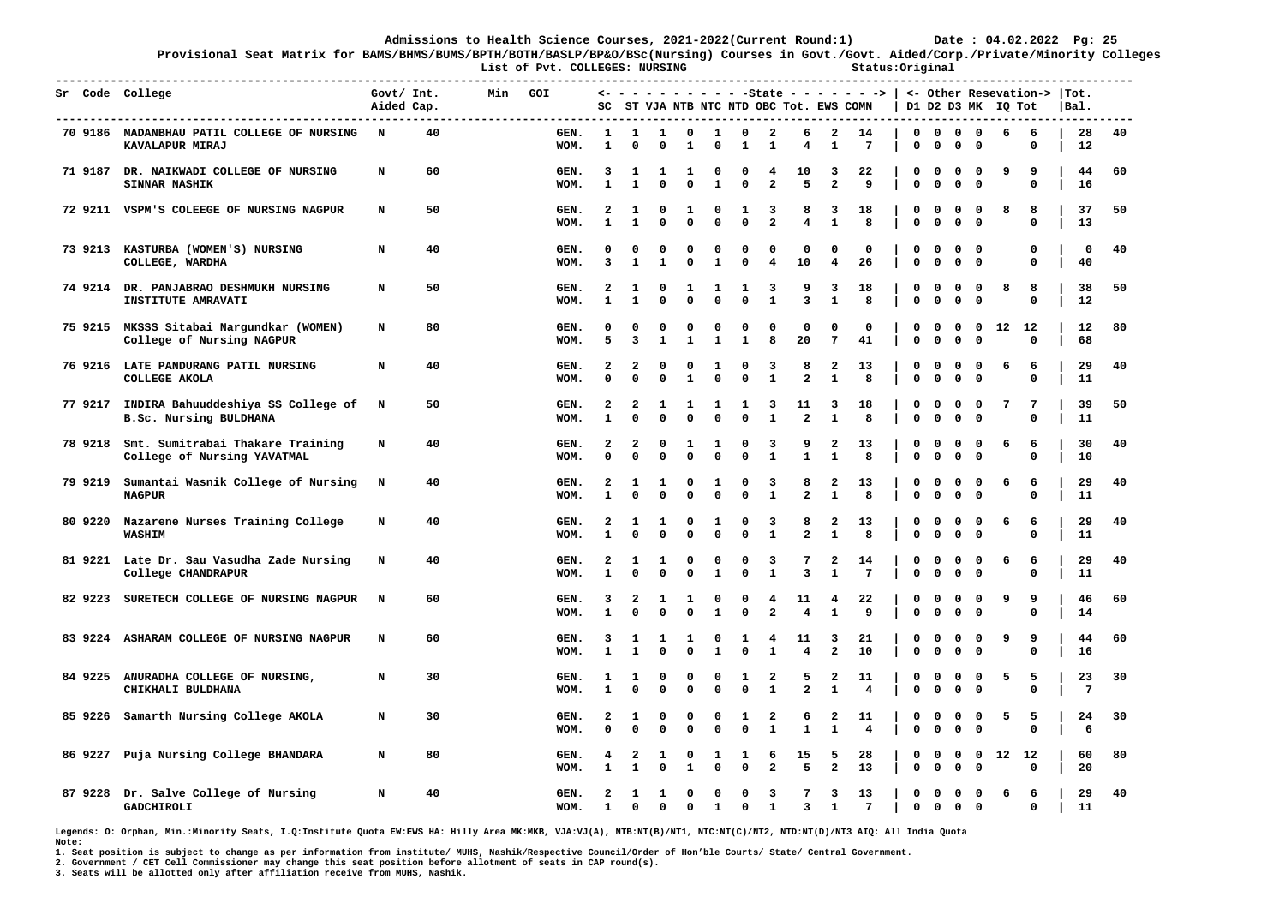**Provisional Seat Matrix for BAMS/BHMS/BUMS/BPTH/BOTH/BASLP/BP&O/BSc(Nursing) Courses in Govt./Govt. Aided/Corp./Private/Minority Colleges List of Pvt. COLLEGES: NURSING Status:Original** 

|         | ----------------------<br>Sr Code College                                                     | Govt/ Int.<br>Aided Cap. | Min | GOI          |                   |                            |                          |                            |                             |                             |                                         |                               |                                         | $\leftarrow$ - - - - - - - - - -State - - - - - - >   <- Other Resevation->  Tot.<br>SC ST VJA NTB NTC NTD OBC Tot. EWS COMN |                            |                             |                                                                        | D1 D2 D3 MK IQ Tot |       |                  | Bal.     |    |
|---------|-----------------------------------------------------------------------------------------------|--------------------------|-----|--------------|-------------------|----------------------------|--------------------------|----------------------------|-----------------------------|-----------------------------|-----------------------------------------|-------------------------------|-----------------------------------------|------------------------------------------------------------------------------------------------------------------------------|----------------------------|-----------------------------|------------------------------------------------------------------------|--------------------|-------|------------------|----------|----|
|         | ----------------------------<br>70 9186 MADANBHAU PATIL COLLEGE OF NURSING<br>KAVALAPUR MIRAJ | $\mathbb{N}$<br>40       |     | GEN.<br>WOM. | 1<br>$\mathbf{1}$ | 1<br>$\Omega$              | 1<br>0                   | $^{\circ}$<br>$\mathbf{1}$ | $\mathbf{1}$<br>0           | $\mathbf 0$<br>$\mathbf{1}$ | $\overline{\phantom{a}}$<br>1           | 6<br>4                        | $\overline{\phantom{a}}$<br>1           | 14<br>$7\phantom{.0}$                                                                                                        | 0                          | $\mathbf 0$                 | $0\quad 0\quad 0\quad 0$<br>0<br>$\mathbf 0$                           | 6                  |       | 6<br>0           | 28<br>12 | 40 |
|         | 71 9187 DR. NAIKWADI COLLEGE OF NURSING<br><b>SINNAR NASHIK</b>                               | 60<br>N                  |     | GEN.<br>WOM. | 3<br>$\mathbf{1}$ | 1<br>$\mathbf{1}$          | 1<br>$\mathbf 0$         | 1<br>0                     | 0<br>$\mathbf{1}$           | $\mathbf{o}$<br>$\mathbf 0$ | 4<br>$\overline{a}$                     | 10<br>5                       | 3<br>$\overline{a}$                     | 22<br>9                                                                                                                      | 0<br>$\mathbf 0$           | $\mathbf 0$<br>$\mathbf 0$  | 0<br>$\mathbf{o}$<br>$\mathbf 0$<br>$\mathbf 0$                        | 9                  |       | 9<br>$\mathbf 0$ | 44<br>16 | 60 |
|         | 72 9211 VSPM'S COLEEGE OF NURSING NAGPUR                                                      | 50<br>N                  |     | GEN.<br>WOM. | 2<br>$\mathbf{1}$ | 1<br>1                     | 0<br>$\mathbf 0$         | 1<br>0                     | 0<br>0                      | 1<br>0                      | 3<br>$\mathbf{2}$                       | 8<br>4                        | 3<br>1                                  | 18<br>8                                                                                                                      | $\mathbf 0$<br>$\mathbf 0$ | $^{\circ}$<br>$\mathbf 0$   | $0\quad 0$<br>$0\quad 0$                                               | 8                  |       | 8<br>0           | 37<br>13 | 50 |
|         | 73 9213 KASTURBA (WOMEN'S) NURSING<br>COLLEGE, WARDHA                                         | 40<br>N                  |     | GEN.<br>WOM. | 0<br>3            | 0<br>$\mathbf{1}$          | 0<br>$\mathbf{1}$        | 0<br>$\mathbf{0}$          | 0<br>$\mathbf{1}$           | 0<br>$\mathbf 0$            | 0<br>$\overline{4}$                     | 0<br>10                       | 0<br>$\overline{4}$                     | 0<br>26                                                                                                                      | 0<br>$\mathbf 0$           | $\mathbf 0$<br>$\mathbf{0}$ | $0\quad 0$<br>$0\quad 0$                                               |                    |       | 0<br>$\mathbf 0$ | 0<br>40  | 40 |
|         | 74 9214 DR. PANJABRAO DESHMUKH NURSING<br>INSTITUTE AMRAVATI                                  | 50<br>N                  |     | GEN.<br>WOM. | 2<br>$\mathbf{1}$ | 1<br>$\mathbf{1}$          | 0<br>$\mathbf 0$         | 1<br>0                     | 1<br>$\mathbf 0$            | 1<br>$\mathbf 0$            | $\overline{\mathbf{3}}$<br>$\mathbf{1}$ | 9<br>$\mathbf{3}$             | 3<br>$\mathbf{1}$                       | 18<br>8                                                                                                                      | $\mathbf 0$<br>$\mathbf 0$ | $^{\circ}$<br>$\mathbf 0$   | $0\quad 0$<br>0<br>$\mathbf{0}$                                        | 8                  |       | 8<br>$\Omega$    | 38<br>12 | 50 |
|         | 75 9215 MKSSS Sitabai Nargundkar (WOMEN)<br>College of Nursing NAGPUR                         | 80<br>N                  |     | GEN.<br>WOM. | 0<br>5            | 0<br>3                     | 0<br>$\mathbf{1}$        | 0<br>$\mathbf{1}$          | 0<br>$\mathbf{1}$           | 0<br>$\mathbf{1}$           | 0<br>8                                  | 0<br>20                       | 0<br>$7\phantom{.0}$                    | 0<br>41                                                                                                                      | 0<br>$\mathbf 0$           | $\mathbf 0$<br>$\mathbf 0$  | 0<br>$\mathbf 0$<br>$\mathbf 0$<br>$\mathbf 0$                         |                    | 12 12 | $\mathbf 0$      | 12<br>68 | 80 |
|         | 76 9216 LATE PANDURANG PATIL NURSING<br>COLLEGE AKOLA                                         | 40<br>N                  |     | GEN.<br>WOM. | 2<br>$\Omega$     | 2<br>$\Omega$              | 0<br>$\mathbf 0$         | 0<br>$\mathbf{1}$          | 1<br>0                      | 0<br>0                      | 3<br>${\bf 1}$                          | 8<br>$\overline{a}$           | 2<br>$\mathbf{1}$                       | 13<br>8                                                                                                                      | 0<br>$\mathbf 0$           | $\mathbf 0$<br>$\mathbf 0$  | 0<br>$\mathbf{o}$<br>$\mathbf 0$<br>$\mathbf{o}$                       | 6                  |       | 6<br>0           | 29<br>11 | 40 |
|         | 77 9217 INDIRA Bahuuddeshiya SS College of N<br>B.Sc. Nursing BULDHANA                        | 50                       |     | GEN.<br>WOM. | 2<br>$\mathbf{1}$ | 2<br>$\Omega$              | 1<br>$\Omega$            | 1<br>$\mathbf 0$           | 1<br>$\mathbf 0$            | 1<br>0                      | 3<br>$\mathbf{1}$                       | 11<br>$\overline{a}$          | 3<br>$\mathbf{1}$                       | 18<br>8                                                                                                                      | 0<br>$\Omega$              | $\mathbf 0$<br>$\mathbf 0$  | $0\quad 0$<br>$0\quad 0$                                               | 7                  |       | 7<br>$\mathbf 0$ | 39<br>11 | 50 |
|         | 78 9218 Smt. Sumitrabai Thakare Training<br>College of Nursing YAVATMAL                       | N<br>40                  |     | GEN.<br>WOM. | 2<br>$\Omega$     | 2<br>$\Omega$              | 0<br>$\mathbf 0$         | 1<br>0                     | 1<br>$\mathbf 0$            | 0<br>$\mathbf 0$            | 3<br>$\mathbf{1}$                       | 9<br>$\mathbf{1}$             | 2<br>$\mathbf{1}$                       | 13<br>8                                                                                                                      | 0<br>$\mathbf{o}$          | $\mathbf 0$<br>$\mathbf 0$  | $\mathbf 0$<br>$\overline{\phantom{0}}$<br>$0\quad 0$                  | 6                  |       | 6<br>$\mathbf 0$ | 30<br>10 | 40 |
|         | 79 9219 Sumantai Wasnik College of Nursing N<br><b>NAGPUR</b>                                 | 40                       |     | GEN.<br>WOM. | 2<br>$\mathbf{1}$ | 1<br>$\Omega$              | 1<br>$\mathbf 0$         | 0<br>$\mathbf{0}$          | 1<br>$\mathbf 0$            | 0<br>$\mathbf 0$            | 3<br>$\mathbf{1}$                       | 8<br>$\overline{a}$           | $\mathbf{2}$<br>$\mathbf{1}$            | 13<br>8                                                                                                                      | 0<br>$\Omega$              | $\mathbf 0$<br>$^{\circ}$   | 0<br>$\overline{\phantom{0}}$<br>$0\quad 0$                            | 6                  |       | 6<br>$\mathbf 0$ | 29<br>11 | 40 |
|         | 80 9220 Nazarene Nurses Training College<br>WASHIM                                            | N<br>40                  |     | GEN.<br>WOM. | 2<br>1            | 1<br>$\Omega$              | 1<br>$\mathbf 0$         | 0<br>0                     | 1<br>0                      | 0<br>$\mathbf 0$            | 3<br>$\mathbf{1}$                       | 8<br>$\overline{a}$           | 2<br>$\mathbf{1}$                       | 13<br>8                                                                                                                      | 0<br>$\mathbf{o}$          | $\mathbf 0$<br>$\mathbf 0$  | $0\quad 0$<br>$0\quad 0$                                               | 6                  |       | 6<br>$\mathbf 0$ | 29<br>11 | 40 |
|         | 81 9221 Late Dr. Sau Vasudha Zade Nursing<br>College CHANDRAPUR                               | 40<br>N                  |     | GEN.<br>WOM. | 2<br>$\mathbf{1}$ | 1<br>$\Omega$              | 1<br>$\mathbf 0$         | 0<br>0                     | 0<br>1                      | 0<br>$\mathbf{o}$           | 3<br>$\mathbf{1}$                       | 7<br>$\mathbf{3}$             | 2<br>$\mathbf{1}$                       | 14<br>$\overline{7}$                                                                                                         | $\mathbf 0$<br>$\mathbf 0$ | $\mathbf{o}$<br>$\mathbf 0$ | $0\quad 0$<br>$0\quad 0$                                               | 6                  |       | 6<br>$\mathbf 0$ | 29<br>11 | 40 |
| 82 9223 | SURETECH COLLEGE OF NURSING NAGPUR                                                            | 60<br>$\mathbf N$        |     | GEN.<br>WOM. | 3<br>$\mathbf{1}$ | $\overline{2}$<br>$\Omega$ | 1<br>0                   | 1<br>0                     | 0<br>1                      | 0<br>0                      | 4<br>2                                  | 11<br>4                       | 4<br>1                                  | 22<br>9                                                                                                                      | 0<br>$\mathbf 0$           | $\mathbf 0$<br>$^{\circ}$   | $0\quad 0$<br>$0\quad 0$                                               | 9                  |       | 9<br>0           | 46<br>14 | 60 |
|         | 83 9224 ASHARAM COLLEGE OF NURSING NAGPUR                                                     | 60<br>N                  |     | GEN.<br>WOM. | 3<br>$\mathbf{1}$ | 1<br>1                     | 1<br>0                   | 1<br>0                     | 0<br>$\mathbf{1}$           | 1<br>$\mathbf 0$            | 4<br>$\mathbf{1}$                       | 11<br>$\overline{\mathbf{4}}$ | 3<br>$\overline{a}$                     | 21<br>10                                                                                                                     | 0<br>$\mathbf 0$           | $\mathbf 0$<br>$\mathbf 0$  | $0\quad 0$<br>$0\quad 0$                                               | 9                  |       | 9<br>0           | 44<br>16 | 60 |
|         | 84 9225 ANURADHA COLLEGE OF NURSING,<br>CHIKHALI BULDHANA                                     | 30<br>N                  |     | GEN.<br>WOM. | 1<br>1            | 1<br>$\Omega$              | 0<br>0                   | 0<br>0                     | 0<br>0                      | 1<br>$\mathbf 0$            | 2<br>$\mathbf{1}$                       | 5<br>$\mathbf{2}$             | $\overline{a}$<br>$\mathbf{1}$          | 11<br>4                                                                                                                      | 0<br>$\mathbf 0$           | $\mathbf 0$<br>$\mathbf 0$  | $0\quad 0$<br>$0\quad 0$                                               | 5                  |       | 5<br>0           | 23<br>7  | 30 |
|         | 85 9226 Samarth Nursing College AKOLA                                                         | 30<br>N                  |     | GEN.<br>WOM. | 2<br>0            | 1<br>$\Omega$              | 0<br>0                   | 0<br>0                     | 0<br>0                      | 1<br>$\mathbf 0$            | 2<br>$\mathbf{1}$                       | 6<br>$\mathbf{1}$             | 2<br>1                                  | 11<br>$\overline{4}$                                                                                                         | 0<br>$\mathbf 0$           | $\mathbf 0$<br>$\mathbf 0$  | $0\quad 0$<br>$0\quad 0$                                               | 5                  |       | 5<br>0           | 24<br>6  | 30 |
|         | 86 9227 Puja Nursing College BHANDARA                                                         | 80<br>N                  |     | GEN.<br>WOM. | 4<br>1            | 2<br>1                     | 1<br>0                   | $\mathbf{o}$<br>1          | 1<br>0                      | 1<br>$\mathbf 0$            | 6<br>$\overline{a}$                     | 15<br>5                       | - 5<br>$\overline{\mathbf{2}}$          | 28<br>13                                                                                                                     | $\mathbf 0$<br>$\mathbf 0$ | $^{\circ}$<br>$\mathbf 0$   | $\mathbf 0$<br>$\overline{\mathbf{0}}$<br>0<br>$\overline{\mathbf{0}}$ |                    | 12 12 | $\mathbf 0$      | 60<br>20 | 80 |
|         | 87 9228 Dr. Salve College of Nursing<br>GADCHIROLI                                            | N<br>40                  |     | GEN.<br>WOM. | 2<br>$\mathbf{1}$ | 1<br>$\mathbf 0$           | <b>1</b><br>$\mathbf{0}$ | $^{\circ}$<br>$^{\circ}$   | $\mathbf 0$<br>$\mathbf{1}$ | $^{\circ}$<br>$\mathbf{0}$  | 3<br>$\mathbf{1}$                       | 7<br>$\overline{3}$           | $\overline{\mathbf{3}}$<br>$\mathbf{1}$ | 13<br>$7\phantom{.0}$                                                                                                        | $\mathbf 0$                |                             | $0\quad 0\quad 0$<br>$0\quad 0\quad 0\quad 0$                          | 6                  |       | -6<br>$\Omega$   | 29<br>11 | 40 |

**Legends: O: Orphan, Min.:Minority Seats, I.Q:Institute Quota EW:EWS HA: Hilly Area MK:MKB, VJA:VJ(A), NTB:NT(B)/NT1, NTC:NT(C)/NT2, NTD:NT(D)/NT3 AIQ: All India Quota Note:** 

**1. Seat position is subject to change as per information from institute/ MUHS, Nashik/Respective Council/Order of Hon'ble Courts/ State/ Central Government.** 

**2. Government / CET Cell Commissioner may change this seat position before allotment of seats in CAP round(s).**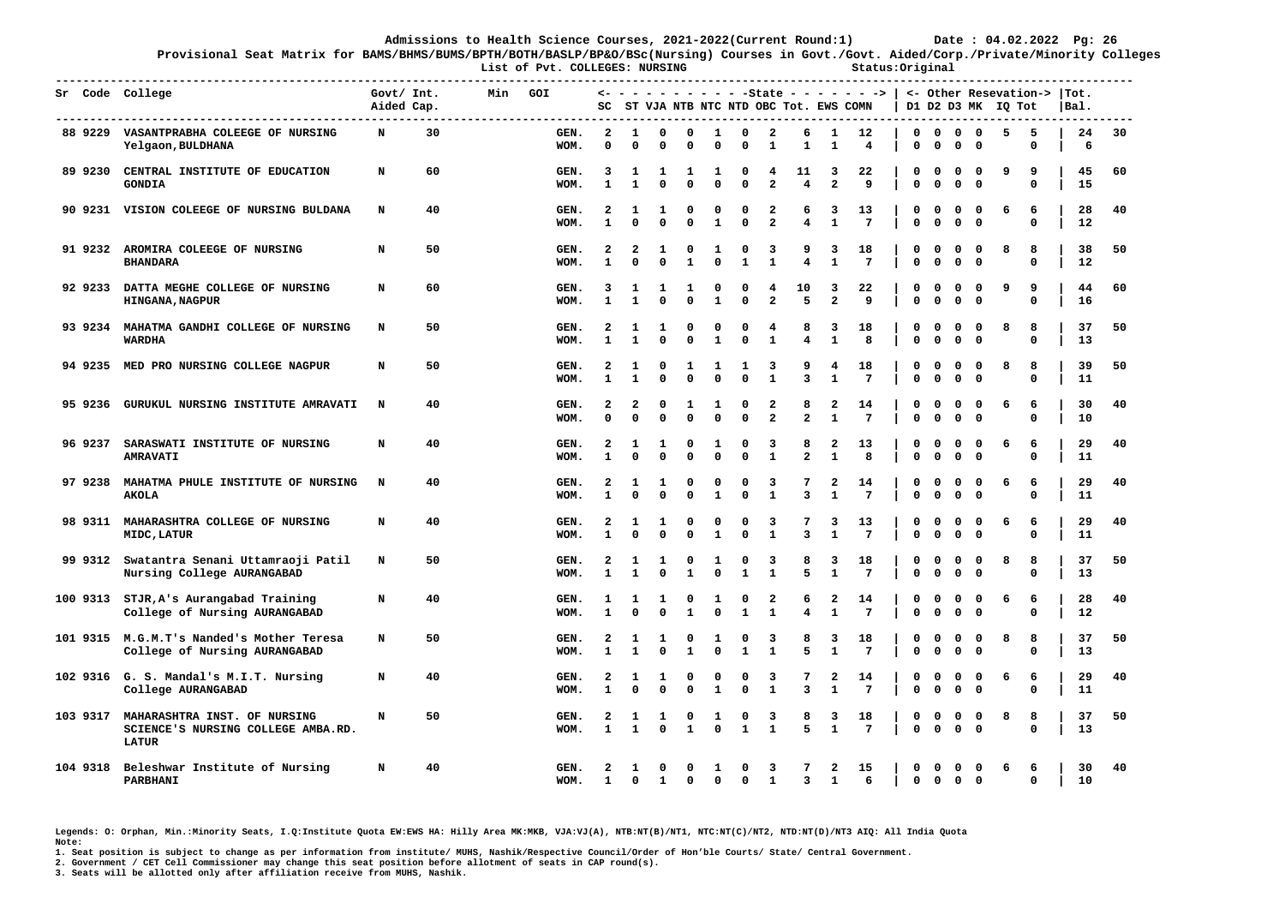**-------------------------------------------------------------------------------------------------------------------------------------------------------------** 

**Provisional Seat Matrix for BAMS/BHMS/BUMS/BPTH/BOTH/BASLP/BP&O/BSc(Nursing) Courses in Govt./Govt. Aided/Corp./Private/Minority Colleges List of Pvt. COLLEGES: NURSING Status:Original** 

**Sr Code College Govt/ Int. Min GOI <- - - - - - - - - - -State - - - - - - -> | <- Other Resevation-> |Tot. Aided Cap. SC ST VJA NTB NTC NTD OBC Tot. EWS COMN | D1 D2 D3 MK IQ Tot |Bal. ------------------------------------------------------------------------------------------------------------------------------------------------------------- 88 9229 VASANTPRABHA COLEEGE OF NURSING N 30 GEN. 2 1 0 0 1 0 2 6 1 12 | 0 0 0 0 5 5 | 24 30 Yelgaon,BULDHANA WOM. 0 0 0 0 0 0 1 1 1 4 | 0 0 0 0 0 | 6 89 9230 CENTRAL INSTITUTE OF EDUCATION N 60 GEN. 3 1 1 1 1 0 4 11 3 22 | 0 0 0 0 9 9 | 45 60 GONDIA WOM. 1 1 0 0 0 0 2 4 2 9 | 0 0 0 0 0 | 15 90 9231 VISION COLEEGE OF NURSING BULDANA N 40 GEN. 2 1 1 0 0 0 2 6 3 13 | 0 0 0 0 6 6 | 28 40 WOM. 1 0 0 0 1 0 2 4 1 7 | 0 0 0 0 0 | 12 91 9232 AROMIRA COLEEGE OF NURSING N 50 GEN. 2 2 1 0 1 0 3 9 3 18 | 0 0 0 0 8 8 | 38 50 BHANDARA WOM. 1 0 0 1 0 1 1 4 1 7 | 0 0 0 0 0 | 12 92 9233 DATTA MEGHE COLLEGE OF NURSING N 60 GEN. 3 1 1 1 0 0 4 10 3 22 | 0 0 0 0 9 9 | 44 60 HINGANA,NAGPUR WOM. 1 1 0 0 1 0 2 5 2 9 | 0 0 0 0 0 | 16 93 9234 MAHATMA GANDHI COLLEGE OF NURSING N 50 GEN. 2 1 1 0 0 0 4 8 3 18 | 0 0 0 0 8 8 | 37 50 WARDHA WOM. 1 1 0 0 1 0 1 4 1 8 | 0 0 0 0 0 | 13 94 9235 MED PRO NURSING COLLEGE NAGPUR N 50 GEN. 2 1 0 1 1 1 3 9 4 18 | 0 0 0 0 8 8 | 39 50 WOM. 1 1 0 0 0 0 1 3 1 7 | 0 0 0 0 0 | 11 95 9236 GURUKUL NURSING INSTITUTE AMRAVATI N 40 GEN. 2 2 0 1 1 0 2 8 2 14 | 0 0 0 0 6 6 | 30 40 WOM. 0 0 0 0 0 0 2 2 1 7 | 0 0 0 0 0 | 10 96 9237 SARASWATI INSTITUTE OF NURSING N 40 GEN. 2 1 1 0 1 0 3 8 2 13 | 0 0 0 0 6 6 | 29 40 AMRAVATI WOM. 1 0 0 0 0 0 1 2 1 8 | 0 0 0 0 0 | 11 97 9238 MAHATMA PHULE INSTITUTE OF NURSING N 40 GEN. 2 1 1 0 0 0 3 7 2 14 | 0 0 0 0 6 6 | 29 40 AKOLA WOM. 1 0 0 0 1 0 1 3 1 7 | 0 0 0 0 0 | 11 98 9311 MAHARASHTRA COLLEGE OF NURSING N 40 GEN. 2 1 1 0 0 0 3 7 3 13 | 0 0 0 0 6 6 | 29 40 MIDC,LATUR WOM. 1 0 0 0 1 0 1 3 1 7 | 0 0 0 0 0 | 11 99 9312 Swatantra Senani Uttamraoji Patil N 50 GEN. 2 1 1 0 1 0 3 8 3 18 | 0 0 0 0 8 8 | 37 50 Nursing College AURANGABAD WOM. 1 1 0 1 0 1 1 5 1 7 | 0 0 0 0 0 | 13 100 9313 STJR,A's Aurangabad Training N 40 GEN. 1 1 1 0 1 0 2 6 2 14 | 0 0 0 0 6 6 | 28 40 College of Nursing AURANGABAD WOM. 1 0 0 1 0 1 1 4 1 7 | 0 0 0 0 0 | 12 101 9315 M.G.M.T's Nanded's Mother Teresa N 50 GEN. 2 1 1 0 1 0 3 8 3 18 | 0 0 0 0 8 8 | 37 50 College of Nursing AURANGABAD WOM. 1 1 0 1 0 1 1 5 1 7 | 0 0 0 0 0 | 13 102 9316 G. S. Mandal's M.I.T. Nursing N 40 GEN. 2 1 1 0 0 0 3 7 2 14 | 0 0 0 0 6 6 | 29 40 College AURANGABAD WOM. 1 0 0 0 1 0 1 3 1 7 | 0 0 0 0 0 | 11 103 9317 MAHARASHTRA INST. OF NURSING N 50 GEN. 2 1 1 0 1 0 3 8 3 18 | 0 0 0 0 8 8 | 37 50 WOM.** 1 1 0 1 0 1 1 5 1 7 | 0 0 0 0 0 0 | 13  **LATUR 104 9318 Beleshwar Institute of Nursing N 40 GEN. 2 1 0 0 1 0 3 7 2 15 | 0 0 0 0 6 6 | 30 40 PARBHANI WOM. 1 0 1 0 0 0 1 3 1 6 | 0 0 0 0 0 | 10** 

**Legends: O: Orphan, Min.:Minority Seats, I.Q:Institute Quota EW:EWS HA: Hilly Area MK:MKB, VJA:VJ(A), NTB:NT(B)/NT1, NTC:NT(C)/NT2, NTD:NT(D)/NT3 AIQ: All India Quota Note:** 

**1. Seat position is subject to change as per information from institute/ MUHS, Nashik/Respective Council/Order of Hon'ble Courts/ State/ Central Government.** 

**2. Government / CET Cell Commissioner may change this seat position before allotment of seats in CAP round(s).**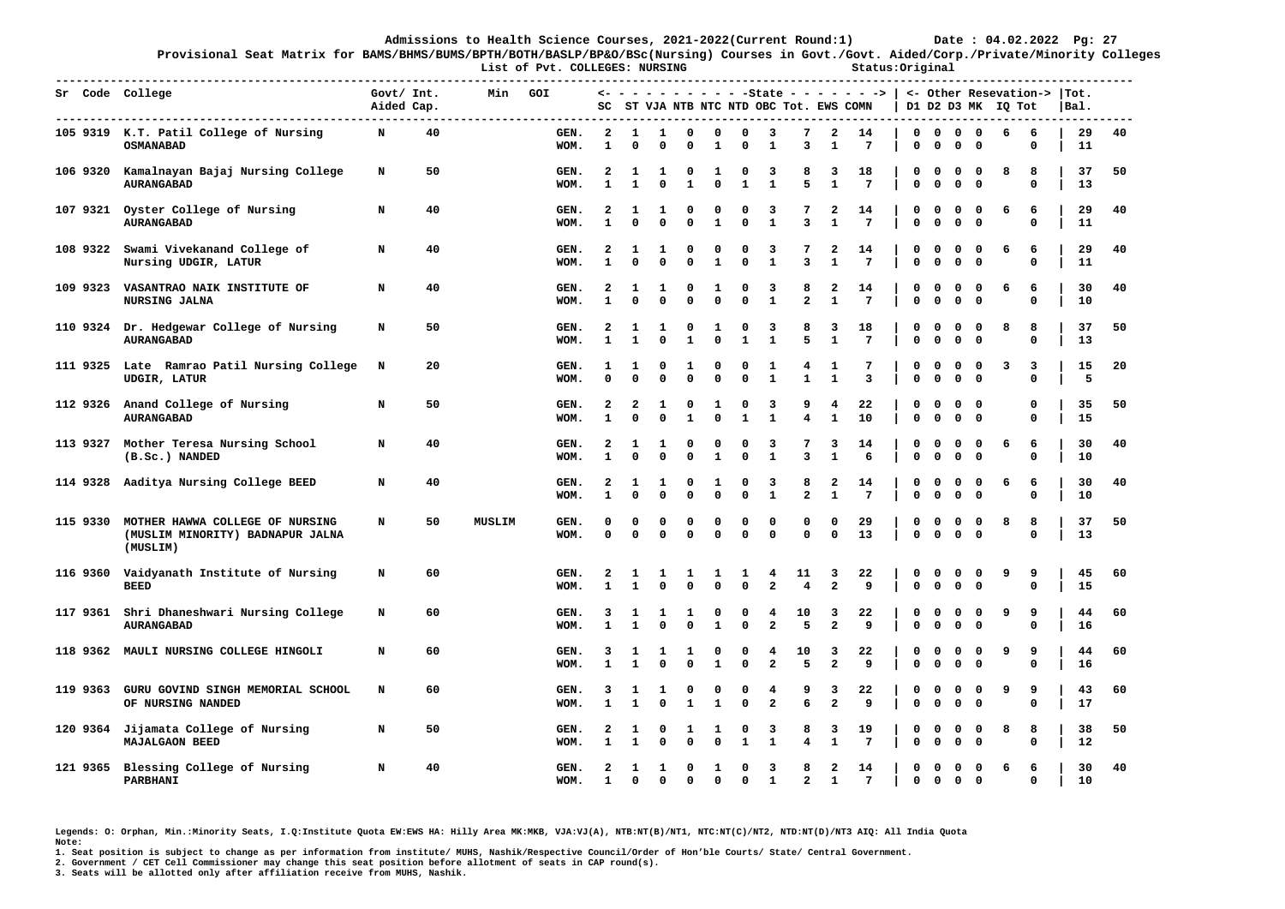**-------------------------------------------------------------------------------------------------------------------------------------------------------------** 

**Provisional Seat Matrix for BAMS/BHMS/BUMS/BPTH/BOTH/BASLP/BP&O/BSc(Nursing) Courses in Govt./Govt. Aided/Corp./Private/Minority Colleges List of Pvt. COLLEGES: NURSING Status:Original** 

|          | Sr Code College                                                                 | Govt/ Int.<br>Aided Cap. |    | Min    | GOI                | sc                           |                   |                  |                  |                   |                      |                     | ST VJA NTB NTC NTD OBC Tot. EWS COMN |                              | <- - - - - - - - - - -State - - - - - - ->   <- Other Resevation->  Tot. |                      |                             |                         |                            | D1 D2 D3 MK IQ Tot |                      | Bal.     |    |
|----------|---------------------------------------------------------------------------------|--------------------------|----|--------|--------------------|------------------------------|-------------------|------------------|------------------|-------------------|----------------------|---------------------|--------------------------------------|------------------------------|--------------------------------------------------------------------------|----------------------|-----------------------------|-------------------------|----------------------------|--------------------|----------------------|----------|----|
|          | 105 9319 K.T. Patil College of Nursing<br><b>OSMANABAD</b>                      | N                        | 40 |        | GEN.<br>WOM.       | $\overline{a}$<br>1          | 1<br>0            | 1<br>0           | 0<br>0           | 0<br>1            | $\mathbf{0}$<br>0    | 3<br>1              | 7<br>3                               | $\overline{a}$<br>1          | 14<br>7                                                                  | 0<br>0               | $\mathbf{0}$<br>$\mathbf 0$ | $\Omega$<br>$\mathbf 0$ | $\mathbf 0$<br>$\mathbf 0$ | 6                  | 6<br>0               | 29<br>11 | 40 |
| 106 9320 | Kamalnayan Bajaj Nursing College<br><b>AURANGABAD</b>                           | N                        | 50 |        | GEN.<br>WOM.       | $\mathbf{2}$<br>$\mathbf{1}$ | 1<br>$\mathbf{1}$ | 1<br>$\mathbf 0$ | 0<br>1           | 1<br>$\Omega$     | 0<br>$\mathbf{1}$    | 3<br>$\mathbf{1}$   | 8<br>5                               | 3<br>$\mathbf{1}$            | 18<br>7                                                                  | 0<br>$\Omega$        | 0<br>$\Omega$               | 0<br>$\Omega$           | 0<br>$\Omega$              | 8                  | 8<br>$\Omega$        | 37<br>13 | 50 |
|          | 107 9321 Oyster College of Nursing<br><b>AURANGABAD</b>                         | N                        | 40 |        | GEN.<br>WOM.       | $\mathbf{2}$<br>$\mathbf{1}$ | ı<br>$\Omega$     | 1<br>0           | 0<br>$\Omega$    | 0<br>$\mathbf{1}$ | 0<br>$\mathbf 0$     | 3<br>$\mathbf{1}$   | 3                                    | 2<br>$\mathbf{1}$            | 14<br>$7\phantom{.0}$                                                    | 0<br>$\mathbf 0$     | 0<br>$\mathbf 0$            | 0<br>$\mathbf 0$        | $\mathbf 0$<br>$\mathbf 0$ | 6                  | 6<br>0               | 29<br>11 | 40 |
|          | 108 9322 Swami Vivekanand College of<br>Nursing UDGIR, LATUR                    | N                        | 40 |        | GEN.<br>WOM.       | 2<br>$\mathbf{1}$            | 1<br>$\Omega$     | 1<br>0           | $\Omega$         | 0<br>$\mathbf{1}$ | 0<br>$\Omega$        | 3<br>$\mathbf{1}$   | 3                                    | 2<br>$\mathbf{1}$            | 14<br>$7\phantom{.0}$                                                    | 0<br>$\Omega$        | 0<br>$\mathbf 0$            | 0<br>0                  | 0<br>$\Omega$              | 6                  | 6<br>$\Omega$        | 29<br>11 | 40 |
| 109 9323 | VASANTRAO NAIK INSTITUTE OF<br><b>NURSING JALNA</b>                             | N                        | 40 |        | GEN.<br>WOM.       | 2<br>1                       | -1<br>$\Omega$    | 1<br>$\Omega$    | O<br>$\Omega$    | 1<br>$\Omega$     | $\Omega$<br>$\Omega$ | 3<br>$\mathbf{1}$   | 8<br>$\overline{2}$                  | 2<br>$\mathbf{1}$            | 14<br>7                                                                  | 0<br>$\Omega$        | $\Omega$<br>$\Omega$        | $\Omega$<br>0           | $\Omega$<br>$\mathbf 0$    | 6                  | 6<br>$\Omega$        | 30<br>10 | 40 |
|          | 110 9324 Dr. Hedgewar College of Nursing<br><b>AURANGABAD</b>                   | N                        | 50 |        | GEN.<br>WOM.       | 2<br>$\mathbf{1}$            | $\mathbf{1}$      | 1<br>$\Omega$    | 1                | 1<br>$\Omega$     | 0<br>$\mathbf{1}$    | 3<br>$\mathbf{1}$   | 8<br>5                               | 3<br>$\mathbf{1}$            | 18<br>7                                                                  | 0<br>$\mathbf 0$     | 0<br>$\Omega$               | O<br>$\Omega$           | $\Omega$<br>$\mathbf 0$    | 8                  | 8<br>$\Omega$        | 37<br>13 | 50 |
| 111 9325 | Late Ramrao Patil Nursing College<br><b>UDGIR, LATUR</b>                        | N                        | 20 |        | GEN.<br>WOM.       | 1<br>$\Omega$                | 1<br>$\Omega$     | 0<br>$\Omega$    | 1<br>$\Omega$    | 0<br>$\Omega$     | $\Omega$<br>$\Omega$ | 1<br>$\mathbf{1}$   | 4<br>$\mathbf{1}$                    | 1<br>$\mathbf{1}$            | 7<br>3                                                                   | 0<br>$\Omega$        | 0<br>$\Omega$               | $\mathbf 0$<br>$\Omega$ | $\Omega$<br>$\Omega$       | 3                  | 3<br>$\Omega$        | 15<br>5  | 20 |
| 112 9326 | Anand College of Nursing<br><b>AURANGABAD</b>                                   | N                        | 50 |        | GEN.<br>WOM.       | 2<br>$\mathbf{1}$            | 2<br>$\Omega$     | 1<br>0           | 0<br>1           | 1<br>0            | 0<br>$\mathbf{1}$    | 3<br>$\mathbf{1}$   | 9<br>4                               | 4<br>$\mathbf{1}$            | 22<br>10                                                                 | 0<br>0               | 0<br>0                      | 0<br>0                  | $\mathbf 0$<br>$\mathbf 0$ |                    | $\Omega$<br>$\Omega$ | 35<br>15 | 50 |
| 113 9327 | Mother Teresa Nursing School<br>(B.Sc.) NANDED                                  | N                        | 40 |        | GEN.<br>WOM.       | 2<br>$\mathbf{1}$            | 1<br>$\Omega$     | 1<br>$\Omega$    | o<br>$\Omega$    | 0<br>$\mathbf{1}$ | 0<br>$\mathbf 0$     | 3<br>${\bf 1}$      | 3                                    | 3<br>$\mathbf{1}$            | 14<br>6                                                                  | o<br>$\mathbf 0$     | $\Omega$<br>0               | $\Omega$<br>0           | $\Omega$<br>$\mathbf{o}$   | 6                  | 6<br>$\Omega$        | 30<br>10 | 40 |
| 114 9328 | Aaditya Nursing College BEED                                                    | N                        | 40 |        | <b>GEN</b><br>WOM. | 2<br>1                       | 1<br>$\Omega$     | 1<br>0           | o<br>$\Omega$    | 1<br>$\Omega$     | 0<br>$\Omega$        | 3<br>${\bf 1}$      | 8<br>$\mathbf{2}$                    | 2<br>$\mathbf{1}$            | 14<br>$7\phantom{.0}$                                                    | 0<br>0               | 0<br>0                      | 0<br>0                  | 0<br>0                     | 6                  | 6<br>0               | 30<br>10 | 40 |
| 115 9330 | MOTHER HAWWA COLLEGE OF NURSING<br>(MUSLIM MINORITY) BADNAPUR JALNA<br>(MUSLIM) | N                        | 50 | MUSLIM | GEN.<br>WOM.       | C<br>$\Omega$                | O<br>$\Omega$     | 0<br>0           | o<br>$\Omega$    | 0<br>$\Omega$     | 0<br>$\mathbf{0}$    | 0<br>0              | $\Omega$<br>$\mathbf 0$              | 0<br>$\mathbf 0$             | 29<br>13                                                                 | 0<br>$\mathbf{0}$    | 0<br>$\mathbf 0$            | 0<br>$\mathbf 0$        | 0<br>$\mathbf 0$           | 8                  | 8<br>$\Omega$        | 37<br>13 | 50 |
| 116 9360 | Vaidyanath Institute of Nursing<br><b>BEED</b>                                  | N                        | 60 |        | GEN.<br>WOM.       | 2<br>$\mathbf{1}$            | 1<br>$\mathbf{1}$ | 1<br>$\Omega$    | $\Omega$         | 1<br>$\Omega$     | 1<br>$\Omega$        | 4<br>$\overline{a}$ | 11<br>4                              | 3<br>$\overline{a}$          | 22<br>9                                                                  | 0<br>$\mathbf 0$     | 0<br>$\Omega$               | 0<br>0                  | 0<br>$\mathbf 0$           | 9                  | 9<br>$\Omega$        | 45<br>15 | 60 |
|          | 117 9361 Shri Dhaneshwari Nursing College<br><b>AURANGABAD</b>                  | N                        | 60 |        | GEN.<br>WOM.       | з<br>$\mathbf{1}$            | 1<br>$\mathbf{1}$ | 1<br>0           | 1<br>$\Omega$    | 0<br>1            | $\Omega$<br>$\Omega$ | 4<br>2              | 10<br>5                              | 3<br>$\overline{a}$          | 22<br>9                                                                  | $\Omega$<br>$\Omega$ | O<br>$\Omega$               | O<br>$\Omega$           | $\Omega$<br>$\Omega$       | 9                  | 9<br>0               | 44<br>16 | 60 |
| 118 9362 | MAULI NURSING COLLEGE HINGOLI                                                   | N                        | 60 |        | GEN.<br>WOM.       | 3<br>$\mathbf{1}$            | 1<br>$\mathbf{1}$ | 1<br>0           | 1<br>$\mathbf 0$ | 0<br>$\mathbf{1}$ | 0<br>$\Omega$        | 4<br>$\overline{a}$ | 10<br>5                              | 3<br>$\overline{\mathbf{2}}$ | 22<br>9                                                                  | 0<br>$\mathbf 0$     | O<br>0                      | 0<br>0                  | 0<br>$\mathbf 0$           | 9                  | 9<br>$\Omega$        | 44<br>16 | 60 |
| 119 9363 | GURU GOVIND SINGH MEMORIAL SCHOOL<br>OF NURSING NANDED                          | N                        | 60 |        | <b>GEN</b><br>WOM. | 3<br>$\mathbf{1}$            | Е<br>$\mathbf{1}$ | 1<br>0           | o<br>1           | 0<br>$\mathbf{1}$ | n<br>$\Omega$        | 4<br>$\overline{a}$ | 9<br>6                               | 3<br>$\overline{a}$          | 22<br>9                                                                  | O<br>$\mathbf 0$     | O<br>0                      | O<br>0                  | 0<br>$\mathbf 0$           | 9                  | 9<br>0               | 43<br>17 | 60 |
|          | 120 9364 Jijamata College of Nursing<br><b>MAJALGAON BEED</b>                   | N                        | 50 |        | GEN.<br>WOM.       | $\mathbf{1}$                 | $\mathbf{1}$      | 0<br>$\Omega$    | 1<br>$\Omega$    | 1<br>$\Omega$     | 0<br>$\mathbf 1$     | 3<br>$\mathbf{1}$   | 8<br>4                               | з<br>$\mathbf{1}$            | 19<br>$7\phantom{.0}$                                                    | 0<br>$\mathbf 0$     | 0<br>$\mathbf 0$            | 0<br>0                  | 0<br>$\mathbf 0$           | 8                  | 8<br>$\Omega$        | 38<br>12 | 50 |
|          | 121 9365 Blessing College of Nursing<br>PARBHANI                                | N                        | 40 |        | GEN<br>WOM.        | 1                            | ı<br>0            | 1<br>0           | o<br>0           | 1<br>0            | $\Omega$<br>$\Omega$ | 3<br>$\mathbf{1}$   | 8<br>2                               | 2<br>1                       | 14<br>7                                                                  | 0<br>0               | 0<br>0                      | 0<br>0                  | 0<br>$\mathbf 0$           | 6                  | 6<br>$\Omega$        | 30<br>10 | 40 |

**Legends: O: Orphan, Min.:Minority Seats, I.Q:Institute Quota EW:EWS HA: Hilly Area MK:MKB, VJA:VJ(A), NTB:NT(B)/NT1, NTC:NT(C)/NT2, NTD:NT(D)/NT3 AIQ: All India Quota Note:** 

**1. Seat position is subject to change as per information from institute/ MUHS, Nashik/Respective Council/Order of Hon'ble Courts/ State/ Central Government.** 

**2. Government / CET Cell Commissioner may change this seat position before allotment of seats in CAP round(s).**